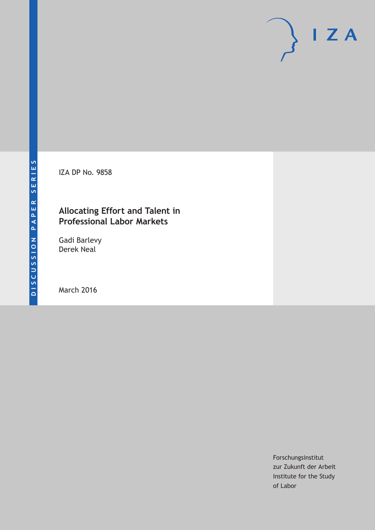IZA DP No. 9858

## **Allocating Effort and Talent in Professional Labor Markets**

Gadi Barlevy Derek Neal

March 2016

Forschungsinstitut zur Zukunft der Arbeit Institute for the Study of Labor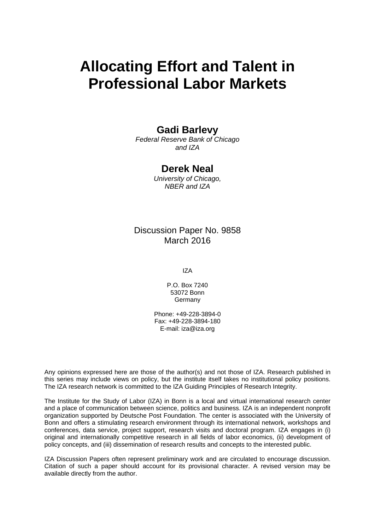# **Allocating Effort and Talent in Professional Labor Markets**

## **Gadi Barlevy**

*Federal Reserve Bank of Chicago and IZA* 

## **Derek Neal**

*University of Chicago, NBER and IZA* 

## Discussion Paper No. 9858 March 2016

IZA

P.O. Box 7240 53072 Bonn Germany

Phone: +49-228-3894-0 Fax: +49-228-3894-180 E-mail: iza@iza.org

Any opinions expressed here are those of the author(s) and not those of IZA. Research published in this series may include views on policy, but the institute itself takes no institutional policy positions. The IZA research network is committed to the IZA Guiding Principles of Research Integrity.

The Institute for the Study of Labor (IZA) in Bonn is a local and virtual international research center and a place of communication between science, politics and business. IZA is an independent nonprofit organization supported by Deutsche Post Foundation. The center is associated with the University of Bonn and offers a stimulating research environment through its international network, workshops and conferences, data service, project support, research visits and doctoral program. IZA engages in (i) original and internationally competitive research in all fields of labor economics, (ii) development of policy concepts, and (iii) dissemination of research results and concepts to the interested public.

IZA Discussion Papers often represent preliminary work and are circulated to encourage discussion. Citation of such a paper should account for its provisional character. A revised version may be available directly from the author.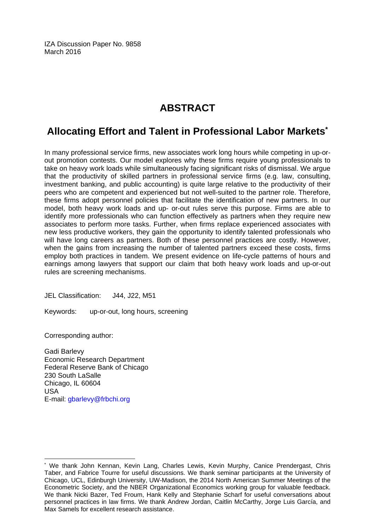IZA Discussion Paper No. 9858 March 2016

## **ABSTRACT**

## **Allocating Effort and Talent in Professional Labor Markets\***

In many professional service firms, new associates work long hours while competing in up-orout promotion contests. Our model explores why these firms require young professionals to take on heavy work loads while simultaneously facing significant risks of dismissal. We argue that the productivity of skilled partners in professional service firms (e.g. law, consulting, investment banking, and public accounting) is quite large relative to the productivity of their peers who are competent and experienced but not well-suited to the partner role. Therefore, these firms adopt personnel policies that facilitate the identification of new partners. In our model, both heavy work loads and up- or-out rules serve this purpose. Firms are able to identify more professionals who can function effectively as partners when they require new associates to perform more tasks. Further, when firms replace experienced associates with new less productive workers, they gain the opportunity to identify talented professionals who will have long careers as partners. Both of these personnel practices are costly. However, when the gains from increasing the number of talented partners exceed these costs, firms employ both practices in tandem. We present evidence on life-cycle patterns of hours and earnings among lawyers that support our claim that both heavy work loads and up-or-out rules are screening mechanisms.

JEL Classification: J44, J22, M51

Keywords: up-or-out, long hours, screening

Corresponding author:

 $\overline{a}$ 

Gadi Barlevy Economic Research Department Federal Reserve Bank of Chicago 230 South LaSalle Chicago, IL 60604 USA E-mail: gbarlevy@frbchi.org

<sup>\*</sup> We thank John Kennan, Kevin Lang, Charles Lewis, Kevin Murphy, Canice Prendergast, Chris Taber, and Fabrice Tourre for useful discussions. We thank seminar participants at the University of Chicago, UCL, Edinburgh University, UW-Madison, the 2014 North American Summer Meetings of the Econometric Society, and the NBER Organizational Economics working group for valuable feedback. We thank Nicki Bazer, Ted Froum, Hank Kelly and Stephanie Scharf for useful conversations about personnel practices in law firms. We thank Andrew Jordan, Caitlin McCarthy, Jorge Luis García, and Max Samels for excellent research assistance.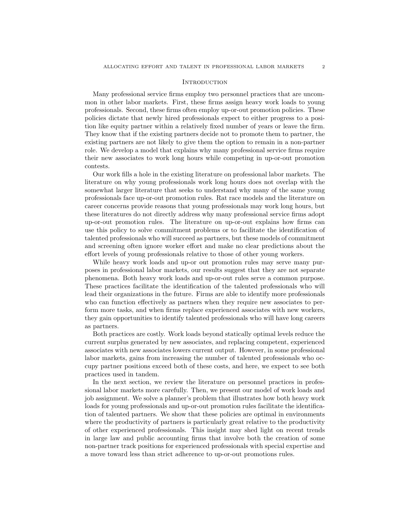#### **INTRODUCTION**

Many professional service firms employ two personnel practices that are uncommon in other labor markets. First, these firms assign heavy work loads to young professionals. Second, these firms often employ up-or-out promotion policies. These policies dictate that newly hired professionals expect to either progress to a position like equity partner within a relatively fixed number of years or leave the firm. They know that if the existing partners decide not to promote them to partner, the existing partners are not likely to give them the option to remain in a non-partner role. We develop a model that explains why many professional service firms require their new associates to work long hours while competing in up-or-out promotion contests.

Our work fills a hole in the existing literature on professional labor markets. The literature on why young professionals work long hours does not overlap with the somewhat larger literature that seeks to understand why many of the same young professionals face up-or-out promotion rules. Rat race models and the literature on career concerns provide reasons that young professionals may work long hours, but these literatures do not directly address why many professional service firms adopt up-or-out promotion rules. The literature on up-or-out explains how firms can use this policy to solve commitment problems or to facilitate the identification of talented professionals who will succeed as partners, but these models of commitment and screening often ignore worker effort and make no clear predictions about the effort levels of young professionals relative to those of other young workers.

While heavy work loads and up-or out promotion rules may serve many purposes in professional labor markets, our results suggest that they are not separate phenomena. Both heavy work loads and up-or-out rules serve a common purpose. These practices facilitate the identification of the talented professionals who will lead their organizations in the future. Firms are able to identify more professionals who can function effectively as partners when they require new associates to perform more tasks, and when firms replace experienced associates with new workers, they gain opportunities to identify talented professionals who will have long careers as partners.

Both practices are costly. Work loads beyond statically optimal levels reduce the current surplus generated by new associates, and replacing competent, experienced associates with new associates lowers current output. However, in some professional labor markets, gains from increasing the number of talented professionals who occupy partner positions exceed both of these costs, and here, we expect to see both practices used in tandem.

In the next section, we review the literature on personnel practices in professional labor markets more carefully. Then, we present our model of work loads and job assignment. We solve a planner's problem that illustrates how both heavy work loads for young professionals and up-or-out promotion rules facilitate the identification of talented partners. We show that these policies are optimal in environments where the productivity of partners is particularly great relative to the productivity of other experienced professionals. This insight may shed light on recent trends in large law and public accounting firms that involve both the creation of some non-partner track positions for experienced professionals with special expertise and a move toward less than strict adherence to up-or-out promotions rules.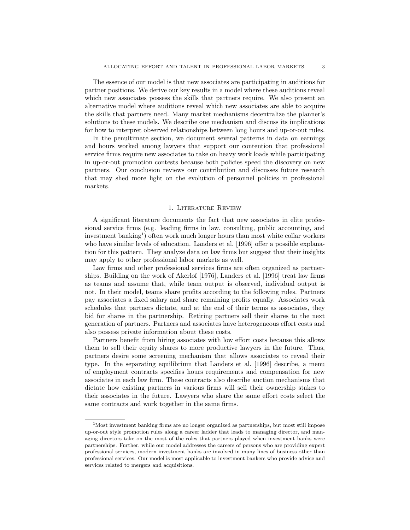The essence of our model is that new associates are participating in auditions for partner positions. We derive our key results in a model where these auditions reveal which new associates possess the skills that partners require. We also present an alternative model where auditions reveal which new associates are able to acquire the skills that partners need. Many market mechanisms decentralize the planner's solutions to these models. We describe one mechanism and discuss its implications for how to interpret observed relationships between long hours and up-or-out rules.

In the penultimate section, we document several patterns in data on earnings and hours worked among lawyers that support our contention that professional service firms require new associates to take on heavy work loads while participating in up-or-out promotion contests because both policies speed the discovery on new partners. Our conclusion reviews our contribution and discusses future research that may shed more light on the evolution of personnel policies in professional markets.

#### 1. Literature Review

A significant literature documents the fact that new associates in elite professional service firms (e.g. leading firms in law, consulting, public accounting, and investment banking<sup>1</sup>) often work much longer hours than most white collar workers who have similar levels of education. Landers et al. [1996] offer a possible explanation for this pattern. They analyze data on law firms but suggest that their insights may apply to other professional labor markets as well.

Law firms and other professional services firms are often organized as partnerships. Building on the work of Akerlof [1976], Landers et al. [1996] treat law firms as teams and assume that, while team output is observed, individual output is not. In their model, teams share profits according to the following rules. Partners pay associates a fixed salary and share remaining profits equally. Associates work schedules that partners dictate, and at the end of their terms as associates, they bid for shares in the partnership. Retiring partners sell their shares to the next generation of partners. Partners and associates have heterogeneous effort costs and also possess private information about these costs.

Partners benefit from hiring associates with low effort costs because this allows them to sell their equity shares to more productive lawyers in the future. Thus, partners desire some screening mechanism that allows associates to reveal their type. In the separating equilibrium that Landers et al. [1996] describe, a menu of employment contracts specifies hours requirements and compensation for new associates in each law firm. These contracts also describe auction mechanisms that dictate how existing partners in various firms will sell their ownership stakes to their associates in the future. Lawyers who share the same effort costs select the same contracts and work together in the same firms.

<sup>&</sup>lt;sup>1</sup>Most investment banking firms are no longer organized as partnerships, but most still impose up-or-out style promotion rules along a career ladder that leads to managing director, and managing directors take on the most of the roles that partners played when investment banks were partnerships. Further, while our model addresses the careers of persons who are providing expert professional services, modern investment banks are involved in many lines of business other than professional services. Our model is most applicable to investment bankers who provide advice and services related to mergers and acquisitions.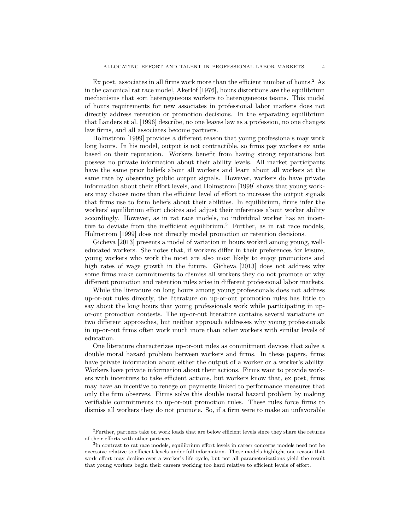Ex post, associates in all firms work more than the efficient number of hours.<sup>2</sup> As in the canonical rat race model, Akerlof [1976], hours distortions are the equilibrium mechanisms that sort heterogeneous workers to heterogeneous teams. This model of hours requirements for new associates in professional labor markets does not directly address retention or promotion decisions. In the separating equilibrium that Landers et al. [1996] describe, no one leaves law as a profession, no one changes law firms, and all associates become partners.

Holmstrom [1999] provides a different reason that young professionals may work long hours. In his model, output is not contractible, so firms pay workers ex ante based on their reputation. Workers benefit from having strong reputations but possess no private information about their ability levels. All market participants have the same prior beliefs about all workers and learn about all workers at the same rate by observing public output signals. However, workers do have private information about their effort levels, and Holmstrom [1999] shows that young workers may choose more than the efficient level of effort to increase the output signals that firms use to form beliefs about their abilities. In equilibrium, firms infer the workers' equilibrium effort choices and adjust their inferences about worker ability accordingly. However, as in rat race models, no individual worker has an incentive to deviate from the inefficient equilibrium.<sup>3</sup> Further, as in rat race models, Holmstrom [1999] does not directly model promotion or retention decisions.

Gicheva [2013] presents a model of variation in hours worked among young, welleducated workers. She notes that, if workers differ in their preferences for leisure, young workers who work the most are also most likely to enjoy promotions and high rates of wage growth in the future. Gicheva [2013] does not address why some firms make commitments to dismiss all workers they do not promote or why different promotion and retention rules arise in different professional labor markets.

While the literature on long hours among young professionals does not address up-or-out rules directly, the literature on up-or-out promotion rules has little to say about the long hours that young professionals work while participating in upor-out promotion contests. The up-or-out literature contains several variations on two different approaches, but neither approach addresses why young professionals in up-or-out firms often work much more than other workers with similar levels of education.

One literature characterizes up-or-out rules as commitment devices that solve a double moral hazard problem between workers and firms. In these papers, firms have private information about either the output of a worker or a worker's ability. Workers have private information about their actions. Firms want to provide workers with incentives to take efficient actions, but workers know that, ex post, firms may have an incentive to renege on payments linked to performance measures that only the firm observes. Firms solve this double moral hazard problem by making verifiable commitments to up-or-out promotion rules. These rules force firms to dismiss all workers they do not promote. So, if a firm were to make an unfavorable

 ${}^{2}$ Further, partners take on work loads that are below efficient levels since they share the returns of their efforts with other partners.

<sup>&</sup>lt;sup>3</sup>In contrast to rat race models, equilibrium effort levels in career concerns models need not be excessive relative to efficient levels under full information. These models highlight one reason that work effort may decline over a worker's life cycle, but not all parameterizations yield the result that young workers begin their careers working too hard relative to efficient levels of effort.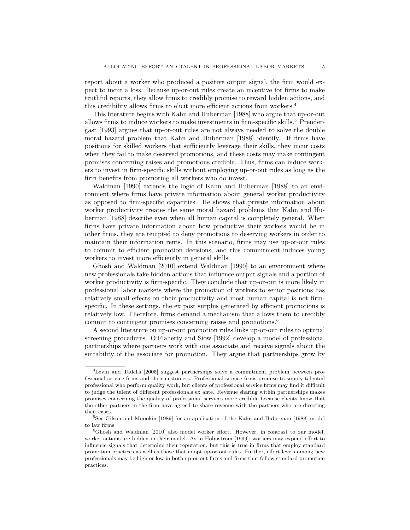report about a worker who produced a positive output signal, the firm would expect to incur a loss. Because up-or-out rules create an incentive for firms to make truthful reports, they allow firms to credibly promise to reward hidden actions, and this credibility allows firms to elicit more efficient actions from workers.<sup>4</sup>

This literature begins with Kahn and Huberman [1988] who argue that up-or-out allows firms to induce workers to make investments in firm-specific skills.<sup>5</sup> Prendergast [1993] argues that up-or-out rules are not always needed to solve the double moral hazard problem that Kahn and Huberman [1988] identify. If firms have positions for skilled workers that sufficiently leverage their skills, they incur costs when they fail to make deserved promotions, and these costs may make contingent promises concerning raises and promotions credible. Thus, firms can induce workers to invest in firm-specific skills without employing up-or-out rules as long as the firm benefits from promoting all workers who do invest.

Waldman [1990] extends the logic of Kahn and Huberman [1988] to an environment where firms have private information about general worker productivity as opposed to firm-specific capacities. He shows that private information about worker productivity creates the same moral hazard problems that Kahn and Huberman [1988] describe even when all human capital is completely general. When firms have private information about how productive their workers would be in other firms, they are tempted to deny promotions to deserving workers in order to maintain their information rents. In this scenario, firms may use up-or-out rules to commit to efficient promotion decisions, and this commitment induces young workers to invest more efficiently in general skills.

Ghosh and Waldman [2010] extend Waldman [1990] to an environment where new professionals take hidden actions that influence output signals and a portion of worker productivity is firm-specific. They conclude that up-or-out is more likely in professional labor markets where the promotion of workers to senior positions has relatively small effects on their productivity and most human capital is not firmspecific. In these settings, the ex post surplus generated by efficient promotions is relatively low. Therefore, firms demand a mechanism that allows them to credibly commit to contingent promises concerning raises and promotions.<sup>6</sup>

A second literature on up-or-out promotion rules links up-or-out rules to optimal screening procedures. O'Flaherty and Siow [1992] develop a model of professional partnerships where partners work with one associate and receive signals about the suitability of the associate for promotion. They argue that partnerships grow by

<sup>4</sup>Levin and Tadelis [2005] suggest partnerships solve a commitment problem between professional service firms and their customers. Professional service firms promise to supply talented professional who perform quality work, but clients of professional service firms may find it difficult to judge the talent of different professionals ex ante. Revenue sharing within partnerships makes promises concerning the quality of professional services more credible because clients know that the other partners in the firm have agreed to share revenue with the partners who are directing their cases.

<sup>5</sup>See Gilson and Mnookin [1989] for an application of the Kahn and Huberman [1988] model to law firms.

<sup>6</sup>Ghosh and Waldman [2010] also model worker effort. However, in contrast to our model, worker actions are hidden in their model. As in Holmstrom [1999], workers may expend effort to influence signals that determine their reputation, but this is true in firms that employ standard promotion practices as well as those that adopt up-or-out rules. Further, effort levels among new professionals may be high or low in both up-or-out firms and firms that follow standard promotion practices.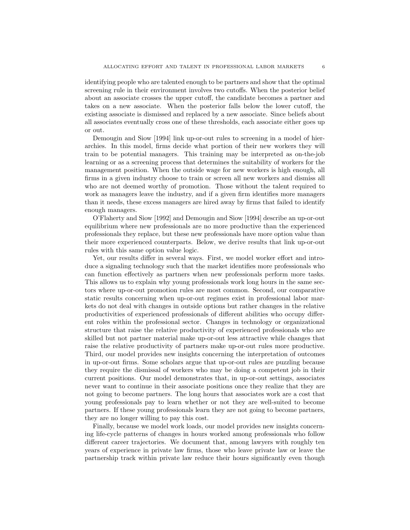identifying people who are talented enough to be partners and show that the optimal screening rule in their environment involves two cutoffs. When the posterior belief about an associate crosses the upper cutoff, the candidate becomes a partner and takes on a new associate. When the posterior falls below the lower cutoff, the existing associate is dismissed and replaced by a new associate. Since beliefs about all associates eventually cross one of these thresholds, each associate either goes up or out.

Demougin and Siow [1994] link up-or-out rules to screening in a model of hierarchies. In this model, firms decide what portion of their new workers they will train to be potential managers. This training may be interpreted as on-the-job learning or as a screening process that determines the suitability of workers for the management position. When the outside wage for new workers is high enough, all firms in a given industry choose to train or screen all new workers and dismiss all who are not deemed worthy of promotion. Those without the talent required to work as managers leave the industry, and if a given firm identifies more managers than it needs, these excess managers are hired away by firms that failed to identify enough managers.

O'Flaherty and Siow [1992] and Demougin and Siow [1994] describe an up-or-out equilibrium where new professionals are no more productive than the experienced professionals they replace, but these new professionals have more option value than their more experienced counterparts. Below, we derive results that link up-or-out rules with this same option value logic.

Yet, our results differ in several ways. First, we model worker effort and introduce a signaling technology such that the market identifies more professionals who can function effectively as partners when new professionals perform more tasks. This allows us to explain why young professionals work long hours in the same sectors where up-or-out promotion rules are most common. Second, our comparative static results concerning when up-or-out regimes exist in professional labor markets do not deal with changes in outside options but rather changes in the relative productivities of experienced professionals of different abilities who occupy different roles within the professional sector. Changes in technology or organizational structure that raise the relative productivity of experienced professionals who are skilled but not partner material make up-or-out less attractive while changes that raise the relative productivity of partners make up-or-out rules more productive. Third, our model provides new insights concerning the interpretation of outcomes in up-or-out firms. Some scholars argue that up-or-out rules are puzzling because they require the dismissal of workers who may be doing a competent job in their current positions. Our model demonstrates that, in up-or-out settings, associates never want to continue in their associate positions once they realize that they are not going to become partners. The long hours that associates work are a cost that young professionals pay to learn whether or not they are well-suited to become partners. If these young professionals learn they are not going to become partners, they are no longer willing to pay this cost.

Finally, because we model work loads, our model provides new insights concerning life-cycle patterns of changes in hours worked among professionals who follow different career trajectories. We document that, among lawyers with roughly ten years of experience in private law firms, those who leave private law or leave the partnership track within private law reduce their hours significantly even though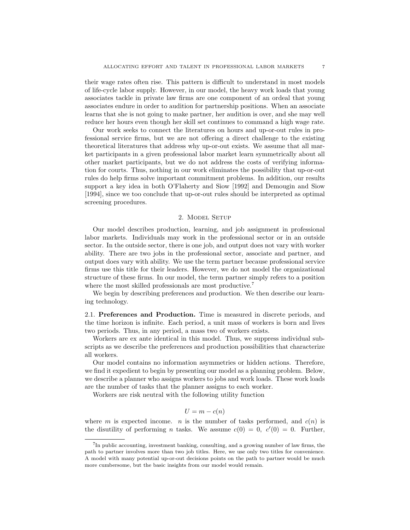their wage rates often rise. This pattern is difficult to understand in most models of life-cycle labor supply. However, in our model, the heavy work loads that young associates tackle in private law firms are one component of an ordeal that young associates endure in order to audition for partnership positions. When an associate learns that she is not going to make partner, her audition is over, and she may well reduce her hours even though her skill set continues to command a high wage rate.

Our work seeks to connect the literatures on hours and up-or-out rules in professional service firms, but we are not offering a direct challenge to the existing theoretical literatures that address why up-or-out exists. We assume that all market participants in a given professional labor market learn symmetrically about all other market participants, but we do not address the costs of verifying information for courts. Thus, nothing in our work eliminates the possibility that up-or-out rules do help firms solve important commitment problems. In addition, our results support a key idea in both O'Flaherty and Siow [1992] and Demougin and Siow [1994], since we too conclude that up-or-out rules should be interpreted as optimal screening procedures.

#### 2. MODEL SETUP

Our model describes production, learning, and job assignment in professional labor markets. Individuals may work in the professional sector or in an outside sector. In the outside sector, there is one job, and output does not vary with worker ability. There are two jobs in the professional sector, associate and partner, and output does vary with ability. We use the term partner because professional service firms use this title for their leaders. However, we do not model the organizational structure of these firms. In our model, the term partner simply refers to a position where the most skilled professionals are most productive.<sup>7</sup>

We begin by describing preferences and production. We then describe our learning technology.

2.1. Preferences and Production. Time is measured in discrete periods, and the time horizon is infinite. Each period, a unit mass of workers is born and lives two periods. Thus, in any period, a mass two of workers exists.

Workers are ex ante identical in this model. Thus, we suppress individual subscripts as we describe the preferences and production possibilities that characterize all workers.

Our model contains no information asymmetries or hidden actions. Therefore, we find it expedient to begin by presenting our model as a planning problem. Below, we describe a planner who assigns workers to jobs and work loads. These work loads are the number of tasks that the planner assigns to each worker.

Workers are risk neutral with the following utility function

$$
U = m - c(n)
$$

where m is expected income. n is the number of tasks performed, and  $c(n)$  is the disutility of performing *n* tasks. We assume  $c(0) = 0$ ,  $c'(0) = 0$ . Further,

<sup>7</sup> In public accounting, investment banking, consulting, and a growing number of law firms, the path to partner involves more than two job titles. Here, we use only two titles for convenience. A model with many potential up-or-out decisions points on the path to partner would be much more cumbersome, but the basic insights from our model would remain.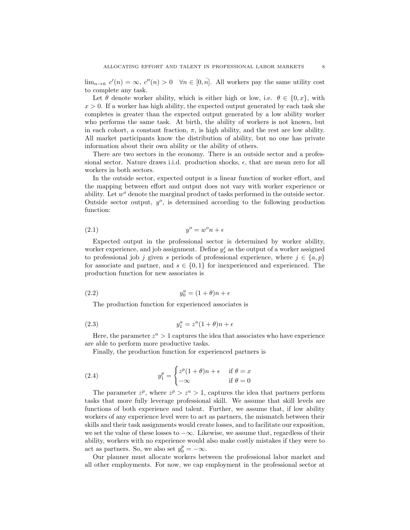$\lim_{n\to\bar{n}} c'(n) = \infty, c''(n) > 0 \quad \forall n \in [0, \bar{n}].$  All workers pay the same utility cost to complete any task.

Let  $\theta$  denote worker ability, which is either high or low, i.e.  $\theta \in \{0, x\}$ , with  $x > 0$ . If a worker has high ability, the expected output generated by each task she completes is greater than the expected output generated by a low ability worker who performs the same task. At birth, the ability of workers is not known, but in each cohort, a constant fraction,  $\pi$ , is high ability, and the rest are low ability. All market participants know the distribution of ability, but no one has private information about their own ability or the ability of others.

There are two sectors in the economy. There is an outside sector and a professional sector. Nature draws i.i.d. production shocks,  $\epsilon$ , that are mean zero for all workers in both sectors.

In the outside sector, expected output is a linear function of worker effort, and the mapping between effort and output does not vary with worker experience or ability. Let  $w<sup>o</sup>$  denote the marginal product of tasks performed in the outside sector. Outside sector output,  $y^o$ , is determined according to the following production function:

$$
(2.1) \t\t y^o = w^o n + \epsilon
$$

Expected output in the professional sector is determined by worker ability, worker experience, and job assignment. Define  $y_s^j$  as the output of a worker assigned to professional job j given s periods of professional experience, where  $j \in \{a, p\}$ for associate and partner, and  $s \in \{0,1\}$  for inexperienced and experienced. The production function for new associates is

$$
(2.2) \t\t y_0^a = (1 + \theta)n + \epsilon
$$

The production function for experienced associates is

$$
(2.3) \t\t y_1^a = z^a (1 + \theta)n + \epsilon
$$

Here, the parameter  $z^a > 1$  captures the idea that associates who have experience are able to perform more productive tasks.

Finally, the production function for experienced partners is

(2.4) 
$$
y_1^p = \begin{cases} z^p (1+\theta)n + \epsilon & \text{if } \theta = x \\ -\infty & \text{if } \theta = 0 \end{cases}
$$

The parameter  $z^p$ , where  $z^p > z^a > 1$ , captures the idea that partners perform tasks that more fully leverage professional skill. We assume that skill levels are functions of both experience and talent. Further, we assume that, if low ability workers of any experience level were to act as partners, the mismatch between their skills and their task assignments would create losses, and to facilitate our exposition, we set the value of these losses to  $-\infty$ . Likewise, we assume that, regardless of their ability, workers with no experience would also make costly mistakes if they were to act as partners. So, we also set  $y_0^p = -\infty$ .

Our planner must allocate workers between the professional labor market and all other employments. For now, we cap employment in the professional sector at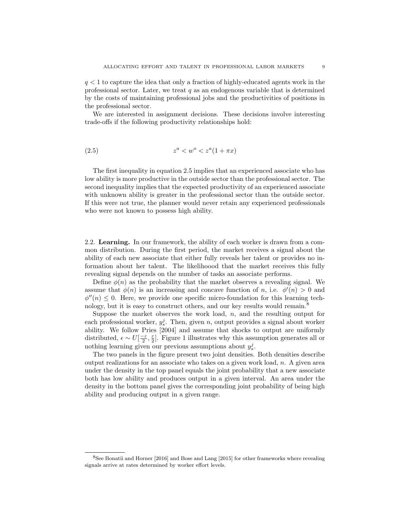$q < 1$  to capture the idea that only a fraction of highly-educated agents work in the professional sector. Later, we treat  $q$  as an endogenous variable that is determined by the costs of maintaining professional jobs and the productivities of positions in the professional sector.

We are interested in assignment decisions. These decisions involve interesting trade-offs if the following productivity relationships hold:

$$
(2.5) \t\t\t z^a < w^o < z^a(1 + \pi x)
$$

The first inequality in equation 2.5 implies that an experienced associate who has low ability is more productive in the outside sector than the professional sector. The second inequality implies that the expected productivity of an experienced associate with unknown ability is greater in the professional sector than the outside sector. If this were not true, the planner would never retain any experienced professionals who were not known to possess high ability.

2.2. Learning. In our framework, the ability of each worker is drawn from a common distribution. During the first period, the market receives a signal about the ability of each new associate that either fully reveals her talent or provides no information about her talent. The likelihoood that the market receives this fully revealing signal depends on the number of tasks an associate performs.

Define  $\phi(n)$  as the probability that the market observes a revealing signal. We assume that  $\phi(n)$  is an increasing and concave function of n, i.e.  $\phi'(n) > 0$  and  $\phi''(n) \leq 0$ . Here, we provide one specific micro-foundation for this learning technology, but it is easy to construct others, and our key results would remain.<sup>8</sup>

Suppose the market observes the work load,  $n$ , and the resulting output for each professional worker,  $y_s^j$ . Then, given n, output provides a signal about worker ability. We follow Pries [2004] and assume that shocks to output are uniformly distributed,  $\epsilon \sim U\left[\frac{-\varepsilon}{2},\frac{\varepsilon}{2}\right]$ . Figure 1 illustrates why this assumption generates all or nothing learning given our previous assumptions about  $y_s^j$ .

The two panels in the figure present two joint densities. Both densities describe output realizations for an associate who takes on a given work load,  $n$ . A given area under the density in the top panel equals the joint probability that a new associate both has low ability and produces output in a given interval. An area under the density in the bottom panel gives the corresponding joint probability of being high ability and producing output in a given range.

<sup>8</sup>See Bonatii and Horner [2016] and Bose and Lang [2015] for other frameworks where revealing signals arrive at rates determined by worker effort levels.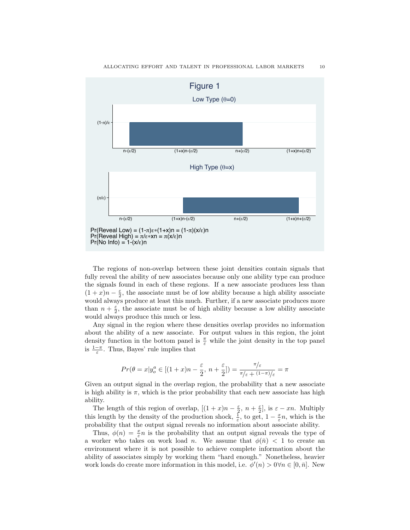

Figure 1

The regions of non-overlap between these joint densities contain signals that fully reveal the ability of new associates because only one ability type can produce the signals found in each of these regions. If a new associate produces less than  $(1+x)n - \frac{\varepsilon}{2}$ , the associate must be of low ability because a high ability associate would always produce at least this much. Further, if a new associate produces more than  $n + \frac{\varepsilon}{2}$ , the associate must be of high ability because a low ability associate would always produce this much or less.

Any signal in the region where these densities overlap provides no information about the ability of a new associate. For output values in this region, the joint density function in the bottom panel is  $\frac{\pi}{\varepsilon}$  while the joint density in the top panel is  $\frac{1-\pi}{\varepsilon}$ . Thus, Bayes' rule implies that

$$
Pr(\theta = x | y_o^a \in [(1+x)n - \frac{\varepsilon}{2}, n + \frac{\varepsilon}{2}]) = \frac{\pi}{\pi/(\varepsilon + (1-\pi)/\varepsilon)} = \pi
$$

Given an output signal in the overlap region, the probability that a new associate is high ability is  $\pi$ , which is the prior probability that each new associate has high ability.

The length of this region of overlap,  $[(1+x)n - \frac{\varepsilon}{2}, n + \frac{\varepsilon}{2}]$ , is  $\varepsilon - xn$ . Multiply this length by the density of the production shock,  $\frac{1}{\varepsilon}$ , to get,  $1 - \frac{x}{\varepsilon}n$ , which is the probability that the output signal reveals no information about associate ability.

Thus,  $\phi(n) = \frac{x}{\varepsilon} n$  is the probability that an output signal reveals the type of a worker who takes on work load *n*. We assume that  $\phi(\bar{n}) < 1$  to create an environment where it is not possible to achieve complete information about the ability of associates simply by working them "hard enough." Nonetheless, heavier work loads do create more information in this model, i.e.  $\phi'(n) > 0 \forall n \in [0, \bar{n}]$ . New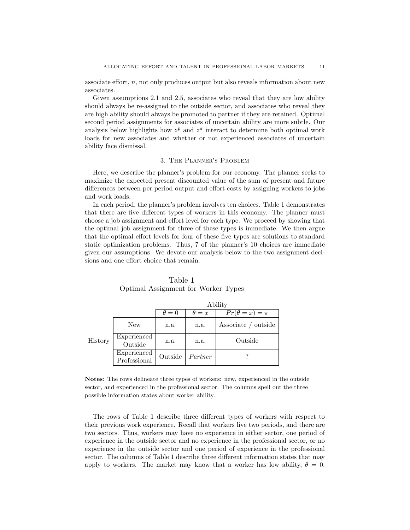associate effort, n, not only produces output but also reveals information about new associates.

Given assumptions 2.1 and 2.5, associates who reveal that they are low ability should always be re-assigned to the outside sector, and associates who reveal they are high ability should always be promoted to partner if they are retained. Optimal second period assignments for associates of uncertain ability are more subtle. Our analysis below highlights how  $z^p$  and  $z^a$  interact to determine both optimal work loads for new associates and whether or not experienced associates of uncertain ability face dismissal.

#### 3. The Planner's Problem

Here, we describe the planner's problem for our economy. The planner seeks to maximize the expected present discounted value of the sum of present and future differences between per period output and effort costs by assigning workers to jobs and work loads.

In each period, the planner's problem involves ten choices. Table 1 demonstrates that there are five different types of workers in this economy. The planner must choose a job assignment and effort level for each type. We proceed by showing that the optimal job assignment for three of these types is immediate. We then argue that the optimal effort levels for four of these five types are solutions to standard static optimization problems. Thus, 7 of the planner's 10 choices are immediate given our assumptions. We devote our analysis below to the two assignment decisions and one effort choice that remain.

|         |                             | Ability      |              |                        |  |
|---------|-----------------------------|--------------|--------------|------------------------|--|
|         |                             | $\theta = 0$ | $\theta = x$ | $Pr(\theta = x) = \pi$ |  |
| History | New                         | n.a.         | n.a.         | Associate / outside    |  |
|         | Experienced<br>Outside      | n.a.         | n.a.         | Outside                |  |
|         | Experienced<br>Professional | Outside      | Partner      |                        |  |

Table 1 Optimal Assignment for Worker Types

Notes: The rows delineate three types of workers: new, experienced in the outside sector, and experienced in the professional sector. The columns spell out the three possible information states about worker ability.

The rows of Table 1 describe three different types of workers with respect to their previous work experience. Recall that workers live two periods, and there are two sectors. Thus, workers may have no experience in either sector, one period of experience in the outside sector and no experience in the professional sector, or no experience in the outside sector and one period of experience in the professional sector. The columns of Table 1 describe three different information states that may apply to workers. The market may know that a worker has low ability,  $\theta = 0$ .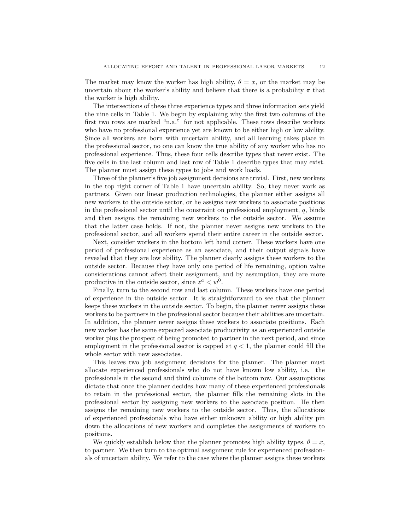The market may know the worker has high ability,  $\theta = x$ , or the market may be uncertain about the worker's ability and believe that there is a probability  $\pi$  that the worker is high ability.

The intersections of these three experience types and three information sets yield the nine cells in Table 1. We begin by explaining why the first two columns of the first two rows are marked "n.a." for not applicable. These rows describe workers who have no professional experience yet are known to be either high or low ability. Since all workers are born with uncertain ability, and all learning takes place in the professional sector, no one can know the true ability of any worker who has no professional experience. Thus, these four cells describe types that never exist. The five cells in the last column and last row of Table 1 describe types that may exist. The planner must assign these types to jobs and work loads.

Three of the planner's five job assignment decisions are trivial. First, new workers in the top right corner of Table 1 have uncertain ability. So, they never work as partners. Given our linear production technologies, the planner either assigns all new workers to the outside sector, or he assigns new workers to associate positions in the professional sector until the constraint on professional employment,  $q$ , binds and then assigns the remaining new workers to the outside sector. We assume that the latter case holds. If not, the planner never assigns new workers to the professional sector, and all workers spend their entire career in the outside sector.

Next, consider workers in the bottom left hand corner. These workers have one period of professional experience as an associate, and their output signals have revealed that they are low ability. The planner clearly assigns these workers to the outside sector. Because they have only one period of life remaining, option value considerations cannot affect their assignment, and by assumption, they are more productive in the outside sector, since  $z^a < w^0$ .

Finally, turn to the second row and last column. These workers have one period of experience in the outside sector. It is straightforward to see that the planner keeps these workers in the outside sector. To begin, the planner never assigns these workers to be partners in the professional sector because their abilities are uncertain. In addition, the planner never assigns these workers to associate positions. Each new worker has the same expected associate productivity as an experienced outside worker plus the prospect of being promoted to partner in the next period, and since employment in the professional sector is capped at  $q < 1$ , the planner could fill the whole sector with new associates.

This leaves two job assignment decisions for the planner. The planner must allocate experienced professionals who do not have known low ability, i.e. the professionals in the second and third columns of the bottom row. Our assumptions dictate that once the planner decides how many of these experienced professionals to retain in the professional sector, the planner fills the remaining slots in the professional sector by assigning new workers to the associate position. He then assigns the remaining new workers to the outside sector. Thus, the allocations of experienced professionals who have either unknown ability or high ability pin down the allocations of new workers and completes the assignments of workers to positions.

We quickly establish below that the planner promotes high ability types,  $\theta = x$ , to partner. We then turn to the optimal assignment rule for experienced professionals of uncertain ability. We refer to the case where the planner assigns these workers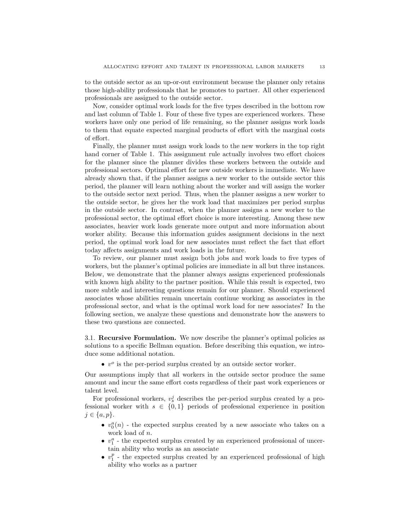to the outside sector as an up-or-out environment because the planner only retains those high-ability professionals that he promotes to partner. All other experienced professionals are assigned to the outside sector.

Now, consider optimal work loads for the five types described in the bottom row and last column of Table 1. Four of these five types are experienced workers. These workers have only one period of life remaining, so the planner assigns work loads to them that equate expected marginal products of effort with the marginal costs of effort.

Finally, the planner must assign work loads to the new workers in the top right hand corner of Table 1. This assignment rule actually involves two effort choices for the planner since the planner divides these workers between the outside and professional sectors. Optimal effort for new outside workers is immediate. We have already shown that, if the planner assigns a new worker to the outside sector this period, the planner will learn nothing about the worker and will assign the worker to the outside sector next period. Thus, when the planner assigns a new worker to the outside sector, he gives her the work load that maximizes per period surplus in the outside sector. In contrast, when the planner assigns a new worker to the professional sector, the optimal effort choice is more interesting. Among these new associates, heavier work loads generate more output and more information about worker ability. Because this information guides assignment decisions in the next period, the optimal work load for new associates must reflect the fact that effort today affects assignments and work loads in the future.

To review, our planner must assign both jobs and work loads to five types of workers, but the planner's optimal policies are immediate in all but three instances. Below, we demonstrate that the planner always assigns experienced professionals with known high ability to the partner position. While this result is expected, two more subtle and interesting questions remain for our planner. Should experienced associates whose abilities remain uncertain continue working as associates in the professional sector, and what is the optimal work load for new associates? In the following section, we analyze these questions and demonstrate how the answers to these two questions are connected.

3.1. Recursive Formulation. We now describe the planner's optimal policies as solutions to a specific Bellman equation. Before describing this equation, we introduce some additional notation.

 $\bullet$  v<sup>o</sup> is the per-period surplus created by an outside sector worker.

Our assumptions imply that all workers in the outside sector produce the same amount and incur the same effort costs regardless of their past work experiences or talent level.

For professional workers,  $v_s^j$  describes the per-period surplus created by a professional worker with  $s \in \{0,1\}$  periods of professional experience in position  $j \in \{a, p\}.$ 

- $\bullet \; \; v_0^a(n)$  the expected surplus created by a new associate who takes on a work load of n.
- $\bullet \;\; v_1^a$  the expected surplus created by an experienced professional of uncertain ability who works as an associate
- $\bullet \;\; v_1^{p}$  the expected surplus created by an experienced professional of high ability who works as a partner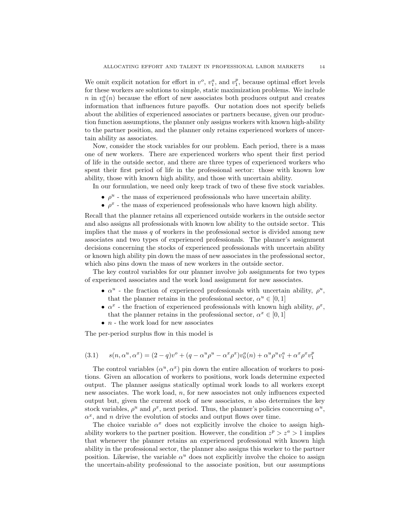We omit explicit notation for effort in  $v^o$ ,  $v_1^a$ , and  $v_1^p$ , because optimal effort levels for these workers are solutions to simple, static maximization problems. We include n in  $v_0^a(n)$  because the effort of new associates both produces output and creates information that influences future payoffs. Our notation does not specify beliefs about the abilities of experienced associates or partners because, given our production function assumptions, the planner only assigns workers with known high-ability to the partner position, and the planner only retains experienced workers of uncertain ability as associates.

Now, consider the stock variables for our problem. Each period, there is a mass one of new workers. There are experienced workers who spent their first period of life in the outside sector, and there are three types of experienced workers who spent their first period of life in the professional sector: those with known low ability, those with known high ability, and those with uncertain ability.

In our formulation, we need only keep track of two of these five stock variables.

- $\bullet$   $\rho^u$  the mass of experienced professionals who have uncertain ability.
- $\bullet$   $\rho^x$  the mass of experienced professionals who have known high ability.

Recall that the planner retains all experienced outside workers in the outside sector and also assigns all professionals with known low ability to the outside sector. This implies that the mass  $q$  of workers in the professional sector is divided among new associates and two types of experienced professionals. The planner's assignment decisions concerning the stocks of experienced professionals with uncertain ability or known high ability pin down the mass of new associates in the professional sector, which also pins down the mass of new workers in the outside sector.

The key control variables for our planner involve job assignments for two types of experienced associates and the work load assignment for new associates.

- $\alpha^u$  the fraction of experienced professionals with uncertain ability,  $\rho^u$ , that the planner retains in the professional sector,  $\alpha^u \in [0, 1]$
- $\alpha^x$  the fraction of experienced professionals with known high ability,  $\rho^x$ , that the planner retains in the professional sector,  $\alpha^x \in [0,1]$
- $n$  the work load for new associates

The per-period surplus flow in this model is

(3.1) 
$$
s(n, \alpha^u, \alpha^x) = (2-q)v^o + (q - \alpha^u \rho^u - \alpha^x \rho^x)v_0^a(n) + \alpha^u \rho^u v_1^a + \alpha^x \rho^x v_1^p
$$

The control variables  $(\alpha^u, \alpha^x)$  pin down the entire allocation of workers to positions. Given an allocation of workers to positions, work loads determine expected output. The planner assigns statically optimal work loads to all workers except new associates. The work load, n, for new associates not only influences expected output but, given the current stock of new associates,  $n$  also determines the key stock variables,  $\rho^u$  and  $\rho^x$ , next period. Thus, the planner's policies concerning  $\alpha^u$ ,  $\alpha^x$ , and n drive the evolution of stocks and output flows over time.

The choice variable  $\alpha^x$  does not explicitly involve the choice to assign highability workers to the partner position. However, the condition  $z^p > z^a > 1$  implies that whenever the planner retains an experienced professional with known high ability in the professional sector, the planner also assigns this worker to the partner position. Likewise, the variable  $\alpha^u$  does not explicitly involve the choice to assign the uncertain-ability professional to the associate position, but our assumptions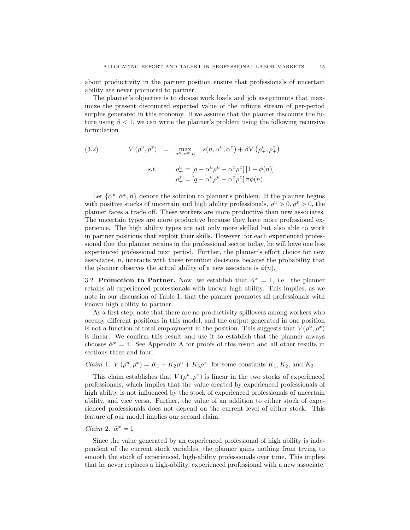about productivity in the partner position ensure that professionals of uncertain ability are never promoted to partner.

The planner's objective is to choose work loads and job assignments that maximize the present discounted expected value of the infinite stream of per-period surplus generated in this economy. If we assume that the planner discounts the future using  $\beta < 1$ , we can write the planner's problem using the following recursive formulation

(3.2) 
$$
V(\rho^u, \rho^x) = \max_{\alpha^u, \alpha^x, n} s(n, \alpha^u, \alpha^x) + \beta V(\rho^u_+, \rho^x_+)
$$

$$
s.t. \qquad \rho^u_+ = [q - \alpha^u \rho^u - \alpha^x \rho^x][1 - \phi(n)]
$$

$$
\rho^x_+ = [q - \alpha^u \rho^u - \alpha^x \rho^x] \pi \phi(n)
$$

Let  $\{\hat{\alpha}^u, \hat{\alpha}^x, \hat{n}\}\$  denote the solution to planner's problem. If the planner begins with positive stocks of uncertain and high ability professionals,  $\rho^u > 0$ ,  $\rho^x > 0$ , the planner faces a trade off. These workers are more productive than new associates. The uncertain types are more productive because they have more professional experience. The high ability types are not only more skilled but also able to work in partner positions that exploit their skills. However, for each experienced professional that the planner retains in the professional sector today, he will have one less experienced professional next period. Further, the planner's effort choice for new associates, n, interacts with these retention decisions because the probability that the planner observes the actual ability of a new associate is  $\phi(n)$ .

3.2. Promotion to Partner. Now, we establish that  $\hat{\alpha}^x = 1$ , i.e. the planner retains all experienced professionals with known high ability. This implies, as we note in our discussion of Table 1, that the planner promotes all professionals with known high ability to partner.

As a first step, note that there are no productivity spillovers among workers who occupy different positions in this model, and the output generated in one position is not a function of total employment in the position. This suggests that  $V(\rho^u, \rho^x)$ is linear. We confirm this result and use it to establish that the planner always chooses  $\hat{\alpha}^x = 1$ . See Appendix A for proofs of this result and all other results in sections three and four.

#### Claim 1.  $V(\rho^u, \rho^x) = K_1 + K_2 \rho^u + K_3 \rho^x$  for some constants  $K_1, K_2$ , and  $K_3$ .

This claim establishes that  $V(\rho^u, \rho^x)$  is linear in the two stocks of experienced professionals, which implies that the value created by experienced professionals of high ability is not influenced by the stock of experienced professionals of uncertain ability, and vice versa. Further, the value of an addition to either stock of experienced professionals does not depend on the current level of either stock. This feature of our model implies our second claim.

#### Claim 2.  $\hat{\alpha}^x = 1$

Since the value generated by an experienced professional of high ability is independent of the current stock variables, the planner gains nothing from trying to smooth the stock of experienced, high-ability professionals over time. This implies that he never replaces a high-ability, experienced professional with a new associate.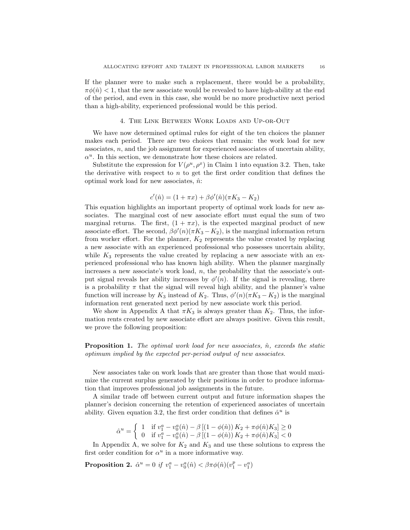If the planner were to make such a replacement, there would be a probability,  $\pi\phi(\hat{n})$  < 1, that the new associate would be revealed to have high-ability at the end of the period, and even in this case, she would be no more productive next period than a high-ability, experienced professional would be this period.

#### 4. The Link Between Work Loads and Up-or-Out

We have now determined optimal rules for eight of the ten choices the planner makes each period. There are two choices that remain: the work load for new associates,  $n$ , and the job assignment for experienced associates of uncertain ability,  $\alpha^u$ . In this section, we demonstrate how these choices are related.

Substitute the expression for  $V(\rho^u, \rho^x)$  in Claim 1 into equation 3.2. Then, take the derivative with respect to  $n$  to get the first order condition that defines the optimal work load for new associates,  $\hat{n}$ :

$$
c'(\hat{n}) = (1 + \pi x) + \beta \phi'(\hat{n}) (\pi K_3 - K_2)
$$

This equation highlights an important property of optimal work loads for new associates. The marginal cost of new associate effort must equal the sum of two marginal returns. The first,  $(1 + \pi x)$ , is the expected marginal product of new associate effort. The second,  $\beta \phi'(n) (\pi K_3 - K_2)$ , is the marginal information return from worker effort. For the planner,  $K_2$  represents the value created by replacing a new associate with an experienced professional who possesses uncertain ability, while  $K_3$  represents the value created by replacing a new associate with an experienced professional who has known high ability. When the planner marginally increases a new associate's work load,  $n$ , the probability that the associate's output signal reveals her ability increases by  $\phi'(n)$ . If the signal is revealing, there is a probability  $\pi$  that the signal will reveal high ability, and the planner's value function will increase by  $K_3$  instead of  $K_2$ . Thus,  $\phi'(n)(\pi K_3 - K_2)$  is the marginal information rent generated next period by new associate work this period.

We show in Appendix A that  $\pi K_3$  is always greater than  $K_2$ . Thus, the information rents created by new associate effort are always positive. Given this result, we prove the following proposition:

**Proposition 1.** The optimal work load for new associates,  $\hat{n}$ , exceeds the static optimum implied by the expected per-period output of new associates.

New associates take on work loads that are greater than those that would maximize the current surplus generated by their positions in order to produce information that improves professional job assignments in the future.

A similar trade off between current output and future information shapes the planner's decision concerning the retention of experienced associates of uncertain ability. Given equation 3.2, the first order condition that defines  $\hat{\alpha}^u$  is

$$
\hat{\alpha}^u = \begin{cases} 1 & \text{if } v_1^a - v_0^a(\hat{n}) - \beta \left[ (1 - \phi(\hat{n})) K_2 + \pi \phi(\hat{n}) K_3 \right] \ge 0 \\ 0 & \text{if } v_1^a - v_0^a(\hat{n}) - \beta \left[ (1 - \phi(\hat{n})) K_2 + \pi \phi(\hat{n}) K_3 \right] < 0 \end{cases}
$$

In Appendix A, we solve for  $K_2$  and  $K_3$  and use these solutions to express the first order condition for  $\alpha^u$  in a more informative way.

**Proposition 2.**  $\hat{\alpha}^u = 0$  if  $v_1^a - v_0^a(\hat{n}) < \beta \pi \phi(\hat{n}) (v_1^p - v_1^a)$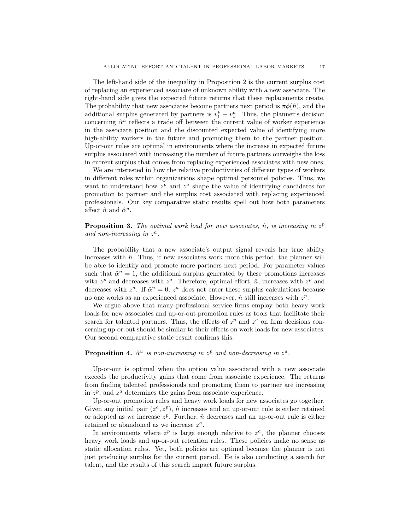The left-hand side of the inequality in Proposition 2 is the current surplus cost of replacing an experienced associate of unknown ability with a new associate. The right-hand side gives the expected future returns that these replacements create. The probability that new associates become partners next period is  $\pi\phi(\hat{n})$ , and the additional surplus generated by partners is  $v_1^p - v_1^a$ . Thus, the planner's decision concerning  $\hat{\alpha}^u$  reflects a trade off between the current value of worker experience in the associate position and the discounted expected value of identifying more high-ability workers in the future and promoting them to the partner position. Up-or-out rules are optimal in environments where the increase in expected future surplus associated with increasing the number of future partners outweighs the loss in current surplus that comes from replacing experienced associates with new ones.

We are interested in how the relative productivities of different types of workers in different roles within organizations shape optimal personnel policies. Thus, we want to understand how  $z^p$  and  $z^a$  shape the value of identifying candidates for promotion to partner and the surplus cost associated with replacing experienced professionals. Our key comparative static results spell out how both parameters affect  $\hat{n}$  and  $\hat{\alpha}^u$ .

**Proposition 3.** The optimal work load for new associates,  $\hat{n}$ , is increasing in  $z^p$ and non-increasing in  $z^a$ .

The probability that a new associate's output signal reveals her true ability increases with  $\hat{n}$ . Thus, if new associates work more this period, the planner will be able to identify and promote more partners next period. For parameter values such that  $\hat{\alpha}^u = 1$ , the additional surplus generated by these promotions increases with  $z^p$  and decreases with  $z^a$ . Therefore, optimal effort,  $\hat{n}$ , increases with  $z^p$  and decreases with  $z^a$ . If  $\hat{\alpha}^u = 0$ ,  $z^a$  does not enter these surplus calculations because no one works as an experienced associate. However,  $\hat{n}$  still increases with  $z^p$ .

We argue above that many professional service firms employ both heavy work loads for new associates and up-or-out promotion rules as tools that facilitate their search for talented partners. Thus, the effects of  $z^p$  and  $z^a$  on firm decisions concerning up-or-out should be similar to their effects on work loads for new associates. Our second comparative static result confirms this:

#### **Proposition 4.**  $\hat{\alpha}^u$  is non-increasing in  $z^p$  and non-decreasing in  $z^a$ .

Up-or-out is optimal when the option value associated with a new associate exceeds the productivity gains that come from associate experience. The returns from finding talented professionals and promoting them to partner are increasing in  $z^p$ , and  $z^a$  determines the gains from associate experience.

Up-or-out promotion rules and heavy work loads for new associates go together. Given any initial pair  $(z^a, z^p)$ ,  $\hat{n}$  increases and an up-or-out rule is either retained or adopted as we increase  $z^p$ . Further,  $\hat{n}$  decreases and an up-or-out rule is either retained or abandoned as we increase  $z^a$ .

In environments where  $z^p$  is large enough relative to  $z^a$ , the planner chooses heavy work loads and up-or-out retention rules. These policies make no sense as static allocation rules. Yet, both policies are optimal because the planner is not just producing surplus for the current period. He is also conducting a search for talent, and the results of this search impact future surplus.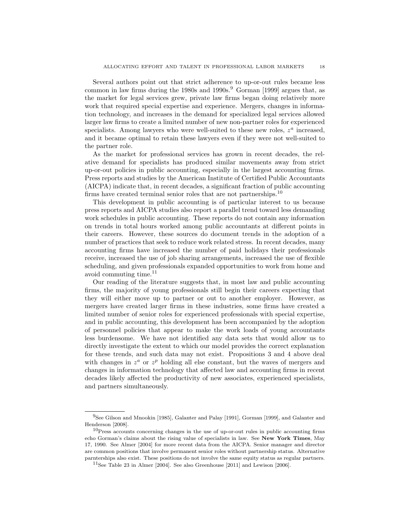Several authors point out that strict adherence to up-or-out rules became less common in law firms during the 1980s and 1990s.<sup>9</sup> Gorman [1999] argues that, as the market for legal services grew, private law firms began doing relatively more work that required special expertise and experience. Mergers, changes in information technology, and increases in the demand for specialized legal services allowed larger law firms to create a limited number of new non-partner roles for experienced specialists. Among lawyers who were well-suited to these new roles,  $z^a$  increased, and it became optimal to retain these lawyers even if they were not well-suited to the partner role.

As the market for professional services has grown in recent decades, the relative demand for specialists has produced similar movements away from strict up-or-out policies in public accounting, especially in the largest accounting firms. Press reports and studies by the American Institute of Certified Public Accountants (AICPA) indicate that, in recent decades, a significant fraction of public accounting firms have created terminal senior roles that are not partnerships.<sup>10</sup>

This development in public accounting is of particular interest to us because press reports and AICPA studies also report a parallel trend toward less demanding work schedules in public accounting. These reports do not contain any information on trends in total hours worked among public accountants at different points in their careers. However, these sources do document trends in the adoption of a number of practices that seek to reduce work related stress. In recent decades, many accounting firms have increased the number of paid holidays their professionals receive, increased the use of job sharing arrangements, increased the use of flexible scheduling, and given professionals expanded opportunities to work from home and avoid commuting time. $11$ 

Our reading of the literature suggests that, in most law and public accounting firms, the majority of young professionals still begin their careers expecting that they will either move up to partner or out to another employer. However, as mergers have created larger firms in these industries, some firms have created a limited number of senior roles for experienced professionals with special expertise, and in public accounting, this development has been accompanied by the adoption of personnel policies that appear to make the work loads of young accountants less burdensome. We have not identified any data sets that would allow us to directly investigate the extent to which our model provides the correct explanation for these trends, and such data may not exist. Propositions 3 and 4 above deal with changes in  $z^a$  or  $z^p$  holding all else constant, but the waves of mergers and changes in information technology that affected law and accounting firms in recent decades likely affected the productivity of new associates, experienced specialists, and partners simultaneously.

<sup>9</sup>See Gilson and Mnookin [1985], Galanter and Palay [1991], Gorman [1999], and Galanter and Henderson [2008].

 $10<sub>Press</sub>$  accounts concerning changes in the use of up-or-out rules in public accounting firms echo Gorman's claims about the rising value of specialists in law. See New York Times, May 17, 1990. See Almer [2004] for more recent data from the AICPA. Senior manager and director are common positions that involve permanent senior roles without partnership status. Alternative parnterships also exist. These positions do not involve the same equity status as regular partners.

 $11$ See Table 23 in Almer [2004]. See also Greenhouse [2011] and Lewison [2006].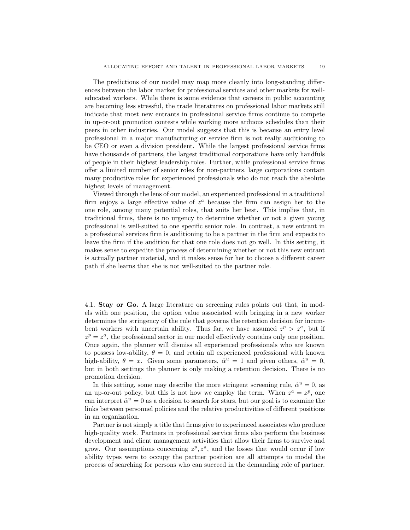The predictions of our model may map more cleanly into long-standing differences between the labor market for professional services and other markets for welleducated workers. While there is some evidence that careers in public accounting are becoming less stressful, the trade literatures on professional labor markets still indicate that most new entrants in professional service firms continue to compete in up-or-out promotion contests while working more arduous schedules than their peers in other industries. Our model suggests that this is because an entry level professional in a major manufacturing or service firm is not really auditioning to be CEO or even a division president. While the largest professional service firms have thousands of partners, the largest traditional corporations have only handfuls of people in their highest leadership roles. Further, while professional service firms offer a limited number of senior roles for non-partners, large corporations contain many productive roles for experienced professionals who do not reach the absolute highest levels of management.

Viewed through the lens of our model, an experienced professional in a traditional firm enjoys a large effective value of  $z^a$  because the firm can assign her to the one role, among many potential roles, that suits her best. This implies that, in traditional firms, there is no urgency to determine whether or not a given young professional is well-suited to one specific senior role. In contrast, a new entrant in a professional services firm is auditioning to be a partner in the firm and expects to leave the firm if the audition for that one role does not go well. In this setting, it makes sense to expedite the process of determining whether or not this new entrant is actually partner material, and it makes sense for her to choose a different career path if she learns that she is not well-suited to the partner role.

4.1. Stay or Go. A large literature on screening rules points out that, in models with one position, the option value associated with bringing in a new worker determines the stringency of the rule that governs the retention decision for incumbent workers with uncertain ability. Thus far, we have assumed  $z^p > z^a$ , but if  $z^p = z^a$ , the professional sector in our model effectively contains only one position. Once again, the planner will dismiss all experienced professionals who are known to possess low-ability,  $\theta = 0$ , and retain all experienced professional with known high-ability,  $\theta = x$ . Given some parameters,  $\hat{\alpha}^u = 1$  and given others,  $\hat{\alpha}^u = 0$ , but in both settings the planner is only making a retention decision. There is no promotion decision.

In this setting, some may describe the more stringent screening rule,  $\hat{\alpha}^u = 0$ , as an up-or-out policy, but this is not how we employ the term. When  $z^a = z^p$ , one can interpret  $\hat{\alpha}^u = 0$  as a decision to search for stars, but our goal is to examine the links between personnel policies and the relative productivities of different positions in an organization.

Partner is not simply a title that firms give to experienced associates who produce high-quality work. Partners in professional service firms also perform the business development and client management activities that allow their firms to survive and grow. Our assumptions concerning  $z^p, z^a$ , and the losses that would occur if low ability types were to occupy the partner position are all attempts to model the process of searching for persons who can succeed in the demanding role of partner.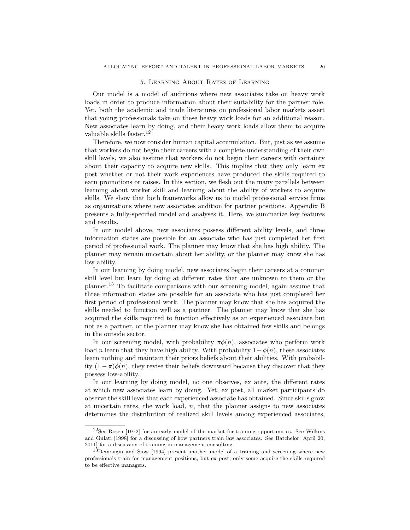#### 5. Learning About Rates of Learning

Our model is a model of auditions where new associates take on heavy work loads in order to produce information about their suitability for the partner role. Yet, both the academic and trade literatures on professional labor markets assert that young professionals take on these heavy work loads for an additional reason. New associates learn by doing, and their heavy work loads allow them to acquire valuable skills faster.<sup>12</sup>

Therefore, we now consider human capital accumulation. But, just as we assume that workers do not begin their careers with a complete understanding of their own skill levels, we also assume that workers do not begin their careers with certainty about their capacity to acquire new skills. This implies that they only learn ex post whether or not their work experiences have produced the skills required to earn promotions or raises. In this section, we flesh out the many parallels between learning about worker skill and learning about the ability of workers to acquire skills. We show that both frameworks allow us to model professional service firms as organizations where new associates audition for partner positions. Appendix B presents a fully-specified model and analyses it. Here, we summarize key features and results.

In our model above, new associates possess different ability levels, and three information states are possible for an associate who has just completed her first period of professional work. The planner may know that she has high ability. The planner may remain uncertain about her ability, or the planner may know she has low ability.

In our learning by doing model, new associates begin their careers at a common skill level but learn by doing at different rates that are unknown to them or the planner.<sup>13</sup> To facilitate comparisons with our screening model, again assume that three information states are possible for an associate who has just completed her first period of professional work. The planner may know that she has acquired the skills needed to function well as a partner. The planner may know that she has acquired the skills required to function effectively as an experienced associate but not as a partner, or the planner may know she has obtained few skills and belongs in the outside sector.

In our screening model, with probability  $\pi\phi(n)$ , associates who perform work load n learn that they have high ability. With probability  $1-\phi(n)$ , these associates learn nothing and maintain their priors beliefs about their abilities. With probability  $(1 - \pi)\phi(n)$ , they revise their beliefs downward because they discover that they possess low-ability.

In our learning by doing model, no one observes, ex ante, the different rates at which new associates learn by doing. Yet, ex post, all market participants do observe the skill level that each experienced associate has obtained. Since skills grow at uncertain rates, the work load,  $n$ , that the planner assigns to new associates determines the distribution of realized skill levels among experienced associates,

 $12$ See Rosen [1972] for an early model of the market for training opportunities. See Wilkins and Gulati [1998] for a discussing of how partners train law associates. See Batchelor [April 20, 2011] for a discussion of training in management consulting.

<sup>13</sup>Demougin and Siow [1994] present another model of a training and screening where new professionals train for management positions, but ex post, only some acquire the skills required to be effective managers.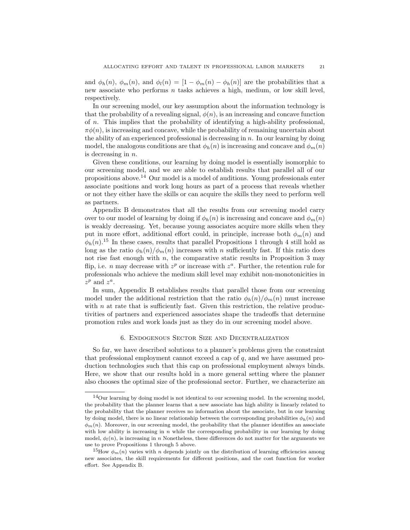and  $\phi_h(n)$ ,  $\phi_m(n)$ , and  $\phi_l(n) = [1 - \phi_m(n) - \phi_h(n)]$  are the probabilities that a new associate who performs  $n$  tasks achieves a high, medium, or low skill level, respectively.

In our screening model, our key assumption about the information technology is that the probability of a revealing signal,  $\phi(n)$ , is an increasing and concave function of n. This implies that the probability of identifying a high-ability professional,  $\pi\phi(n)$ , is increasing and concave, while the probability of remaining uncertain about the ability of an experienced professional is decreasing in  $n$ . In our learning by doing model, the analogous conditions are that  $\phi_h(n)$  is increasing and concave and  $\phi_m(n)$ is decreasing in  $n$ .

Given these conditions, our learning by doing model is essentially isomorphic to our screening model, and we are able to establish results that parallel all of our propositions above.<sup>14</sup> Our model is a model of auditions. Young professionals enter associate positions and work long hours as part of a process that reveals whether or not they either have the skills or can acquire the skills they need to perform well as partners.

Appendix B demonstrates that all the results from our screening model carry over to our model of learning by doing if  $\phi_h(n)$  is increasing and concave and  $\phi_m(n)$ is weakly decreasing. Yet, because young associates acquire more skills when they put in more effort, additional effort could, in principle, increase both  $\phi_m(n)$  and  $\phi_h(n)$ <sup>15</sup> In these cases, results that parallel Propositions 1 through 4 still hold as long as the ratio  $\phi_h(n)/\phi_m(n)$  increases with n sufficiently fast. If this ratio does not rise fast enough with  $n$ , the comparative static results in Proposition 3 may flip, i.e. *n* may decrease with  $z^p$  or increase with  $z^a$ . Further, the retention rule for professionals who achieve the medium skill level may exhibit non-monotonicities in  $z^p$  and  $z^a$ .

In sum, Appendix B establishes results that parallel those from our screening model under the additional restriction that the ratio  $\phi_h(n)/\phi_m(n)$  must increase with  $n$  at rate that is sufficiently fast. Given this restriction, the relative productivities of partners and experienced associates shape the tradeoffs that determine promotion rules and work loads just as they do in our screening model above.

#### 6. Endogenous Sector Size and Decentralization

So far, we have described solutions to a planner's problems given the constraint that professional employment cannot exceed a cap of  $q$ , and we have assumed production technologies such that this cap on professional employment always binds. Here, we show that our results hold in a more general setting where the planner also chooses the optimal size of the professional sector. Further, we characterize an

 $14$ Our learning by doing model is not identical to our screening model. In the screening model, the probability that the planner learns that a new associate has high ability is linearly related to the probability that the planner receives no information about the associate, but in our learning by doing model, there is no linear relationship between the corresponding probabilities  $\phi_h(n)$  and  $\phi_m(n)$ . Moreover, in our screening model, the probability that the planner identifies an associate with low ability is increasing in  $n$  while the corresponding probability in our learning by doing model,  $\phi_l(n)$ , is increasing in n Nonetheless, these differences do not matter for the arguments we use to prove Propositions 1 through 5 above.

<sup>&</sup>lt;sup>15</sup>How  $\phi_m(n)$  varies with n depends jointly on the distribution of learning efficiencies among new associates, the skill requirements for different positions, and the cost function for worker effort. See Appendix B.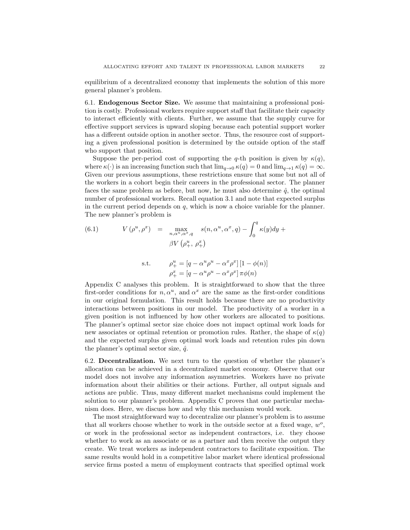equilibrium of a decentralized economy that implements the solution of this more general planner's problem.

6.1. Endogenous Sector Size. We assume that maintaining a professional position is costly. Professional workers require support staff that facilitate their capacity to interact efficiently with clients. Further, we assume that the supply curve for effective support services is upward sloping because each potential support worker has a different outside option in another sector. Thus, the resource cost of supporting a given professional position is determined by the outside option of the staff who support that position.

Suppose the per-period cost of supporting the q-th position is given by  $\kappa(q)$ , where  $\kappa(\cdot)$  is an increasing function such that  $\lim_{q\to 0} \kappa(q) = 0$  and  $\lim_{q\to 1} \kappa(q) = \infty$ . Given our previous assumptions, these restrictions ensure that some but not all of the workers in a cohort begin their careers in the professional sector. The planner faces the same problem as before, but now, he must also determine  $\hat{q}$ , the optimal number of professional workers. Recall equation 3.1 and note that expected surplus in the current period depends on  $q$ , which is now a choice variable for the planner. The new planner's problem is

(6.1) 
$$
V(\rho^u, \rho^x) = \max_{n, \alpha^u, \alpha^x, q} s(n, \alpha^u, \alpha^x, q) - \int_0^q \kappa(y) dy + \beta V(\rho_+^u, \rho_+^x)
$$

s.t. 
$$
\rho_+^u = [q - \alpha^u \rho^u - \alpha^x \rho^x] [1 - \phi(n)]
$$

$$
\rho_+^x = [q - \alpha^u \rho^u - \alpha^x \rho^x] \pi \phi(n)
$$

Appendix C analyses this problem. It is straightforward to show that the three first-order conditions for  $n, \alpha^u$ , and  $\alpha^x$  are the same as the first-order conditions in our original formulation. This result holds because there are no productivity interactions between positions in our model. The productivity of a worker in a given position is not influenced by how other workers are allocated to positions. The planner's optimal sector size choice does not impact optimal work loads for new associates or optimal retention or promotion rules. Rather, the shape of  $\kappa(q)$ and the expected surplus given optimal work loads and retention rules pin down the planner's optimal sector size,  $\hat{q}$ .

6.2. Decentralization. We next turn to the question of whether the planner's allocation can be achieved in a decentralized market economy. Observe that our model does not involve any information asymmetries. Workers have no private information about their abilities or their actions. Further, all output signals and actions are public. Thus, many different market mechanisms could implement the solution to our planner's problem. Appendix C proves that one particular mechanism does. Here, we discuss how and why this mechanism would work.

The most straightforward way to decentralize our planner's problem is to assume that all workers choose whether to work in the outside sector at a fixed wage,  $w^o$ , or work in the professional sector as independent contractors, i.e. they choose whether to work as an associate or as a partner and then receive the output they create. We treat workers as independent contractors to facilitate exposition. The same results would hold in a competitive labor market where identical professional service firms posted a menu of employment contracts that specified optimal work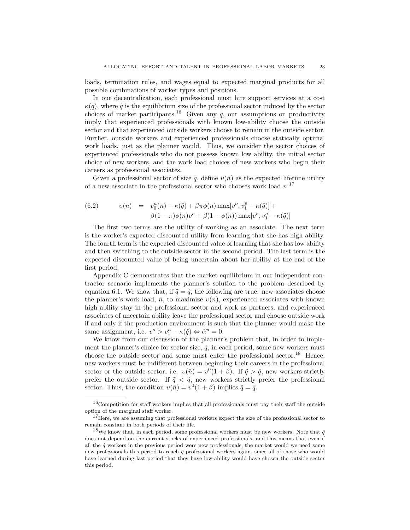loads, termination rules, and wages equal to expected marginal products for all possible combinations of worker types and positions.

In our decentralization, each professional must hire support services at a cost  $\kappa(\tilde{q})$ , where  $\tilde{q}$  is the equilibrium size of the professional sector induced by the sector choices of market participants.<sup>16</sup> Given any  $\tilde{q}$ , our assumptions on productivity imply that experienced professionals with known low-ability choose the outside sector and that experienced outside workers choose to remain in the outside sector. Further, outside workers and experienced professionals choose statically optimal work loads, just as the planner would. Thus, we consider the sector choices of experienced professionals who do not possess known low ability, the initial sector choice of new workers, and the work load choices of new workers who begin their careers as professional associates.

Given a professional sector of size  $\tilde{q}$ , define  $v(n)$  as the expected lifetime utility of a new associate in the professional sector who chooses work load  $n^{17}$ 

(6.2) 
$$
v(n) = v_0^a(n) - \kappa(\tilde{q}) + \beta \pi \phi(n) \max[v^o, v_1^p - \kappa(\tilde{q})] +
$$

$$
\beta(1-\pi)\phi(n)v^o + \beta(1-\phi(n)) \max[v^o, v_1^a - \kappa(\tilde{q})]
$$

The first two terms are the utility of working as an associate. The next term is the worker's expected discounted utility from learning that she has high ability. The fourth term is the expected discounted value of learning that she has low ability and then switching to the outside sector in the second period. The last term is the expected discounted value of being uncertain about her ability at the end of the first period.

Appendix C demonstrates that the market equilibrium in our independent contractor scenario implements the planner's solution to the problem described by equation 6.1. We show that, if  $\tilde{q} = \hat{q}$ , the following are true: new associates choose the planner's work load,  $\hat{n}$ , to maximize  $v(n)$ , experienced associates with known high ability stay in the professional sector and work as partners, and experienced associates of uncertain ability leave the professional sector and choose outside work if and only if the production environment is such that the planner would make the same assignment, i.e.  $v^o > v_1^a - \kappa(\hat{q}) \Leftrightarrow \hat{\alpha}^u = 0$ .

We know from our discussion of the planner's problem that, in order to implement the planner's choice for sector size,  $\hat{q}$ , in each period, some new workers must choose the outside sector and some must enter the professional sector.<sup>18</sup> Hence, new workers must be indifferent between beginning their careers in the professional sector or the outside sector, i.e.  $v(\hat{n}) = v^0(1+\beta)$ . If  $\tilde{q} > \hat{q}$ , new workers strictly prefer the outside sector. If  $\tilde{q} < \hat{q}$ , new workers strictly prefer the professional sector. Thus, the condition  $v(\hat{n}) = v^0(1+\beta)$  implies  $\tilde{q} = \hat{q}$ .

 $16$ Competition for staff workers implies that all professionals must pay their staff the outside option of the marginal staff worker.

 $17$  Here, we are assuming that professional workers expect the size of the professional sector to remain constant in both periods of their life.

<sup>&</sup>lt;sup>18</sup>We know that, in each period, some professional workers must be new workers. Note that  $\hat{q}$ does not depend on the current stocks of experienced professionals, and this means that even if all the  $\hat{q}$  workers in the previous period were new professionals, the market would we need some new professionals this period to reach  $\hat{q}$  professional workers again, since all of those who would have learned during last period that they have low-ability would have chosen the outside sector this period.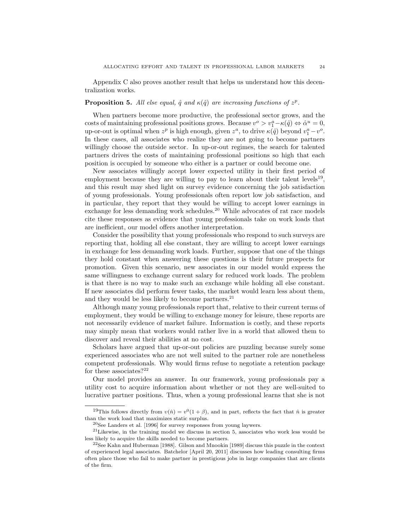Appendix C also proves another result that helps us understand how this decentralization works.

#### **Proposition 5.** All else equal,  $\hat{q}$  and  $\kappa(\hat{q})$  are increasing functions of  $z^p$ .

When partners become more productive, the professional sector grows, and the costs of maintaining professional positions grows. Because  $v^o > v_1^a - \kappa(\hat{q}) \Leftrightarrow \hat{\alpha}^u = 0$ , up-or-out is optimal when  $z^p$  is high enough, given  $z^a$ , to drive  $\kappa(\hat{q})$  beyond  $v_1^a - v^o$ . In these cases, all associates who realize they are not going to become partners willingly choose the outside sector. In up-or-out regimes, the search for talented partners drives the costs of maintaining professional positions so high that each position is occupied by someone who either is a partner or could become one.

New associates willingly accept lower expected utility in their first period of employment because they are willing to pay to learn about their talent levels<sup>19</sup>, and this result may shed light on survey evidence concerning the job satisfaction of young professionals. Young professionals often report low job satisfaction, and in particular, they report that they would be willing to accept lower earnings in exchange for less demanding work schedules.<sup>20</sup> While advocates of rat race models cite these responses as evidence that young professionals take on work loads that are inefficient, our model offers another interpretation.

Consider the possibility that young professionals who respond to such surveys are reporting that, holding all else constant, they are willing to accept lower earnings in exchange for less demanding work loads. Further, suppose that one of the things they hold constant when answering these questions is their future prospects for promotion. Given this scenario, new associates in our model would express the same willingness to exchange current salary for reduced work loads. The problem is that there is no way to make such an exchange while holding all else constant. If new associates did perform fewer tasks, the market would learn less about them, and they would be less likely to become partners. $21$ 

Although many young professionals report that, relative to their current terms of employment, they would be willing to exchange money for leisure, these reports are not necessarily evidence of market failure. Information is costly, and these reports may simply mean that workers would rather live in a world that allowed them to discover and reveal their abilities at no cost.

Scholars have argued that up-or-out policies are puzzling because surely some experienced associates who are not well suited to the partner role are nonetheless competent professionals. Why would firms refuse to negotiate a retention package for these associates? $22$ 

Our model provides an answer. In our framework, young professionals pay a utility cost to acquire information about whether or not they are well-suited to lucrative partner positions. Thus, when a young professional learns that she is not

<sup>&</sup>lt;sup>19</sup>This follows directly from  $v(\hat{n}) = v^0(1+\beta)$ , and in part, reflects the fact that  $\hat{n}$  is greater than the work load that maximizes static surplus.

 $20$ See Landers et al. [1996] for survey responses from young laywers.

 $21$ Likewise, in the training model we discuss in section 5, associates who work less would be less likely to acquire the skills needed to become partners.

<sup>22</sup>See Kahn and Huberman [1988]. Gilson and Mnookin [1989] discuss this puzzle in the context of experienced legal associates. Batchelor [April 20, 2011] discusses how leading consulting firms often place those who fail to make partner in prestigious jobs in large companies that are clients of the firm.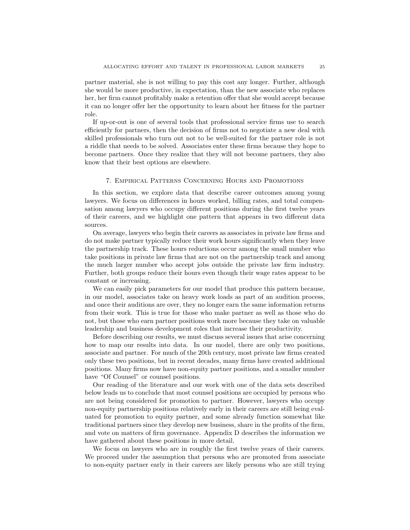partner material, she is not willing to pay this cost any longer. Further, although she would be more productive, in expectation, than the new associate who replaces her, her firm cannot profitably make a retention offer that she would accept because it can no longer offer her the opportunity to learn about her fitness for the partner role.

If up-or-out is one of several tools that professional service firms use to search efficiently for partners, then the decision of firms not to negotiate a new deal with skilled professionals who turn out not to be well-suited for the partner role is not a riddle that needs to be solved. Associates enter these firms because they hope to become partners. Once they realize that they will not become partners, they also know that their best options are elsewhere.

#### 7. Empirical Patterns Concerning Hours and Promotions

In this section, we explore data that describe career outcomes among young lawyers. We focus on differences in hours worked, billing rates, and total compensation among lawyers who occupy different positions during the first twelve years of their careers, and we highlight one pattern that appears in two different data sources.

On average, lawyers who begin their careers as associates in private law firms and do not make partner typically reduce their work hours significantly when they leave the partnership track. These hours reductions occur among the small number who take positions in private law firms that are not on the partnership track and among the much larger number who accept jobs outside the private law firm industry. Further, both groups reduce their hours even though their wage rates appear to be constant or increasing.

We can easily pick parameters for our model that produce this pattern because, in our model, associates take on heavy work loads as part of an audition process, and once their auditions are over, they no longer earn the same information returns from their work. This is true for those who make partner as well as those who do not, but those who earn partner positions work more because they take on valuable leadership and business development roles that increase their productivity.

Before describing our results, we must discuss several issues that arise concerning how to map our results into data. In our model, there are only two positions, associate and partner. For much of the 20th century, most private law firms created only these two positions, but in recent decades, many firms have created additional positions. Many firms now have non-equity partner positions, and a smaller number have "Of Counsel" or counsel positions.

Our reading of the literature and our work with one of the data sets described below leads us to conclude that most counsel positions are occupied by persons who are not being considered for promotion to partner. However, lawyers who occupy non-equity partnership positions relatively early in their careers are still being evaluated for promotion to equity partner, and some already function somewhat like traditional partners since they develop new business, share in the profits of the firm, and vote on matters of firm governance. Appendix D describes the information we have gathered about these positions in more detail.

We focus on lawyers who are in roughly the first twelve years of their careers. We proceed under the assumption that persons who are promoted from associate to non-equity partner early in their careers are likely persons who are still trying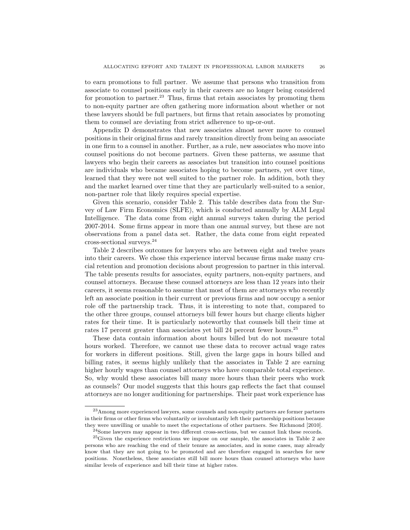to earn promotions to full partner. We assume that persons who transition from associate to counsel positions early in their careers are no longer being considered for promotion to partner.<sup>23</sup> Thus, firms that retain associates by promoting them to non-equity partner are often gathering more information about whether or not these lawyers should be full partners, but firms that retain associates by promoting them to counsel are deviating from strict adherence to up-or-out.

Appendix D demonstrates that new associates almost never move to counsel positions in their original firms and rarely transition directly from being an associate in one firm to a counsel in another. Further, as a rule, new associates who move into counsel positions do not become partners. Given these patterns, we assume that lawyers who begin their careers as associates but transition into counsel positions are individuals who became associates hoping to become partners, yet over time, learned that they were not well suited to the partner role. In addition, both they and the market learned over time that they are particularly well-suited to a senior, non-partner role that likely requires special expertise.

Given this scenario, consider Table 2. This table describes data from the Survey of Law Firm Economics (SLFE), which is conducted annually by ALM Legal Intelligence. The data come from eight annual surveys taken during the period 2007-2014. Some firms appear in more than one annual survey, but these are not observations from a panel data set. Rather, the data come from eight repeated cross-sectional surveys.<sup>24</sup>

Table 2 describes outcomes for lawyers who are between eight and twelve years into their careers. We chose this experience interval because firms make many crucial retention and promotion decisions about progression to partner in this interval. The table presents results for associates, equity partners, non-equity partners, and counsel attorneys. Because these counsel attorneys are less than 12 years into their careers, it seems reasonable to assume that most of them are attorneys who recently left an associate position in their current or previous firms and now occupy a senior role off the partnership track. Thus, it is interesting to note that, compared to the other three groups, counsel attorneys bill fewer hours but charge clients higher rates for their time. It is particularly noteworthy that counsels bill their time at rates 17 percent greater than associates yet bill 24 percent fewer hours.<sup>25</sup>

These data contain information about hours billed but do not measure total hours worked. Therefore, we cannot use these data to recover actual wage rates for workers in different positions. Still, given the large gaps in hours billed and billing rates, it seems highly unlikely that the associates in Table 2 are earning higher hourly wages than counsel attorneys who have comparable total experience. So, why would these associates bill many more hours than their peers who work as counsels? Our model suggests that this hours gap reflects the fact that counsel attorneys are no longer auditioning for partnerships. Their past work experience has

<sup>&</sup>lt;sup>23</sup>Among more experienced lawyers, some counsels and non-equity partners are former partners in their firms or other firms who voluntarily or involuntarily left their partnership positions because they were unwilling or unable to meet the expectations of other partners. See Richmond [2010].

<sup>&</sup>lt;sup>24</sup>Some lawyers may appear in two different cross-sections, but we cannot link these records.

 $^{25}$ Given the experience restrictions we impose on our sample, the associates in Table 2 are persons who are reaching the end of their tenure as associates, and in some cases, may already know that they are not going to be promoted and are therefore engaged in searches for new positions. Nonetheless, these associates still bill more hours than counsel attorneys who have similar levels of experience and bill their time at higher rates.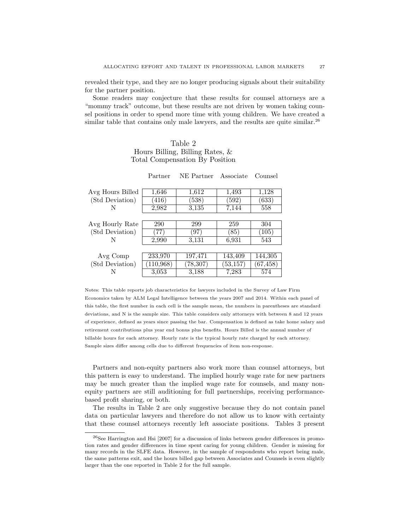revealed their type, and they are no longer producing signals about their suitability for the partner position.

Some readers may conjecture that these results for counsel attorneys are a "mommy track" outcome, but these results are not driven by women taking counsel positions in order to spend more time with young children. We have created a similar table that contains only male lawyers, and the results are quite similar.<sup>26</sup>

#### Table 2 Hours Billing, Billing Rates, & Total Compensation By Position

| Avg Hours Billed | 1,646      | 1,612     | 1,493     | 1,128     |
|------------------|------------|-----------|-----------|-----------|
| (Std Deviation)  | (416)      | (538)     | (592)     | (633)     |
| N                | 2,982      | 3.135     | 7,144     | 558       |
|                  |            |           |           |           |
| Avg Hourly Rate  | 290        | 299       | 259       | 304       |
| (Std Deviation)  | 77)        | (97)      | (85)      | (105)     |
| N                | 2,990      | 3.131     | 6,931     | 543       |
|                  |            |           |           |           |
| Avg Comp         | 233,970    | 197,471   | 143,409   | 144,305   |
| (Std Deviation)  | (110, 968) | (78, 307) | (53, 157) | (67, 458) |
|                  | 3,053      | 3,188     | 7,283     | 574       |

Partner NE Partner Associate Counsel

Notes: This table reports job characteristics for lawyers included in the Survey of Law Firm Economics taken by ALM Legal Intelligence between the years 2007 and 2014. Within each panel of this table, the first number in each cell is the sample mean, the numbers in parentheses are standard deviations, and N is the sample size. This table considers only attorneys with between 8 and 12 years of experience, defined as years since passing the bar. Compensation is defined as take home salary and retirement contributions plus year end bonus plus benefits. Hours Billed is the annual number of billable hours for each attorney. Hourly rate is the typical hourly rate charged by each attorney. Sample sizes differ among cells due to different frequencies of item non-response.

Partners and non-equity partners also work more than counsel attorneys, but this pattern is easy to understand. The implied hourly wage rate for new partners may be much greater than the implied wage rate for counsels, and many nonequity partners are still auditioning for full partnerships, receiving performancebased profit sharing, or both.

The results in Table 2 are only suggestive because they do not contain panel data on particular lawyers and therefore do not allow us to know with certainty that these counsel attorneys recently left associate positions. Tables 3 present

 $^{26}$ See Harrington and Hsi [2007] for a discussion of links between gender differences in promotion rates and gender differences in time spent caring for young children. Gender is missing for many records in the SLFE data. However, in the sample of respondents who report being male, the same patterns exit, and the hours billed gap between Associates and Counsels is even slightly larger than the one reported in Table 2 for the full sample.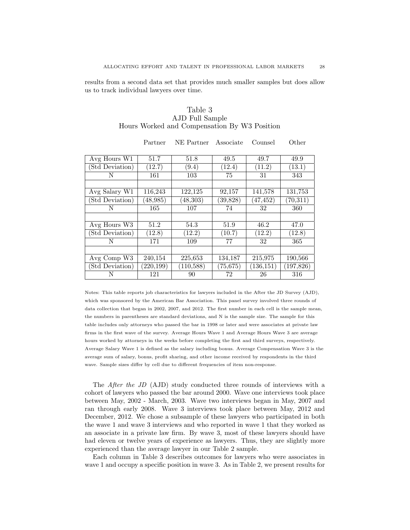results from a second data set that provides much smaller samples but does allow us to track individual lawyers over time.

#### Table 3 AJD Full Sample Hours Worked and Compensation By W3 Position

Partner NE Partner Associate Counsel Other

| Avg Hours W1    | 51.7       | 51.8       | 49.5         | 49.7       | 49.9       |
|-----------------|------------|------------|--------------|------------|------------|
| (Std Deviation) | (12.7)     | (9.4)      | (12.4)       | (11.2)     | (13.1)     |
| N               | 161        | 103        | 75           | 31         | 343        |
|                 |            |            |              |            |            |
| Avg Salary W1   | 116,243    | 122,125    | 92,157       | 141,578    | 131,753    |
| Std Deviation)  | (48, 985)  | (48, 303)  | (39, 828)    | (47, 452)  | (70, 311)  |
| N               | 165        | 107        | 74           | 32         | 360        |
|                 |            |            |              |            |            |
| Avg Hours W3    | 51.2       | 54.3       | 51.9         | 46.2       | 47.0       |
| Std Deviation   | (12.8)     | (12.2)     | (10.7)       | (12.2)     | (12.8)     |
| N               | 171        | 109        | 77           | 32         | 365        |
|                 |            |            |              |            |            |
| Avg Comp W3     | 240,154    | 225,653    | 134,187      | 215,975    | 190,566    |
| Std Deviation)  | (220, 199) | (110, 588) | $(75{,}675)$ | (136, 151) | (197, 826) |
| N               | 121        | 90         | 72           | 26         | 316        |

Notes: This table reports job characteristics for lawyers included in the After the JD Survey (AJD), which was sponsored by the American Bar Association. This panel survey involved three rounds of data collection that began in 2002, 2007, and 2012. The first number in each cell is the sample mean, the numbers in parentheses are standard deviations, and N is the sample size. The sample for this table includes only attorneys who passed the bar in 1998 or later and were associates at private law firms in the first wave of the survey. Average Hours Wave 1 and Average Hours Wave 3 are average hours worked by attorneys in the weeks before completing the first and third surveys, respectively. Average Salary Wave 1 is defined as the salary including bonus. Average Compensation Wave 3 is the average sum of salary, bonus, profit sharing, and other income received by respondents in the third wave. Sample sizes differ by cell due to different frequencies of item non-response.

The *After the JD* (AJD) study conducted three rounds of interviews with a cohort of lawyers who passed the bar around 2000. Wave one interviews took place between May, 2002 - March, 2003. Wave two interviews began in May, 2007 and ran through early 2008. Wave 3 interviews took place between May, 2012 and December, 2012. We chose a subsample of these lawyers who participated in both the wave 1 and wave 3 interviews and who reported in wave 1 that they worked as an associate in a private law firm. By wave 3, most of these lawyers should have had eleven or twelve years of experience as lawyers. Thus, they are slightly more experienced than the average lawyer in our Table 2 sample.

Each column in Table 3 describes outcomes for lawyers who were associates in wave 1 and occupy a specific position in wave 3. As in Table 2, we present results for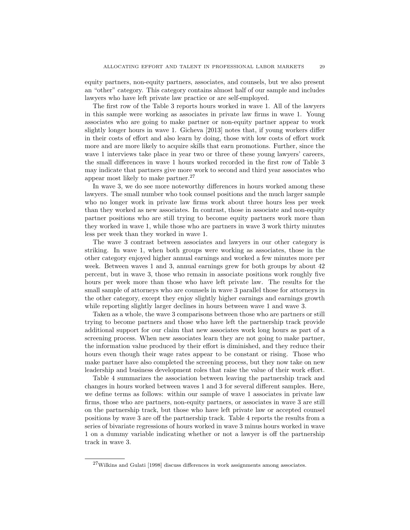equity partners, non-equity partners, associates, and counsels, but we also present an "other" category. This category contains almost half of our sample and includes lawyers who have left private law practice or are self-employed.

The first row of the Table 3 reports hours worked in wave 1. All of the lawyers in this sample were working as associates in private law firms in wave 1. Young associates who are going to make partner or non-equity partner appear to work slightly longer hours in wave 1. Gicheva [2013] notes that, if young workers differ in their costs of effort and also learn by doing, those with low costs of effort work more and are more likely to acquire skills that earn promotions. Further, since the wave 1 interviews take place in year two or three of these young lawyers' careers, the small differences in wave 1 hours worked recorded in the first row of Table 3 may indicate that partners give more work to second and third year associates who appear most likely to make partner.<sup>27</sup>

In wave 3, we do see more noteworthy differences in hours worked among these lawyers. The small number who took counsel positions and the much larger sample who no longer work in private law firms work about three hours less per week than they worked as new associates. In contrast, those in associate and non-equity partner positions who are still trying to become equity partners work more than they worked in wave 1, while those who are partners in wave 3 work thirty minutes less per week than they worked in wave 1.

The wave 3 contrast between associates and lawyers in our other category is striking. In wave 1, when both groups were working as associates, those in the other category enjoyed higher annual earnings and worked a few minutes more per week. Between waves 1 and 3, annual earnings grew for both groups by about 42 percent, but in wave 3, those who remain in associate positions work roughly five hours per week more than those who have left private law. The results for the small sample of attorneys who are counsels in wave 3 parallel those for attorneys in the other category, except they enjoy slightly higher earnings and earnings growth while reporting slightly larger declines in hours between wave 1 and wave 3.

Taken as a whole, the wave 3 comparisons between those who are partners or still trying to become partners and those who have left the partnership track provide additional support for our claim that new associates work long hours as part of a screening process. When new associates learn they are not going to make partner, the information value produced by their effort is diminished, and they reduce their hours even though their wage rates appear to be constant or rising. Those who make partner have also completed the screening process, but they now take on new leadership and business development roles that raise the value of their work effort.

Table 4 summarizes the association between leaving the partnership track and changes in hours worked between waves 1 and 3 for several different samples. Here, we define terms as follows: within our sample of wave 1 associates in private law firms, those who are partners, non-equity partners, or associates in wave 3 are still on the partnership track, but those who have left private law or accepted counsel positions by wave 3 are off the partnership track. Table 4 reports the results from a series of bivariate regressions of hours worked in wave 3 minus hours worked in wave 1 on a dummy variable indicating whether or not a lawyer is off the partnership track in wave 3.

<sup>27</sup>Wilkins and Gulati [1998] discuss differences in work assignments among associates.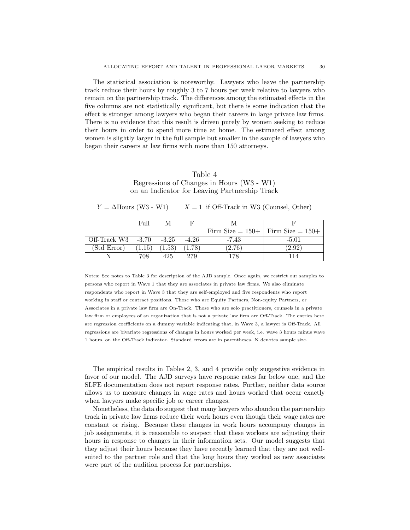The statistical association is noteworthy. Lawyers who leave the partnership track reduce their hours by roughly 3 to 7 hours per week relative to lawyers who remain on the partnership track. The differences among the estimated effects in the five columns are not statistically significant, but there is some indication that the effect is stronger among lawyers who began their careers in large private law firms. There is no evidence that this result is driven purely by women seeking to reduce their hours in order to spend more time at home. The estimated effect among women is slightly larger in the full sample but smaller in the sample of lawyers who began their careers at law firms with more than 150 attorneys.

#### Table 4 Regressions of Changes in Hours (W3 - W1) on an Indicator for Leaving Partnership Track

| $Y = \Delta$ Hours (W3 - W1) |  |  | $X = 1$ if Off-Track in W3 (Counsel, Other) |  |  |  |
|------------------------------|--|--|---------------------------------------------|--|--|--|
|------------------------------|--|--|---------------------------------------------|--|--|--|

|                | Full           | M       |         |                                         |                      |
|----------------|----------------|---------|---------|-----------------------------------------|----------------------|
|                |                |         |         | Firm Size $= 150 +$ Firm Size $= 150 +$ |                      |
| Off-Track $W3$ | $-3.70$        | $-3.25$ | $-4.26$ | -7.43                                   | $-5.01$              |
| (Std Error)    | $1.15^{\circ}$ | 1.53'   | 1.78    | (2.76)                                  | $\left( 2.92\right)$ |
|                | 708            | 425     | 279     | 178                                     |                      |

Notes: See notes to Table 3 for description of the AJD sample. Once again, we restrict our samples to persons who report in Wave 1 that they are associates in private law firms. We also eliminate respondents who report in Wave 3 that they are self-employed and five respondents who report working in staff or contract positions. Those who are Equity Partners, Non-equity Partners, or Associates in a private law firm are On-Track. Those who are solo practitioners, counsels in a private law firm or employees of an organization that is not a private law firm are Off-Track. The entries here are regression coefficients on a dummy variable indicating that, in Wave 3, a lawyer is Off-Track. All regressions are bivariate regressions of changes in hours worked per week, i.e. wave 3 hours minus wave 1 hours, on the Off-Track indicator. Standard errors are in parentheses. N denotes sample size.

The empirical results in Tables 2, 3, and 4 provide only suggestive evidence in favor of our model. The AJD surveys have response rates far below one, and the SLFE documentation does not report response rates. Further, neither data source allows us to measure changes in wage rates and hours worked that occur exactly when lawyers make specific job or career changes.

Nonetheless, the data do suggest that many lawyers who abandon the partnership track in private law firms reduce their work hours even though their wage rates are constant or rising. Because these changes in work hours accompany changes in job assignments, it is reasonable to suspect that these workers are adjusting their hours in response to changes in their information sets. Our model suggests that they adjust their hours because they have recently learned that they are not wellsuited to the partner role and that the long hours they worked as new associates were part of the audition process for partnerships.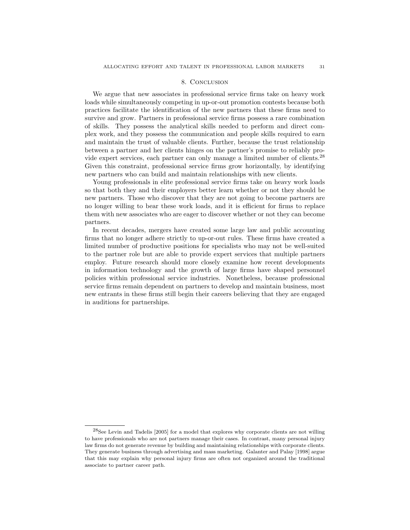#### 8. Conclusion

We argue that new associates in professional service firms take on heavy work loads while simultaneously competing in up-or-out promotion contests because both practices facilitate the identification of the new partners that these firms need to survive and grow. Partners in professional service firms possess a rare combination of skills. They possess the analytical skills needed to perform and direct complex work, and they possess the communication and people skills required to earn and maintain the trust of valuable clients. Further, because the trust relationship between a partner and her clients hinges on the partner's promise to reliably provide expert services, each partner can only manage a limited number of clients.<sup>28</sup> Given this constraint, professional service firms grow horizontally, by identifying new partners who can build and maintain relationships with new clients.

Young professionals in elite professional service firms take on heavy work loads so that both they and their employers better learn whether or not they should be new partners. Those who discover that they are not going to become partners are no longer willing to bear these work loads, and it is efficient for firms to replace them with new associates who are eager to discover whether or not they can become partners.

In recent decades, mergers have created some large law and public accounting firms that no longer adhere strictly to up-or-out rules. These firms have created a limited number of productive positions for specialists who may not be well-suited to the partner role but are able to provide expert services that multiple partners employ. Future research should more closely examine how recent developments in information technology and the growth of large firms have shaped personnel policies within professional service industries. Nonetheless, because professional service firms remain dependent on partners to develop and maintain business, most new entrants in these firms still begin their careers believing that they are engaged in auditions for partnerships.

 $28$ See Levin and Tadelis [2005] for a model that explores why corporate clients are not willing to have professionals who are not partners manage their cases. In contrast, many personal injury law firms do not generate revenue by building and maintaining relationships with corporate clients. They generate business through advertising and mass marketing. Galanter and Palay [1998] argue that this may explain why personal injury firms are often not organized around the traditional associate to partner career path.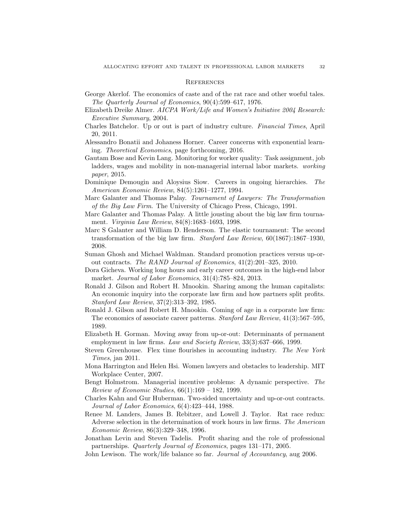#### **REFERENCES**

- George Akerlof. The economics of caste and of the rat race and other woeful tales. The Quarterly Journal of Economics, 90(4):599–617, 1976.
- Elizabeth Dreike Almer. AICPA Work/Life and Women's Initiative 2004 Research: Executive Summary, 2004.
- Charles Batchelor. Up or out is part of industry culture. Financial Times, April 20, 2011.
- Alessandro Bonatii and Johaness Horner. Career concerns with exponential learning. Theoretical Economics, page forthcoming, 2016.
- Gautam Bose and Kevin Lang. Monitoring for worker quality: Task assignment, job ladders, wages and mobility in non-managerial internal labor markets. working paper, 2015.
- Dominique Demougin and Aloysius Siow. Careers in ongoing hierarchies. The American Economic Review, 84(5):1261–1277, 1994.
- Marc Galanter and Thomas Palay. Tournament of Lawyers: The Transformation of the Big Law Firm. The University of Chicago Press, Chicago, 1991.
- Marc Galanter and Thomas Palay. A little jousting about the big law firm tournament. Virginia Law Review, 84(8):1683–1693, 1998.
- Marc S Galanter and William D. Henderson. The elastic tournament: The second transformation of the big law firm. Stanford Law Review, 60(1867):1867–1930, 2008.
- Suman Ghosh and Michael Waldman. Standard promotion practices versus up-orout contracts. The RAND Journal of Economics, 41(2):201–325, 2010.
- Dora Gicheva. Working long hours and early career outcomes in the high-end labor market. Journal of Labor Economics, 31(4):785–824, 2013.
- Ronald J. Gilson and Robert H. Mnookin. Sharing among the human capitalists: An economic inquiry into the corporate law firm and how partners split profits. Stanford Law Review, 37(2):313–392, 1985.
- Ronald J. Gilson and Robert H. Mnookin. Coming of age in a corporate law firm: The economics of associate career patterns. *Stanford Law Review*, 41(3):567–595, 1989.
- Elizabeth H. Gorman. Moving away from up-or-out: Determinants of permanent employment in law firms. Law and Society Review, 33(3):637–666, 1999.
- Steven Greenhouse. Flex time flourishes in accounting industry. The New York Times, jan 2011.
- Mona Harrington and Helen Hsi. Women lawyers and obstacles to leadership. MIT Workplace Center, 2007.
- Bengt Holmstrom. Managerial incentive problems: A dynamic perspective. The *Review of Economic Studies*,  $66(1):169 - 182$ , 1999.
- Charles Kahn and Gur Huberman. Two-sided uncertainty and up-or-out contracts. Journal of Labor Economics, 6(4):423–444, 1988.
- Renee M. Landers, James B. Rebitzer, and Lowell J. Taylor. Rat race redux: Adverse selection in the determination of work hours in law firms. The American Economic Review, 86(3):329–348, 1996.
- Jonathan Levin and Steven Tadelis. Profit sharing and the role of professional partnerships. Quarterly Journal of Economics, pages 131–171, 2005.
- John Lewison. The work/life balance so far. Journal of Accountancy, aug 2006.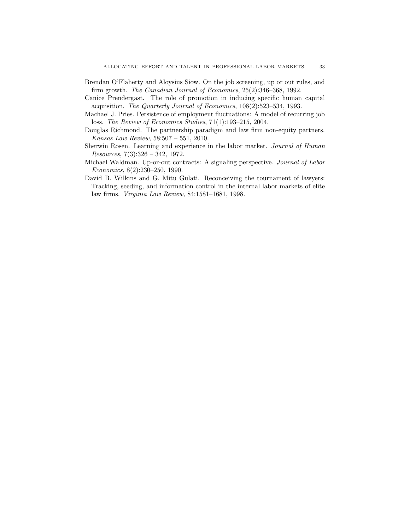- Brendan O'Flaherty and Aloysius Siow. On the job screening, up or out rules, and firm growth. The Canadian Journal of Economics, 25(2):346–368, 1992.
- Canice Prendergast. The role of promotion in inducing specific human capital acquisition. The Quarterly Journal of Economics, 108(2):523–534, 1993.
- Machael J. Pries. Persistence of employment fluctuations: A model of recurring job loss. The Review of Economics Studies, 71(1):193–215, 2004.
- Douglas Richmond. The partnership paradigm and law firm non-equity partners. Kansas Law Review, 58:507 – 551, 2010.
- Sherwin Rosen. Learning and experience in the labor market. Journal of Human Resources, 7(3):326 – 342, 1972.
- Michael Waldman. Up-or-out contracts: A signaling perspective. Journal of Labor Economics, 8(2):230–250, 1990.
- David B. Wilkins and G. Mitu Gulati. Reconceiving the tournament of lawyers: Tracking, seeding, and information control in the internal labor markets of elite law firms. Virginia Law Review, 84:1581–1681, 1998.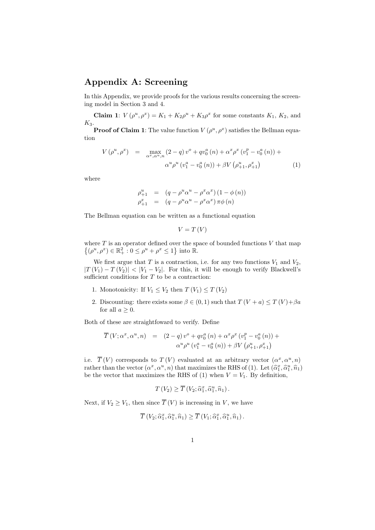### Appendix A: Screening

In this Appendix, we provide proofs for the various results concerning the screening model in Section 3 and 4.

**Claim 1:**  $V(\rho^u, \rho^x) = K_1 + K_2 \rho^u + K_3 \rho^x$  for some constants  $K_1, K_2$ , and  $K_3$ .

**Proof of Claim 1**: The value function  $V(\rho^u, \rho^x)$  satisfies the Bellman equation

$$
V(\rho^u, \rho^x) = \max_{\alpha^x, \alpha^u, n} (2 - q) v^o + q v_0^a(n) + \alpha^x \rho^x (v_1^p - v_0^a(n)) +
$$
  

$$
\alpha^u \rho^u (v_1^a - v_0^a(n)) + \beta V (\rho_{+1}^u, \rho_{+1}^x)
$$
 (1)

where

$$
\begin{array}{rcl}\n\rho_{+1}^u & = & (q - \rho^u \alpha^u - \rho^x \alpha^x) (1 - \phi(n)) \\
\rho_{+1}^x & = & (q - \rho^u \alpha^u - \rho^x \alpha^x) \pi \phi(n)\n\end{array}
$$

The Bellman equation can be written as a functional equation

$$
V = T(V)
$$

where  $T$  is an operator defined over the space of bounded functions  $V$  that map  $\{(\rho^u, \rho^x) \in \mathbb{R}_+^2 : 0 \le \rho^u + \rho^x \le 1\}$  into  $\mathbb{R}$ .

We first argue that  $T$  is a contraction, i.e. for any two functions  $V_1$  and  $V_2$ ,  $|T(V_1) - T(V_2)| < |V_1 - V_2|$ . For this, it will be enough to verify Blackwell's sufficient conditions for  $T$  to be a contraction:

- 1. Monotonicity: If  $V_1 \leq V_2$  then  $T(V_1) \leq T(V_2)$
- 2. Discounting: there exists some  $\beta \in (0,1)$  such that  $T(V + a) \leq T(V) + \beta a$ for all  $a \geq 0$ .

Both of these are straightfoward to verify. Define

$$
\overline{T}(V; \alpha^x, \alpha^u, n) = (2-q) v^o + q v_0^a(n) + \alpha^x \rho^x (v_1^p - v_0^a(n)) +
$$
  

$$
\alpha^u \rho^u (v_1^a - v_0^a(n)) + \beta V (\rho_{+1}^u, \rho_{+1}^x)
$$

i.e.  $\overline{T}(V)$  corresponds to  $T(V)$  evaluated at an arbitrary vector  $(\alpha^x, \alpha^u, n)$ rather than the vector  $(\alpha^x, \alpha^u, n)$  that maximizes the RHS of (1). Let  $(\hat{\alpha}_1^x, \hat{\alpha}_1^u, \hat{n}_1)$ <br>he the vector that maximizes the RHS of (1) when  $V = V$ . By definition be the vector that maximizes the RHS of (1) when  $V = V_1$ . By definition,

$$
T(V_2) \geq \overline{T}(V_2; \widehat{\alpha}_1^x, \widehat{\alpha}_1^u, \widehat{n}_1).
$$

Next, if  $V_2 \geq V_1$ , then since  $\overline{T}(V)$  is increasing in V, we have

$$
\overline{T}(V_2; \widehat{\alpha}_1^x, \widehat{\alpha}_1^u, \widehat{n}_1) \ge \overline{T}(V_1; \widehat{\alpha}_1^x, \widehat{\alpha}_1^u, \widehat{n}_1).
$$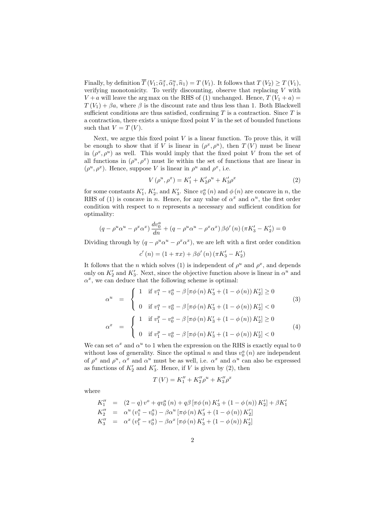Finally, by definition  $\overline{T}(V_1; \hat{\alpha}_1^x, \hat{\alpha}_1^u, \hat{n}_1) = T(V_1)$ . It follows that  $T(V_2) \geq T(V_1)$ , verifying monotonicity. To verify discounting observe that replacing V with verifying monotonicity. To verify discounting, observe that replacing  $V$  with  $V + a$  will leave the arg max on the RHS of (1) unchanged. Hence,  $T(V_1 + a)$  $T(V_1) + \beta a$ , where  $\beta$  is the discount rate and thus less than 1. Both Blackwell sufficient conditions are thus satisfied, confirming  $T$  is a contraction. Since  $T$  is a contraction, there exists a unique fixed point  $V$  in the set of bounded functions such that  $V = T(V)$ .

Next, we argue this fixed point  $V$  is a linear function. To prove this, it will be enough to show that if V is linear in  $(\rho^x, \rho^u)$ , then  $T(V)$  must be linear in  $(\rho^x, \rho^u)$  as well. This would imply that the fixed point V from the set of all functions in  $(\rho^u, \rho^x)$  must lie within the set of functions that are linear in  $(\rho^u, \rho^x)$ . Hence, suppose V is linear in  $\rho^u$  and  $\rho^x$ , i.e.

$$
V(\rho^u, \rho^x) = K_1' + K_2' \rho^u + K_3' \rho^x \tag{2}
$$

for some constants  $K'_1$ ,  $K'_2$ , and  $K'_3$ . Since  $v_0^a(n)$  and  $\phi(n)$  are concave in n, the RHS of (1) is concave in n. Hence, for any value of  $\alpha^x$  and  $\alpha^u$ , the first order condition with respect to n represents a necessary and sufficient condition for optimality:

$$
(q - \rho^u \alpha^u - \rho^x \alpha^x) \frac{dv_0^a}{dn} + (q - \rho^u \alpha^u - \rho^x \alpha^x) \beta \phi'(n) (\pi K_3' - K_2') = 0
$$

Dividing through by  $(q - \rho^u \alpha^u - \rho^x \alpha^x)$ , we are left with a first order condition

 $c'(n) = (1 + \pi x) + \beta \phi'(n) (\pi K_3' - K_2')$ 

It follows that the *n* which solves (1) is independent of  $\rho^u$  and  $\rho^x$ , and depends only on  $K_2'$  and  $K_3'$ . Next, since the objective function above is linear in  $\alpha^u$  and  $\alpha^x$ , we can deduce that the following scheme is optimal:

$$
\alpha^{u} = \begin{cases}\n1 & \text{if } v_{1}^{a} - v_{0}^{a} - \beta \left[ \pi \phi \left( n \right) K_{3}^{\prime} + \left( 1 - \phi \left( n \right) \right) K_{2}^{\prime} \right] \geq 0 \\
0 & \text{if } v_{1}^{a} - v_{0}^{a} - \beta \left[ \pi \phi \left( n \right) K_{3}^{\prime} + \left( 1 - \phi \left( n \right) \right) K_{2}^{\prime} \right] < 0\n\end{cases}
$$
\n
$$
\alpha^{x} = \begin{cases}\n1 & \text{if } v_{1}^{p} - v_{0}^{a} - \beta \left[ \pi \phi \left( n \right) K_{3}^{\prime} + \left( 1 - \phi \left( n \right) \right) K_{2}^{\prime} \right] \geq 0 \\
0 & \text{if } v_{1}^{p} - v_{0}^{a} - \beta \left[ \pi \phi \left( n \right) K_{3}^{\prime} + \left( 1 - \phi \left( n \right) \right) K_{2}^{\prime} \right] < 0\n\end{cases}
$$
\n(4)

We can set  $\alpha^x$  and  $\alpha^u$  to 1 when the expression on the RHS is exactly equal to 0 without loss of generality. Since the optimal  $n$  and thus  $v_0^a(n)$  are independent of  $\rho^x$  and  $\rho^u$ ,  $\alpha^x$  and  $\alpha^u$  must be as well, i.e.  $\alpha^x$  and  $\alpha^u$  can also be expressed as functions of  $K_2'$  and  $K_3'$ . Hence, if V is given by (2), then

$$
T(V) = K_1'' + K_2'' \rho^u + K_3'' \rho^x
$$

where

$$
K_1'' = (2 - q) v^o + q v_0^a(n) + q \beta [\pi \phi(n) K_3' + (1 - \phi(n)) K_2'] + \beta K_1'
$$
  
\n
$$
K_2'' = \alpha^u (v_1^a - v_0^a) - \beta \alpha^u [\pi \phi(n) K_3' + (1 - \phi(n)) K_2']
$$
  
\n
$$
K_3'' = \alpha^x (v_1^p - v_0^a) - \beta \alpha^x [\pi \phi(n) K_3' + (1 - \phi(n)) K_2']
$$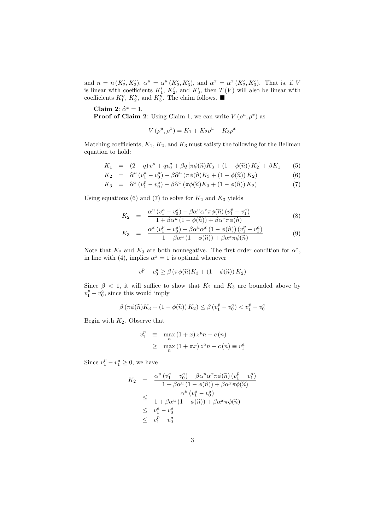and  $n = n(K'_2, K'_3)$ ,  $\alpha^u = \alpha^u(K'_2, K'_3)$ , and  $\alpha^x = \alpha^x(K'_2, K'_3)$ . That is, if V is linear with coefficients  $K'_1$ ,  $K'_2$ , and  $K'_3$ , then  $T(V)$  will also be linear with coefficients  $K_1'', K_2'',$  and  $K_3''$ . The claim follows.

Claim 2:  $\hat{\alpha}^x = 1$ .<br>Proof of Claim

**Proof of Claim 2**: Using Claim 1, we can write  $V(\rho^u, \rho^x)$  as

$$
V(\rho^{u}, \rho^{x}) = K_1 + K_2 \rho^{u} + K_3 \rho^{x}
$$

Matching coefficients,  $K_1$ ,  $K_2$ , and  $K_3$  must satisfy the following for the Bellman equation to hold:

$$
K_1 = (2-q)v^o + qv_0^a + \beta q \left[ \pi \phi(\hat{n}) K_3 + (1-\phi(\hat{n})) K_2 \right] + \beta K_1
$$
 (5)

$$
K_2 = \hat{\alpha}^u (v_1^a - v_0^a) - \beta \hat{\alpha}^u (\pi \phi(\hat{n}) K_3 + (1 - \phi(\hat{n})) K_2)
$$
(6)

$$
K_3 = \widehat{\alpha}^x \left( v_1^p - v_0^a \right) - \beta \widehat{\alpha}^x \left( \pi \phi(\widehat{n}) K_3 + \left( 1 - \phi(\widehat{n}) \right) K_2 \right) \tag{7}
$$

Using equations (6) and (7) to solve for  $K_2$  and  $K_3$  yields

$$
K_2 = \frac{\alpha^u \left(v_1^a - v_0^a\right) - \beta \alpha^u \alpha^x \pi \phi(\hat{n}) \left(v_1^p - v_1^a\right)}{1 + \beta \alpha^u \left(1 - \phi(\hat{n})\right) + \beta \alpha^x \pi \phi(\hat{n})}
$$
(8)

$$
K_3 = \frac{\alpha^x (v_1^p - v_0^a) + \beta \alpha^u \alpha^x (1 - \phi(\widehat{n})) (v_1^p - v_1^a)}{1 + \beta \alpha^u (1 - \phi(\widehat{n})) + \beta \alpha^x \pi \phi(\widehat{n})}
$$
(9)

Note that  $K_2$  and  $K_3$  are both nonnegative. The first order condition for  $\alpha^x$ , in line with (4), implies  $\alpha^x = 1$  is optimal whenever

$$
v_1^p - v_0^a \ge \beta (\pi \phi(\hat{n}) K_3 + (1 - \phi(\hat{n})) K_2)
$$

Since  $\beta$  < 1, it will suffice to show that  $K_2$  and  $K_3$  are bounded above by  $v_1^p - v_0^a$ , since this would imply

$$
\beta (\pi \phi(\widehat{n}) K_3 + (1 - \phi(\widehat{n})) K_2) \le \beta (v_1^p - v_0^a) < v_1^p - v_0^a
$$

Begin with  $K_2$ . Observe that

$$
v_1^p \equiv \max_n (1+x) z^p n - c(n)
$$
  
\n
$$
\geq \max_n (1+\pi x) z^a n - c(n) \equiv v_1^a
$$

Since  $v_1^p - v_1^a \ge 0$ , we have

$$
K_2 = \frac{\alpha^u (v_1^a - v_0^a) - \beta \alpha^u \alpha^x \pi \phi(\hat{n}) (v_1^p - v_1^a)}{1 + \beta \alpha^u (1 - \phi(\hat{n})) + \beta \alpha^x \pi \phi(\hat{n})}
$$
  
\n
$$
\leq \frac{\alpha^u (v_1^a - v_0^a)}{1 + \beta \alpha^u (1 - \phi(\hat{n})) + \beta \alpha^x \pi \phi(\hat{n})}
$$
  
\n
$$
\leq v_1^a - v_0^a
$$
  
\n
$$
\leq v_1^p - v_0^a
$$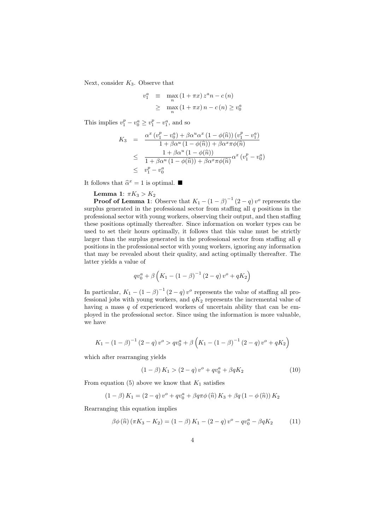Next, consider  $K_3$ . Observe that

$$
v_1^a \equiv \max_n (1 + \pi x) z^a n - c(n)
$$
  
\n
$$
\geq \max_n (1 + \pi x) n - c(n) \geq v_0^a
$$

This implies  $v_1^p - v_0^a \ge v_1^p - v_1^a$ , and so

$$
K_3 = \frac{\alpha^x (v_1^p - v_0^a) + \beta \alpha^u \alpha^x (1 - \phi(\widehat{n})) (v_1^p - v_1^a)}{1 + \beta \alpha^u (1 - \phi(\widehat{n})) + \beta \alpha^x \pi \phi(\widehat{n})}
$$
  
\n
$$
\leq \frac{1 + \beta \alpha^u (1 - \phi(\widehat{n}))}{1 + \beta \alpha^u (1 - \phi(\widehat{n})) + \beta \alpha^x \pi \phi(\widehat{n})} \alpha^x (v_1^p - v_0^a)
$$
  
\n
$$
\leq v_1^p - v_0^a
$$

It follows that  $\hat{\alpha}^x = 1$  is optimal.

Lemma 1:  $\pi K_3 > K_2$ 

**Proof of Lemma 1:** Observe that  $K_1 - (1 - \beta)^{-1} (2 - q) v^{\circ}$  represents the surplus generated in the professional sector from staffing all  $q$  positions in the professional sector with young workers, observing their output, and then staffing these positions optimally thereafter. Since information on worker types can be used to set their hours optimally, it follows that this value must be strictly larger than the surplus generated in the professional sector from staffing all  $q$ positions in the professional sector with young workers, ignoring any information that may be revealed about their quality, and acting optimally thereafter. The latter yields a value of

$$
qv_0^a + \beta \left( K_1 - (1 - \beta)^{-1} (2 - q) v^o + qK_2 \right)
$$

In particular,  $K_1 - (1 - \beta)^{-1} (2 - q) v^o$  represents the value of staffing all professional jobs with young workers, and  $qK_2$  represents the incremental value of having a mass q of experienced workers of uncertain ability that can be employed in the professional sector. Since using the information is more valuable, we have

$$
K_1 - (1 - \beta)^{-1} (2 - q) v^o > q v_0^a + \beta \left( K_1 - (1 - \beta)^{-1} (2 - q) v^o + q K_2 \right)
$$

which after rearranging yields

$$
(1 - \beta) K_1 > (2 - q) v^o + q v_0^a + \beta q K_2 \tag{10}
$$

From equation (5) above we know that  $K_1$  satisfies

$$
(1 - \beta) K_1 = (2 - q) v^o + q v_0^a + \beta q \pi \phi(\hat{n}) K_3 + \beta q (1 - \phi(\hat{n})) K_2
$$

Rearranging this equation implies

$$
\beta \phi(\widehat{n}) (\pi K_3 - K_2) = (1 - \beta) K_1 - (2 - q) v^{\circ} - q v_0^a - \beta q K_2 \tag{11}
$$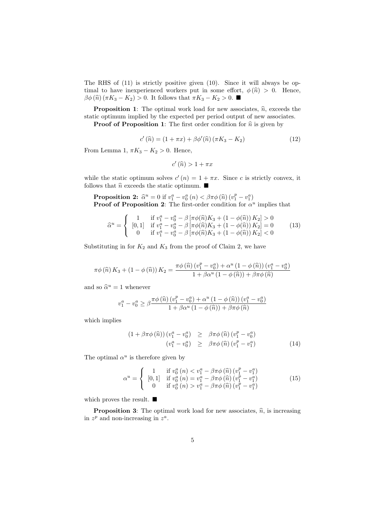The RHS of (11) is strictly positive given (10). Since it will always be optimal to have inexperienced workers put in some effort,  $\phi(\hat{n}) > 0$ . Hence,  $\beta\phi(\hat{n}) (\pi K_3 - K_2) > 0$ . It follows that  $\pi K_3 - K_2 > 0$ .

**Proposition 1:** The optimal work load for new associates,  $\hat{n}$ , exceeds the static optimum implied by the expected per period output of new associates.

**Proof of Proposition 1:** The first order condition for  $\hat{n}$  is given by

$$
c'(\widehat{n}) = (1 + \pi x) + \beta \phi'(\widehat{n}) (\pi K_3 - K_2)
$$
\n(12)

From Lemma 1,  $\pi K_3 - K_2 > 0$ . Hence,

$$
c'(\widehat{n}) > 1 + \pi x
$$

while the static optimum solves  $c'(n) = 1 + \pi x$ . Since c is strictly convex, it follows that  $\widehat{n}$  exceeds the static optimum.  $\blacksquare$ 

Proposition 2:  $\hat{\alpha}^u = 0$  if  $v_1^a - v_0^a(n) < \beta \pi \phi(\hat{n}) (v_1^p - v_1^a)$ <br>Proof of Proposition 2: The first order condition for  $\hat{\alpha}^i$ **Proof of Proposition 2:** The first-order condition for  $\alpha^u$  implies that

$$
\hat{\alpha}^{u} = \begin{cases}\n1 & \text{if } v_{1}^{a} - v_{0}^{a} - \beta \left[ \pi \phi(\hat{n}) K_{3} + (1 - \phi(\hat{n})) K_{2} \right] > 0 \\
[0,1] & \text{if } v_{1}^{a} - v_{0}^{a} - \beta \left[ \pi \phi(\hat{n}) K_{3} + (1 - \phi(\hat{n})) K_{2} \right] = 0 \\
0 & \text{if } v_{1}^{a} - v_{0}^{a} - \beta \left[ \pi \phi(\hat{n}) K_{3} + (1 - \phi(\hat{n})) K_{2} \right] < 0\n\end{cases}
$$
\n(13)

Substituting in for  $K_2$  and  $K_3$  from the proof of Claim 2, we have

$$
\pi\phi\left(\widehat{n}\right)K_3 + \left(1 - \phi\left(\widehat{n}\right)\right)K_2 = \frac{\pi\phi\left(\widehat{n}\right)\left(v_1^p - v_0^a\right) + \alpha^u\left(1 - \phi\left(\widehat{n}\right)\right)\left(v_1^a - v_0^a\right)}{1 + \beta\alpha^u\left(1 - \phi\left(\widehat{n}\right)\right) + \beta\pi\phi\left(\widehat{n}\right)}
$$

and so  $\hat{\alpha}^u = 1$  whenever

$$
v_1^a - v_0^a \ge \beta \frac{\pi \phi(\widehat{n}) (v_1^p - v_0^a) + \alpha^u (1 - \phi(\widehat{n})) (v_1^a - v_0^a)}{1 + \beta \alpha^u (1 - \phi(\widehat{n})) + \beta \pi \phi(\widehat{n})}
$$

which implies

$$
(1 + \beta \pi \phi\left(\widehat{n}\right))(v_1^a - v_0^a) \geq \beta \pi \phi\left(\widehat{n}\right)(v_1^p - v_0^a)
$$
  

$$
(v_1^a - v_0^a) \geq \beta \pi \phi\left(\widehat{n}\right)(v_1^p - v_1^a)
$$
 (14)

The optimal  $\alpha^u$  is therefore given by

$$
\alpha^{u} = \begin{cases}\n1 & \text{if } v_{0}^{a} \left( n \right) < v_{1}^{a} - \beta \pi \phi \left( \widehat{n} \right) \left( v_{1}^{p} - v_{1}^{a} \right) \\
\left[ 0, 1 \right] & \text{if } v_{0}^{a} \left( n \right) = v_{1}^{a} - \beta \pi \phi \left( \widehat{n} \right) \left( v_{1}^{p} - v_{1}^{a} \right) \\
0 & \text{if } v_{0}^{a} \left( n \right) > v_{1}^{a} - \beta \pi \phi \left( \widehat{n} \right) \left( v_{1}^{p} - v_{1}^{a} \right)\n\end{cases} \tag{15}
$$

which proves the result.  $\blacksquare$ 

**Proposition 3:** The optimal work load for new associates,  $\hat{n}$ , is increasing in  $z^p$  and non-increasing in  $z^a$ .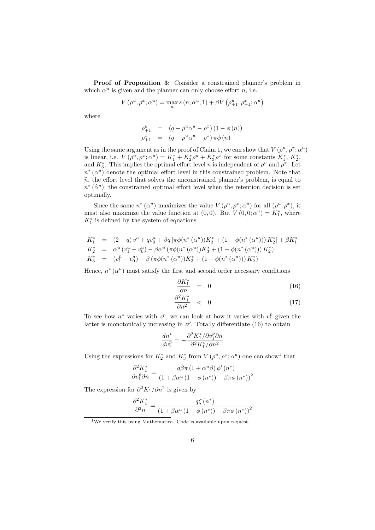Proof of Proposition 3: Consider a constrained planner's problem in which  $\alpha^u$  is given and the planner can only choose effort n, i.e.

$$
V\left(\rho^u,\rho^x;\alpha^u\right)=\max_{n}s\left(n,\alpha^u,1\right)+\beta V\left(\rho^u_{+1},\rho^x_{+1};\alpha^u\right)
$$

where

$$
\begin{array}{rcl}\n\rho_{+1}^u & = & (q - \rho^u \alpha^u - \rho^x) (1 - \phi(n)) \\
\rho_{+1}^x & = & (q - \rho^u \alpha^u - \rho^x) \pi \phi(n)\n\end{array}
$$

Using the same argument as in the proof of Claim 1, we can show that  $V(\rho^u, \rho^x; \alpha^u)$ is linear, i.e.  $V(\rho^u, \rho^x; \alpha^u) = K_1^* + K_2^* \rho^u + K_3^* \rho^x$  for some constants  $K_1^*, K_2^*,$ and  $K_3^*$ . This implies the optimal effort level *n* is independent of  $\rho^u$  and  $\rho^x$ . Let  $n^*(\alpha^u)$  denote the optimal effort level in this constrained problem. Note that  $\hat{n}$ , the effort level that solves the unconstrained planner's problem, is equal to  $n^* (\hat{\alpha}^u)$ , the constrained optimal effort level when the retention decision is set<br>optimally optimally.

Since the same  $n^*(\alpha^u)$  maximizes the value  $V(\rho^u, \rho^x; \alpha^u)$  for all  $(\rho^u, \rho^x)$ , it must also maximize the value function at  $(0,0)$ . But  $V(0,0;\alpha^u) = K_1^*$ , where  $K_{1}^{\ast}$  is defined by the system of equations

$$
K_1^* = (2-q) v^o + q v_0^a + \beta q \left[ \pi \phi(n^*(\alpha^u)) K_3^* + (1 - \phi(n^*(\alpha^u))) K_2^* \right] + \beta K_1^*
$$
  
\n
$$
K_2^* = \alpha^u (v_1^a - v_0^a) - \beta \alpha^u (\pi \phi(n^*(\alpha^u)) K_3^* + (1 - \phi(n^*(\alpha^u))) K_2^*)
$$
  
\n
$$
K_3^* = (v_1^p - v_0^a) - \beta (\pi \phi(n^*(\alpha^u)) K_3^* + (1 - \phi(n^*(\alpha^u))) K_2^*)
$$

Hence,  $n^*(\alpha^u)$  must satisfy the first and second order necessary conditions

$$
\frac{\partial K_1^*}{\partial n} = 0 \tag{16}
$$

$$
\frac{\partial^2 K_1^*}{\partial n^2} \quad < \quad 0 \tag{17}
$$

To see how  $n^*$  varies with  $z^p$ , we can look at how it varies with  $v_1^p$  given the latter is monotonically increasing in  $z^p$ . Totally differentiate (16) to obtain

$$
\frac{dn^*}{dv_1^p}=-\frac{\partial^2 K_1^*/\partial v_1^p\partial n}{\partial^2 K_1^*/\partial n^2}
$$

Using the expressions for  $K_2^*$  and  $K_3^*$  from  $V(\rho^u, \rho^x; \alpha^u)$  one can show<sup>1</sup> that

$$
\frac{\partial^2 K_1^*}{\partial v_1^p \partial n} = \frac{q\beta\pi \left(1 + \alpha^u \beta\right) \phi' \left(n^*\right)}{\left(1 + \beta\alpha^u \left(1 - \phi\left(n^*\right)\right) + \beta\pi\phi\left(n^*\right)\right)^2}
$$

The expression for  $\partial^2 K_1/\partial n^2$  is given by

$$
\frac{\partial^2 K_1^*}{\partial^2 n} = \frac{q\zeta(n^*)}{\left(1 + \beta \alpha^u \left(1 - \phi(n^*)\right) + \beta \pi \phi(n^*)\right)^2}
$$

<sup>1</sup>We verify this using Mathematica. Code is available upon request.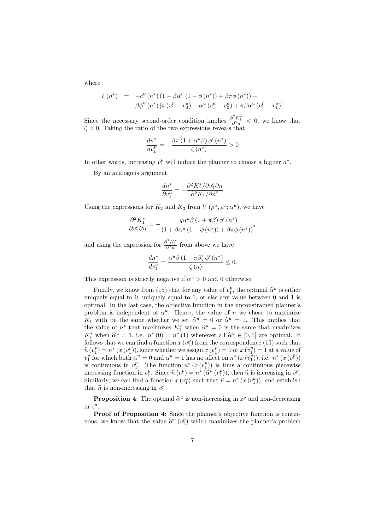where

$$
\zeta (n^*) = -c'' (n^*) (1 + \beta \alpha^u (1 - \phi (n^*)) + \beta \pi \phi (n^*)) + \beta \phi'' (n^*) [\pi (v_1^p - v_0^q) - \alpha^u (v_1^q - v_0^q) + \pi \beta \alpha^u (v_1^p - v_1^q)]
$$

Since the necessary second-order condition implies  $\frac{\partial^2 K_1^*}{\partial n^2} < 0$ , we know that  $\zeta$  < 0. Taking the ratio of the two expressions reveals that

$$
\frac{dn^*}{dv_1^p} = -\frac{\beta \pi \left(1 + \alpha^u \beta\right) \phi' \left(n^*\right)}{\zeta \left(n^*\right)} > 0
$$

In other words, increasing  $v_1^p$  will induce the planner to choose a higher  $n^*$ .

By an analogous argument,

$$
\frac{dn^*}{\partial v^a_1}=-\frac{\partial^2 K^*_1/\partial v^a_1 \partial n}{\partial^2 K_1/\partial n^2}
$$

Using the expressions for  $K_2$  and  $K_3$  from  $V(\rho^u, \rho^x; \alpha^u)$ , we have

$$
\frac{\partial^2 K_1^*}{\partial v_1^a \partial n} = -\frac{q \alpha^u \beta (1 + \pi \beta) \phi' (n^*)}{\left(1 + \beta \alpha^u (1 - \phi (n^*)) + \beta \pi \phi (n^*)\right)^2}
$$

and using the expression for  $\frac{\partial^2 K_1^*}{\partial^2 n}$  from above we have

$$
\frac{dn^*}{dv_1^a} = \frac{\alpha^u \beta \left(1 + \pi \beta\right) \phi'\left(n^*\right)}{\zeta\left(n\right)} \le 0.
$$

This expression is strictly negative if  $\alpha^u > 0$  and 0 otherwise.

Finally, we know from (15) that for any value of  $v_1^p$ , the optimal  $\hat{\alpha}^u$  is either quality occurs to 0, uniqually occurs to 1, or also any value between 0 and 1 is uniquely equal to 0, uniquely equal to 1, or else any value between 0 and 1 is optimal. In the last case, the objective function in the unconstrained planner's problem is independent of  $\alpha^u$ . Hence, the value of n we chose to maximize  $K_1$  with be the same whether we set  $\hat{\alpha}^u = 0$  or  $\hat{\alpha}^u = 1$ . This implies that the value of  $n^*$  that maximizes  $K^*$  when  $\hat{\alpha}^u = 0$  is the same that maximizes the value of  $n^*$  that maximizes  $K_1^*$  when  $\hat{\alpha}^u = 0$  is the same that maximizes  $K^*$  when  $\hat{\alpha}^u = 1$  i.e.  $n^*(0) = n^*(1)$  whenever all  $\hat{\alpha}^u \in [0, 1]$  are optimal. It  $K_1^*$  when  $\hat{\alpha}^u = 1$ , i.e.  $n^*(0) = n^*(1)$  whenever all  $\hat{\alpha}^u \in [0,1]$  are optimal. It follows that we see find a function  $x(\hat{\alpha}^p)$  from the correspondence (15) such that follows that we can find a function  $x(v_1^p)$  from the correspondence (15) such that  $\hat{n}(v_1^p) = n^*(x(v_1^p))$ , since whether we assign  $x(v_1^p) = 0$  or  $x(v_1^p) = 1$  at a value of  $v_1^p$  for which both  $\alpha^u = 0$  and  $\alpha^u = 1$  has no affect on  $n^*(x(v_1^p))$ , i.e.  $n^*(x(v_1^p))$ is continuous in  $v_1^p$ . The function  $n^*(x(v_1^p))$  is thus a continuous piecewise increasing function in  $v_1^p$ . Since  $\hat{n}(v_1^p) = n^* (\hat{\alpha}^u(v_1^p))$ , then  $\hat{n}$  is increasing in  $v_1^p$ .<br>Similarly we can find a function  $x(v_1^a)$  such that  $\hat{n} = n^* (x(v_1^a))$  and establish Similarly, we can find a function  $x(v_1^a)$  such that  $\hat{n} = n^*(x(v_1^a))$ , and establish that  $\hat{n}$  is non-increasing in  $x^a$ that  $\hat{n}$  is non-increasing in  $v_1^a$ .

**Proposition 4:** The optimal  $\hat{\alpha}^u$  is non-increasing in  $z^p$  and non-decreasing  $\alpha^a$ in  $z^a$ .

Proof of Proposition 4: Since the planner's objective function is continuous, we know that the value  $\hat{\alpha}^u(v_1^p)$  which maximizes the planner's problem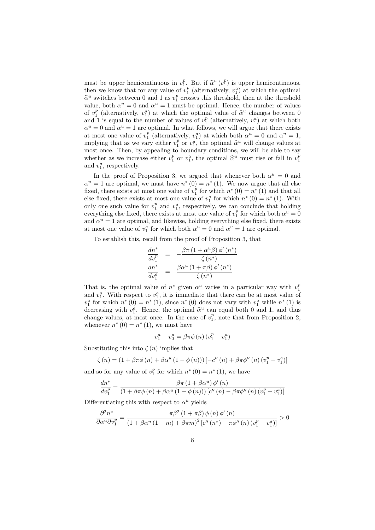must be upper hemicontinuous in  $v_1^p$ . But if  $\hat{\alpha}^u(v_1^p)$  is upper hemicontinuous,<br>then we know that for any value of  $v_1^p$  (alternatively,  $v_1^a$ ) at which the optimal then we know that for any value of  $v_1^p$  (alternatively,  $v_1^a$ ) at which the optimal  $\hat{\alpha}^u$  switches between 0 and 1 as  $v_1^p$  crosses this threshold, then at the threshold value, both  $\alpha^u = 0$  and  $\alpha^u = 1$  must be optimal. Hence, the number of values of  $v_1^p$  (alternatively,  $v_1^a$ ) at which the optimal value of  $\hat{\alpha}^u$  changes between 0<br>and 1 is equal to the number of values of  $v_1^p$  (alternatively,  $v_1^a$ ) at which both and 1 is equal to the number of values of  $v_1^p$  (alternatively,  $v_1^a$ ) at which both  $\alpha^u = 0$  and  $\alpha^u = 1$  are optimal. In what follows, we will argue that there exists at most one value of  $v_1^p$  (alternatively,  $v_1^a$ ) at which both  $\alpha^u = 0$  and  $\alpha^u = 1$ , implying that as we vary either  $v_1^p$  or  $v_1^q$ , the optimal  $\hat{\alpha}^u$  will change values at most one. Then by appealing to boundary conditions, we will be able to say most once. Then, by appealing to boundary conditions, we will be able to say whether as we increase either  $v_1^p$  or  $v_1^a$ , the optimal  $\hat{\alpha}^u$  must rise or fall in  $v_1^p$ and  $v_1^a$ , respectively.

In the proof of Proposition 3, we argued that whenever both  $\alpha^u = 0$  and  $\alpha^u = 1$  are optimal, we must have  $n^*(0) = n^*(1)$ . We now argue that all else fixed, there exists at most one value of  $v_1^p$  for which  $n^*(0) = n^*(1)$  and that all else fixed, there exists at most one value of  $v_1^a$  for which  $n^*(0) = n^*(1)$ . With only one such value for  $v_1^p$  and  $v_1^a$ , respectively, we can conclude that holding everything else fixed, there exists at most one value of  $v_1^p$  for which both  $\alpha^u = 0$ and  $\alpha^u = 1$  are optimal, and likewise, holding everything else fixed, there exists at most one value of  $v_1^a$  for which both  $\alpha^u = 0$  and  $\alpha^u = 1$  are optimal.

To establish this, recall from the proof of Proposition 3, that

$$
\frac{dn^*}{dv_1^p} = -\frac{\beta \pi (1 + \alpha^u \beta) \phi'(n^*)}{\zeta (n^*)}
$$
\n
$$
\frac{dn^*}{dv_1^a} = \frac{\beta \alpha^u (1 + \pi \beta) \phi'(n^*)}{\zeta (n^*)}
$$

That is, the optimal value of  $n^*$  given  $\alpha^u$  varies in a particular way with  $v_1^p$ and  $v_1^a$ . With respect to  $v_1^a$ , it is immediate that there can be at most value of  $v_1^a$  for which  $n^*(0) = n^*(1)$ , since  $n^*(0)$  does not vary with  $v_1^a$  while  $n^*(1)$  is decreasing with  $v_1^a$ . Hence, the optimal  $\hat{\alpha}^u$  can equal both 0 and 1, and thus<br>change values, at most once. In the case of  $v_1^p$  note that from Proposition 2. change values, at most once. In the case of  $v_1^p$ , note that from Proposition 2, whenever  $n^*(0) = n^*(1)$ , we must have

$$
v_1^a - v_0^a = \beta \pi \phi(n) \left( v_1^p - v_1^a \right)
$$

Substituting this into  $\zeta(n)$  implies that

$$
\zeta(n) = (1 + \beta \pi \phi(n) + \beta \alpha^{u} (1 - \phi(n))) [-c''(n) + \beta \pi \phi''(n) (v_{1}^{p} - v_{1}^{a})]
$$

and so for any value of  $v_1^p$  for which  $n^*(0) = n^*(1)$ , we have

$$
\frac{dn^*}{dv_1^p} = \frac{\beta \pi (1 + \beta \alpha^u) \phi'(n)}{(1 + \beta \pi \phi(n) + \beta \alpha^u (1 - \phi(n))) [c''(n) - \beta \pi \phi''(n) (v_1^p - v_1^a)]}
$$

Differentiating this with respect to  $\alpha^u$  yields

$$
\frac{\partial^2 n^*}{\partial \alpha^u \partial v_1^p} = \frac{\pi \beta^2 (1 + \pi \beta) \phi(n) \phi'(n)}{(1 + \beta \alpha^u (1 - m) + \beta \pi m)^2 [c''(n^*) - \pi \phi''(n) (v_1^p - v_1^a)]} > 0
$$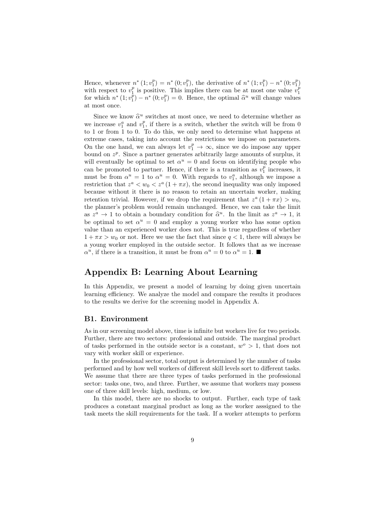Hence, whenever  $n^* (1; v_1^p) = n^* (0; v_1^p)$ , the derivative of  $n^* (1; v_1^p) - n^* (0; v_1^p)$ with respect to  $v_1^p$  is positive. This implies there can be at most one value  $v_1^p$ for which  $n^* (1; v_1^{\tilde{p}}) - n^* (0; v_1^p) = 0$ . Hence, the optimal  $\hat{\alpha}^u$  will change values at most once.

Since we know  $\hat{\alpha}^u$  switches at most once, we need to determine whether as we increase  $v_1^a$  and  $v_1^p$ , if there is a switch, whether the switch will be from 0 to 1 or from 1 to 0. To do this, we only need to determine what happens at extreme cases, taking into account the restrictions we impose on parameters. On the one hand, we can always let  $v_1^p \to \infty$ , since we do impose any upper bound on  $z^p$ . Since a partner generates arbitrarily large amounts of surplus, it will eventually be optimal to set  $\alpha^u = 0$  and focus on identifying people who can be promoted to partner. Hence, if there is a transition as  $v_1^p$  increases, it must be from  $\alpha^u = 1$  to  $\alpha^u = 0$ . With regards to  $v_1^a$ , although we impose a restriction that  $z^a < w_0 < z^a (1 + \pi x)$ , the second inequality was only imposed because without it there is no reason to retain an uncertain worker, making retention trivial. However, if we drop the requirement that  $z^a(1 + \pi x) > w_0$ , the planner's problem would remain unchanged. Hence, we can take the limit as  $z^a \to 1$  to obtain a boundary condition for  $\hat{\alpha}^u$ . In the limit as  $z^a \to 1$ , it<br>be optimal to set  $\alpha^u = 0$  and employ a young worker who has some option be optimal to set  $\alpha^u = 0$  and employ a young worker who has some option value than an experienced worker does not. This is true regardless of whether  $1 + \pi x > w_0$  or not. Here we use the fact that since  $q < 1$ , there will always be a young worker employed in the outside sector. It follows that as we increase  $\alpha^u$ , if there is a transition, it must be from  $\alpha^u = 0$  to  $\alpha^u = 1$ .

### Appendix B: Learning About Learning

In this Appendix, we present a model of learning by doing given uncertain learning efficiency. We analyze the model and compare the results it produces to the results we derive for the screening model in Appendix A.

#### B1. Environment

As in our screening model above, time is infinite but workers live for two periods. Further, there are two sectors: professional and outside. The marginal product of tasks performed in the outside sector is a constant,  $w^o > 1$ , that does not vary with worker skill or experience.

In the professional sector, total output is determined by the number of tasks performed and by how well workers of different skill levels sort to different tasks. We assume that there are three types of tasks performed in the professional sector: tasks one, two, and three. Further, we assume that workers may possess one of three skill levels: high, medium, or low.

In this model, there are no shocks to output. Further, each type of task produces a constant marginal product as long as the worker asssigned to the task meets the skill requirements for the task. If a worker attempts to perform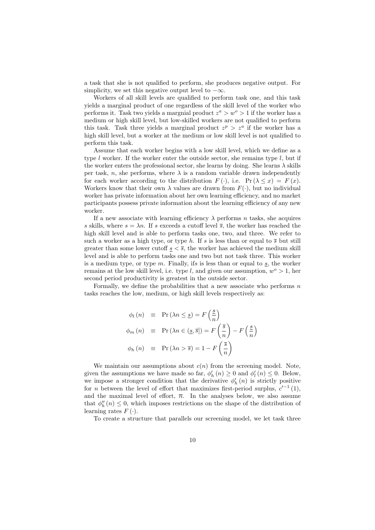a task that she is not qualified to perform, she produces negative output. For simplicity, we set this negative output level to  $-\infty$ .

Workers of all skill levels are qualified to perform task one, and this task yields a marginal product of one regardless of the skill level of the worker who performs it. Task two yields a margnial product  $z^a > w^o > 1$  if the worker has a medium or high skill level, but low-skilled workers are not qualified to perform this task. Task three yields a marginal product  $z^p > z^a$  if the worker has a high skill level, but a worker at the medium or low skill level is not qualified to perform this task.

Assume that each worker begins with a low skill level, which we define as a type  $l$  worker. If the worker enter the outside sector, she remains type  $l$ , but if the worker enters the professional sector, she learns by doing. She learns  $\lambda$  skills per task, n, she performs, where  $\lambda$  is a random variable drawn independently for each worker according to the distribution  $F(\cdot)$ , i.e.  $Pr(\lambda \leq x) = F(x)$ . Workers know that their own  $\lambda$  values are drawn from  $F(\cdot)$ , but no individual worker has private information about her own learning efficiency, and no market participants possess private information about the learning efficiency of any new worker.

If a new associate with learning efficiency  $\lambda$  performs n tasks, she acquires s skills, where  $s = \lambda n$ . If s exceeds a cutoff level  $\overline{s}$ , the worker has reached the high skill level and is able to perform tasks one, two, and three. We refer to such a worker as a high type, or type h. If s is less than or equal to  $\bar{s}$  but still greater than some lower cutoff  $s < \overline{s}$ , the worker has achieved the medium skill level and is able to perform tasks one and two but not task three. This worker is a medium type, or type  $m$ . Finally, ifs is less than or equal to s, the worker remains at the low skill level, i.e. type l, and given our assumption,  $w^{\circ} > 1$ , her second period productivity is greatest in the outside sector.

Formally, we define the probabilities that a new associate who performs  $n$ tasks reaches the low, medium, or high skill levels respectively as:

$$
\phi_l(n) \equiv \Pr(\lambda n \leq \underline{s}) = F\left(\frac{\underline{s}}{n}\right)
$$
  

$$
\phi_m(n) \equiv \Pr(\lambda n \in (\underline{s}, \overline{s}]) = F\left(\frac{\overline{s}}{n}\right) - F\left(\frac{\underline{s}}{n}\right)
$$
  

$$
\phi_h(n) \equiv \Pr(\lambda n > \overline{s}) = 1 - F\left(\frac{\overline{s}}{n}\right)
$$

We maintain our assumptions about  $c(n)$  from the screening model. Note, given the assumptions we have made so far,  $\phi'_h(n) \geq 0$  and  $\phi'_l(n) \leq 0$ . Below, we impose a stronger condition that the derivative  $\phi'_h(n)$  is strictly positive for *n* between the level of effort that maximizes first-period surplus,  $c'^{-1}(1)$ , and the maximal level of effort,  $\overline{n}$ . In the analyses below, we also assume that  $\phi''_h(n) \leq 0$ , which imposes restrictions on the shape of the distribution of learning rates  $F(\cdot)$ .

To create a structure that parallels our screening model, we let task three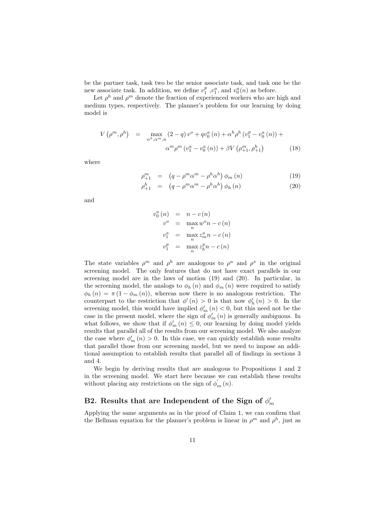be the partner task, task two be the senior associate task, and task one be the new associate task. In addition, we define  $v_1^p, v_1^a$ , and  $v_0^a(n)$  as before.

Let  $\rho^h$  and  $\rho^m$  denote the fraction of experienced workers who are high and medium types, respectively. The planner's problem for our learning by doing model is

$$
V(\rho^m, \rho^h) = \max_{\alpha^h, \alpha^m, n} (2 - q) v^o + q v_0^a(n) + \alpha^h \rho^h (v_1^p - v_0^a(n)) + \alpha^h \rho^m (v_1^a - v_0^a(n)) + \beta V (\rho_{+1}^m, \rho_{+1}^h)
$$
(18)

where

$$
\rho_{+1}^{m} = (q - \rho^{m} \alpha^{m} - \rho^{h} \alpha^{h}) \phi_{m}(n) \qquad (19)
$$

$$
\rho_{+1}^h = (q - \rho^m \alpha^m - \rho^h \alpha^h) \phi_h(n) \tag{20}
$$

and

$$
v_0^a(n) = n - c(n)
$$
  
\n
$$
v^o = \max_n w^o n - c(n)
$$
  
\n
$$
v_1^a = \max_n z_m^a n - c(n)
$$
  
\n
$$
v_1^p = \max_n z_h^p n - c(n)
$$

The state variables  $\rho^m$  and  $\rho^h$  are analogous to  $\rho^u$  and  $\rho^x$  in the original screening model. The only features that do not have exact parallels in our screening model are in the laws of motion (19) and (20). In particular, in the screening model, the analogs to  $\phi_h(n)$  and  $\phi_m(n)$  were required to satisfy  $\phi_h(n) = \pi (1 - \phi_m(n))$ , whereas now there is no analogous restriction. The counterpart to the restriction that  $\phi'(n) > 0$  is that now  $\phi'_h(n) > 0$ . In the screening model, this would have implied  $\phi'_m(n) < 0$ , but this need not be the case in the present model, where the sign of  $\phi'_{m}(n)$  is generally ambiguous. In what follows, we show that if  $\phi'_m(n) \leq 0$ , our learning by doing model yields results that parallel all of the results from our screening model. We also analyze the case where  $\phi'_m(n) > 0$ . In this case, we can quickly establish some results that parallel those from our screening model, but we need to impose an additional assumption to establish results that parallel all of findings in sections 3 and 4.

We begin by deriving results that are analogous to Propositions 1 and 2 in the screening model. We start here because we can establish these results without placing any restrictions on the sign of  $\phi'_m(n)$ .

## B2. Results that are Independent of the Sign of  $\phi_m'$

Applying the same arguments as in the proof of Claim 1, we can confirm that the Bellman equation for the planner's problem is linear in  $\rho^m$  and  $\rho^h$ , just as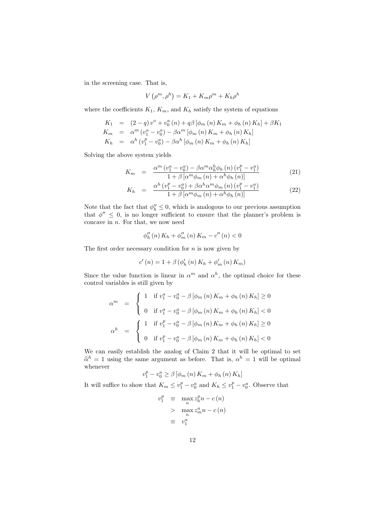in the screening case. That is,

$$
V(\rho^m, \rho^h) = K_1 + K_m \rho^m + K_h \rho^h
$$

where the coefficients  $K_1$ ,  $K_m$ , and  $K_h$  satisfy the system of equations

$$
K_{1} = (2 - q) v^{o} + v_{0}^{a} (n) + q\beta [\phi_{m} (n) K_{m} + \phi_{h} (n) K_{h}] + \beta K_{1}
$$
  
\n
$$
K_{m} = \alpha^{m} (v_{1}^{a} - v_{0}^{a}) - \beta \alpha^{m} [\phi_{m} (n) K_{m} + \phi_{h} (n) K_{h}]
$$
  
\n
$$
K_{h} = \alpha^{h} (v_{1}^{p} - v_{0}^{a}) - \beta \alpha^{h} [\phi_{m} (n) K_{m} + \phi_{h} (n) K_{h}]
$$

Solving the above system yields

$$
K_{m} = \frac{\alpha^{m} \left(v_{1}^{a} - v_{0}^{a}\right) - \beta \alpha^{m} \alpha_{h}^{h} \phi_{h}\left(n\right) \left(v_{1}^{p} - v_{1}^{a}\right)}{1 + \beta \left[\alpha^{m} \phi_{m}\left(n\right) + \alpha^{h} \phi_{h}\left(n\right)\right]}
$$
(21)

$$
K_{h} = \frac{\alpha^{h} (v_{1}^{p} - v_{0}^{a}) + \beta \alpha^{h} \alpha^{m} \phi_{m} (n) (v_{1}^{p} - v_{1}^{a})}{1 + \beta \left[ \alpha^{m} \phi_{m} (n) + \alpha^{h} \phi_{h} (n) \right]}
$$
(22)

Note that the fact that  $\phi''_h \leq 0$ , which is analogous to our previous assumption that  $\phi'' \leq 0$ , is no longer sufficient to ensure that the planner's problem is concave in  $n$ . For that, we now need

$$
\phi_{h}''(n) K_{h} + \phi_{m}''(n) K_{m} - c''(n) < 0
$$

The first order necessary condition for  $n$  is now given by

$$
c'(n) = 1 + \beta (\phi'_{h}(n) K_{h} + \phi'_{m}(n) K_{m})
$$

Since the value function is linear in  $\alpha^m$  and  $\alpha^h$ , the optimal choice for these control variables is still given by

$$
\alpha^{m} = \begin{cases}\n1 & \text{if } v_{1}^{a} - v_{0}^{a} - \beta [\phi_{m} (n) K_{m} + \phi_{h} (n) K_{h}] \ge 0 \\
0 & \text{if } v_{1}^{a} - v_{0}^{a} - \beta [\phi_{m} (n) K_{m} + \phi_{h} (n) K_{h}] < 0\n\end{cases}
$$
\n
$$
\alpha^{h} = \begin{cases}\n1 & \text{if } v_{1}^{p} - v_{0}^{a} - \beta [\phi_{m} (n) K_{m} + \phi_{h} (n) K_{h}] \ge 0 \\
0 & \text{if } v_{1}^{p} - v_{0}^{a} - \beta [\phi_{m} (n) K_{m} + \phi_{h} (n) K_{h}] < 0\n\end{cases}
$$

We can easily establish the analog of Claim 2 that it will be optimal to set  $\hat{\alpha}^h = 1$  using the same argument as before. That is,  $\alpha^h = 1$  will be optimal whenever

$$
v_1^p - v_0^a \ge \beta \left[ \phi_m \left( n \right) K_m + \phi_h \left( n \right) K_h \right]
$$

It will suffice to show that  $K_m \le v_1^p - v_0^a$  and  $K_h \le v_1^p - v_0^a$ . Observe that

$$
v_1^p \equiv \max_n z_h^p n - c(n)
$$
  
> 
$$
\max_n z_m^a n - c(n)
$$
  

$$
\equiv v_1^a
$$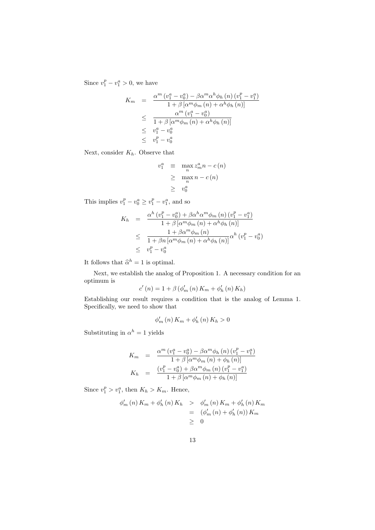Since  $v_1^p - v_1^a > 0$ , we have

$$
K_m = \frac{\alpha^m (v_1^a - v_0^a) - \beta \alpha^m \alpha^h \phi_h(n) (v_1^p - v_1^a)}{1 + \beta [\alpha^m \phi_m(n) + \alpha^h \phi_h(n)]}
$$
  
\n
$$
\leq \frac{\alpha^m (v_1^a - v_0^a)}{1 + \beta [\alpha^m \phi_m(n) + \alpha^h \phi_h(n)]}
$$
  
\n
$$
\leq v_1^a - v_0^a
$$
  
\n
$$
\leq v_1^p - v_0^a
$$

Next, consider  $K_h$ . Observe that

$$
v_1^a \equiv \max_n z_m^a n - c(n)
$$
  
\n
$$
\geq \max_n n - c(n)
$$
  
\n
$$
\geq v_0^a
$$

This implies  $v_1^p - v_0^a \ge v_1^p - v_1^a$ , and so

$$
K_h = \frac{\alpha^h (v_1^p - v_0^a) + \beta \alpha^h \alpha^m \phi_m (n) (v_1^p - v_1^a)}{1 + \beta [\alpha^m \phi_m (n) + \alpha^h \phi_h (n)]}
$$
  

$$
\leq \frac{1 + \beta \alpha^m \phi_m (n)}{1 + \beta n [\alpha^m \phi_m (n) + \alpha^h \phi_h (n)]} \alpha^h (v_1^p - v_0^a)
$$
  

$$
\leq v_1^p - v_0^a
$$

It follows that  $\hat{\alpha}^h = 1$  is optimal.

Next, we establish the analog of Proposition 1. A necessary condition for an optimum is

$$
c'(n) = 1 + \beta (\phi'_m(n) K_m + \phi'_h(n) K_h)
$$

Establishing our result requires a condition that is the analog of Lemma 1. Specifically, we need to show that

$$
\phi_{m}'\left(n\right)K_{m} + \phi_{h}'\left(n\right)K_{h} > 0
$$

Substituting in  $\alpha^h = 1$  yields

$$
K_{m} = \frac{\alpha^{m} (v_{1}^{a} - v_{0}^{a}) - \beta \alpha^{m} \phi_{h} (n) (v_{1}^{p} - v_{1}^{a})}{1 + \beta [\alpha^{m} \phi_{m} (n) + \phi_{h} (n)]}
$$
  
\n
$$
K_{h} = \frac{(v_{1}^{p} - v_{0}^{a}) + \beta \alpha^{m} \phi_{m} (n) (v_{1}^{p} - v_{1}^{a})}{1 + \beta [\alpha^{m} \phi_{m} (n) + \phi_{h} (n)]}
$$

Since  $v_1^p > v_1^a$ , then  $K_h > K_m$ . Hence,

$$
\begin{aligned}\n\phi'_m(n) \, K_m + \phi'_h(n) \, K_h &> \phi'_m(n) \, K_m + \phi'_h(n) \, K_m \\
&= (\phi'_m(n) + \phi'_h(n)) \, K_m \\
&\geq 0\n\end{aligned}
$$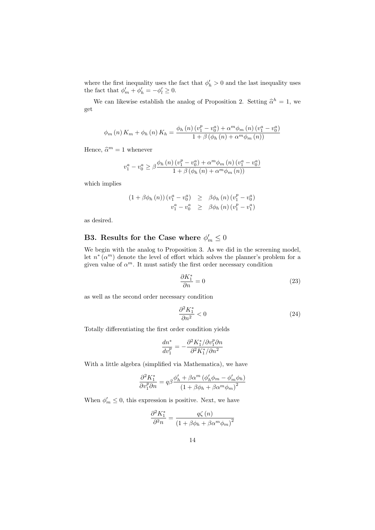where the first inequality uses the fact that  $\phi'_h > 0$  and the last inequality uses the fact that  $\phi'_m + \phi'_h = -\phi'_l \geq 0$ .

We can likewise establish the analog of Proposition 2. Setting  $\hat{\alpha}^h = 1$ , we get

$$
\phi_{m}(n) K_{m} + \phi_{h}(n) K_{h} = \frac{\phi_{h}(n) (v_{1}^{p} - v_{0}^{a}) + \alpha^{m} \phi_{m}(n) (v_{1}^{a} - v_{0}^{a})}{1 + \beta (\phi_{h}(n) + \alpha^{m} \phi_{m}(n))}
$$

Hence,  $\hat{\alpha}^m = 1$  whenever

$$
v_1^a - v_0^a \ge \beta \frac{\phi_h(n) (v_1^p - v_0^a) + \alpha^m \phi_m(n) (v_1^a - v_0^a)}{1 + \beta (\phi_h(n) + \alpha^m \phi_m(n))}
$$

which implies

$$
(1 + \beta \phi_h(n)) (v_1^a - v_0^a) \geq \beta \phi_h(n) (v_1^p - v_0^a)
$$
  

$$
v_1^a - v_0^a \geq \beta \phi_h(n) (v_1^p - v_1^a)
$$

as desired.

## B3. Results for the Case where  $\phi'_m \leq 0$

We begin with the analog to Proposition 3. As we did in the screening model, let  $n^*(\alpha^m)$  denote the level of effort which solves the planner's problem for a given value of  $\alpha^m$ . It must satisfy the first order necessary condition

$$
\frac{\partial K_1^*}{\partial n} = 0\tag{23}
$$

as well as the second order necessary condition

$$
\frac{\partial^2 K_1^*}{\partial n^2} < 0 \tag{24}
$$

Totally differentiating the first order condition yields

$$
\frac{dn^*}{dv_1^p}=-\frac{\partial^2 K_1^*/\partial v_1^p\partial n}{\partial^2 K_1^*/\partial n^2}
$$

With a little algebra (simplified via Mathematica), we have

$$
\frac{\partial^2 K_1^*}{\partial v_1^p \partial n} = q\beta \frac{\phi_h' + \beta \alpha^m \left(\phi_h' \phi_m - \phi_m' \phi_h\right)}{\left(1 + \beta \phi_h + \beta \alpha^m \phi_m\right)^2}
$$

When  $\phi'_m \leq 0$ , this expression is positive. Next, we have

$$
\frac{\partial^2 K_1^*}{\partial^2 n} = \frac{q\zeta(n)}{\left(1 + \beta \phi_h + \beta \alpha^m \phi_m\right)^2}
$$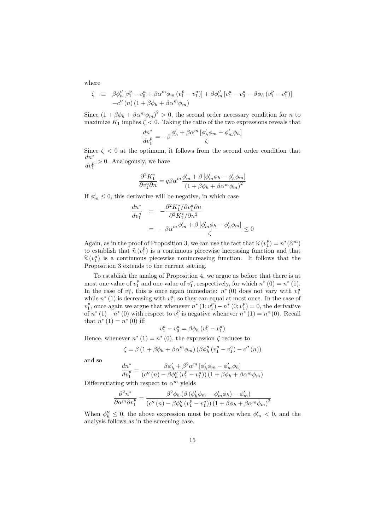where

$$
\zeta \equiv \beta \phi''_h [v_1^p - v_0^a + \beta \alpha^m \phi_m (v_1^p - v_1^a)] + \beta \phi''_m [v_1^a - v_0^a - \beta \phi_h (v_1^p - v_1^a)] -c''(n) (1 + \beta \phi_h + \beta \alpha^m \phi_m)
$$

Since  $(1 + \beta \phi_h + \beta \alpha^m \phi_m)^2 > 0$ , the second order necessary condition for *n* to maximize  $K_1$  implies  $\zeta < 0$ . Taking the ratio of the two expressions reveals that

$$
\frac{dn^*}{dv_1^p} = -\beta \frac{\phi_h' + \beta \alpha^m \left[\phi_h' \phi_m - \phi_m' \phi_h\right]}{\zeta}
$$

Since  $\zeta$  < 0 at the optimum, it follows from the second order condition that dn<sup>∗</sup>  $\overline{dv_1^p}$ > 0. Analogously, we have

$$
\frac{\partial^2 K_1^*}{\partial v_1^a \partial n} = q \beta \alpha^m \frac{\phi_m' + \beta \left[ \phi_m' \phi_h - \phi_h' \phi_m \right]}{\left( 1 + \beta \phi_h + \beta \alpha^m \phi_m \right)^2}
$$

If  $\phi'_m \leq 0$ , this derivative will be negative, in which case

$$
\frac{dn^*}{dv_1^a} = -\frac{\partial^2 K_1^* / \partial v_1^a \partial n}{\partial^2 K_1^* / \partial n^2}
$$

$$
= -\beta \alpha^m \frac{\phi_m' + \beta \left[\phi_m' \phi_h - \phi_h' \phi_m\right]}{\zeta} \le 0
$$

Again, as in the proof of Proposition 3, we can use the fact that  $\hat{n}(v_1^p) = n^*(\hat{\alpha}^m)$ <br>to establish that  $\hat{n}(v_1^p)$  is a continuous piecewise increasing function and that to establish that  $\hat{n} (v_1^p)$  is a continuous piecewise increasing function and that  $\hat{n} (v_1^a)$  is a continuous piecewise popincreasing function. It follows that the  $\hat{n}(v_1^a)$  is a continuous piecewise nonincreasing function. It follows that the proposition 3 oxtands to the current setting Proposition 3 extends to the current setting.

To establish the analog of Proposition 4, we argue as before that there is at most one value of  $v_1^p$  and one value of  $v_1^a$ , respectively, for which  $n^*(0) = n^*(1)$ . In the case of  $v_1^a$ , this is once again immediate:  $n^*(0)$  does not vary with  $v_1^a$ while  $n^*$  (1) is decreasing with  $v_1^a$ , so they can equal at most once. In the case of  $v_1^p$ , once again we argue that whenever  $n^*$   $(1; v_1^p) - n^*$   $(0; v_1^p) = 0$ , the derivative of  $n^*(1) - n^*(0)$  with respect to  $v_1^p$  is negative whenever  $n^*(1) = n^*(0)$ . Recall that  $n^*(1) = n^*(0)$  iff

$$
v_1^a - v_0^a = \beta \phi_h \left( v_1^p - v_1^a \right)
$$

Hence, whenever  $n^*(1) = n^*(0)$ , the expression  $\zeta$  reduces to

$$
\zeta = \beta \left( 1 + \beta \phi_h + \beta \alpha^m \phi_m \right) \left( \beta \phi_h'' \left( v_1^p - v_1^a \right) - c'' \left( n \right) \right)
$$

and so

$$
\frac{dn^*}{dv_1^p} = \frac{\beta \phi'_h + \beta^2 \alpha^m \left[\phi'_h \phi_m - \phi'_m \phi_h\right]}{\left(c''\left(n\right) - \beta \phi''_h\left(v_1^p - v_1^a\right)\right)\left(1 + \beta \phi_h + \beta \alpha^m \phi_m\right)}
$$

Differentiating with respect to  $\alpha^m$  yields

$$
\frac{\partial^2 n^*}{\partial \alpha^m \partial v_1^p} = \frac{\beta^2 \phi_h \left( \beta \left( \phi_h' \phi_m - \phi_m' \phi_h \right) - \phi_m' \right)}{\left( c'' \left( n \right) - \beta \phi_h'' \left( v_1^p - v_1^q \right) \right) \left( 1 + \beta \phi_h + \beta \alpha^m \phi_m \right)^2}
$$

When  $\phi''_h \leq 0$ , the above expression must be positive when  $\phi'_m < 0$ , and the analysis follows as in the screening case.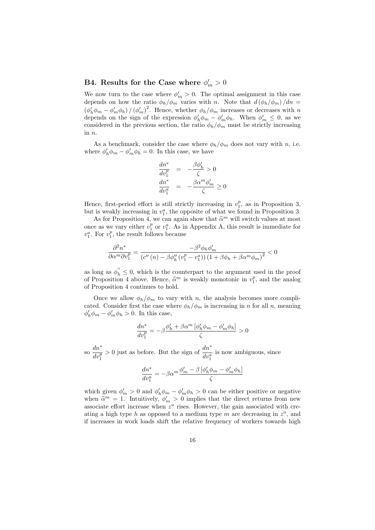## B4. Results for the Case where  $\phi'_m > 0$

We now turn to the case where  $\phi'_m > 0$ . The optimal assignment in this case depends on how the ratio  $\phi_h/\phi_m$  varies with n. Note that  $d(\phi_h/\phi_m)/dn =$  $(\phi'_h \phi_m - \phi'_m \phi_h) / (\phi'_m)^2$ . Hence, whether  $\phi_h / \phi_m$  increases or decreases with n depends on the sign of the expression  $\phi'_h \phi_m - \phi'_m \phi_h$ . When  $\phi'_m \leq 0$ , as we considered in the previous section, the ratio  $\phi_h/\phi_m$  must be strictly increasing in n.

As a benchmark, consider the case where  $\phi_h/\phi_m$  does not vary with n, i.e. where  $\phi'_h \phi_m - \phi'_m \phi_h = 0$ . In this case, we have

$$
\frac{dn^*}{dv_1^p} = -\frac{\beta \phi'_h}{\zeta} > 0
$$

$$
\frac{dn^*}{dv_1^a} = -\frac{\beta \alpha^m \phi'_m}{\zeta} \ge 0
$$

Hence, first-period effort is still strictly increasing in  $v_1^p$ , as in Proposition 3, but is weakly increasing in  $v_1^a$ , the opposite of what we found in Proposition 3.

As for Proposition 4, we can again show that  $\hat{\alpha}^m$  will switch values at most once as we vary either  $v_1^p$  or  $v_1^a$ . As in Appendix A, this result is immediate for  $v_1^a$ . For  $v_1^p$ , the result follows because

$$
\frac{\partial^2 n^*}{\partial \alpha^m \partial v_1^p} = \frac{-\beta^2 \phi_h \phi_m'}{(c''(n) - \beta \phi_h''(v_1^p - v_1^a))(1 + \beta \phi_h + \beta \alpha^m \phi_m)^2} < 0
$$

as long as  $\phi_h^{''} \leq 0$ , which is the counterpart to the argument used in the proof of Proposition 4 above. Hence,  $\hat{\alpha}^m$  is weakly monotonic in  $v_1^p$ , and the analog of Proposition 4 continues to hold.

Once we allow  $\phi_h/\phi_m$  to vary with n, the analysis becomes more complicated. Consider first the case where  $\phi_h/\phi_m$  is increasing in n for all n, meaning  $\phi'_h \phi_m - \phi'_m \phi_h > 0$ . In this case,

$$
\frac{dn^*}{dv_1^p} = -\beta \frac{\phi'_h + \beta \alpha^m \left[\phi'_h \phi_m - \phi'_m \phi_h\right]}{\zeta} > 0
$$

so  $\frac{dn^*}{1}$  $dv_1^p$  $>0$  just as before. But the sign of  $\frac{dn^*}{dv_1^a}$ is now ambiguous, since

$$
\frac{dn^*}{dv_1^a} = -\beta \alpha^m \frac{\phi_m' - \beta \left[\phi_h' \phi_m - \phi_m' \phi_h\right]}{\zeta}
$$

which given  $\phi'_m > 0$  and  $\phi'_h \phi_m - \phi'_m \phi_h > 0$  can be either positive or negative when  $\hat{\alpha}^m = 1$ . Intuitively,  $\phi'_m > 0$  implies that the direct returns from new associate effort increase when  $z^a$  rises. However, the gain associated with creating a high type h as opposed to a medium type m are decreasing in  $z^a$ , and if increases in work loads shift the relative frequency of workers towards high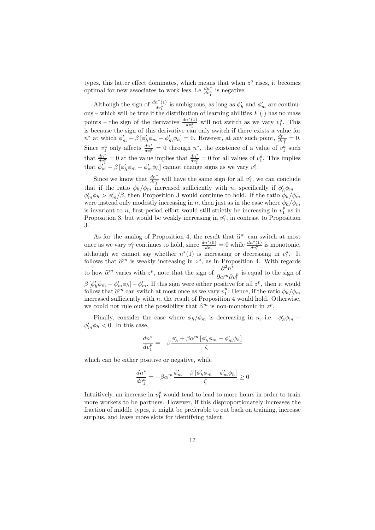types, this latter effect dominates, which means that when  $z^a$  rises, it becomes optimal for new associates to work less, i.e  $\frac{dn^*}{dv_1^a}$  is negative.

Although the sign of  $\frac{dn^*(1)}{dv_1^a}$  is ambiguous, as long as  $\phi'_h$  and  $\phi'_m$  are continuous – which will be true if the distribution of learning abilities  $F(\cdot)$  has no mass points – the sign of the derivative  $\frac{dn^*(1)}{dv_1^a}$  will not switch as we vary  $v_1^a$ . This is because the sign of this derivative can only switch if there exists a value for  $n^*$  at which  $\phi'_m - \beta \left[ \phi'_h \phi_m - \phi'_m \phi_h \right] = 0$ . However, at any such point,  $\frac{dn^*}{dv_1^a} = 0$ . Since  $v_1^a$  only affects  $\frac{dn^*}{dv_1^a} = 0$  througn  $n^*$ , the existence of a value of  $v_1^a$  such that  $\frac{dn^*}{dv_1^a} = 0$  at the value implies that  $\frac{dn^*}{dv_1^a} = 0$  for all values of  $v_1^a$ . This implies that  $\phi'_m - \beta \left[ \phi'_h \phi_m - \phi'_m \phi_h \right]$  cannot change signs as we vary  $v_1^a$ .

Since we know that  $\frac{dn^*}{dv_1^a}$  will have the same sign for all  $v_1^a$ , we can conclude that if the ratio  $\phi_h/\phi_m$  increased sufficiently with n, specifically if  $\phi'_h \phi_m$  –  $\phi'_m \phi_h > \phi'_m/\beta$ , then Proposition 3 would continue to hold. If the ratio  $\phi_h/\phi_m$ were instead only modestly increasing in n, then just as in the case where  $\phi_h/\phi_m$ is invariant to *n*, first-period effort would still strictly be increasing in  $v_1^p$  as in Proposition 3, but would be weakly increasing in  $v_1^a$ , in contrast to Proposition 3.

As for the analog of Proposition 4, the result that  $\hat{\alpha}^m$  can switch at most once as we vary  $v_1^a$  continues to hold, since  $\frac{dn^*(0)}{dv_1^a} = 0$  while  $\frac{dn^*(1)}{dv_1^a}$  is monotonic, although we cannot say whether  $n^*(1)$  is increasing or decreasing in  $v_1^a$ . It follows that  $\hat{\alpha}^m$  is weakly increasing in  $z^a$ , as in Proposition 4. With regards to how  $\widehat{\alpha}^m$  varies with  $z^p$ , note that the sign of  $\frac{\partial^2 n^*}{\partial \alpha^m \partial \beta^n}$  $\overline{\partial \alpha^m \partial v_1^p}$ is equal to the sign of  $\beta [\phi'_h \phi_m - \phi'_m \phi_h] - \phi'_m$ . If this sign were either positive for all  $z^p$ , then it would follow that  $\hat{\alpha}^m$  can switch at most once as we vary  $v_1^p$ . Hence, if the ratio  $\phi_h/\phi_m$ <br>increased sufficiently with a the result of Proposition 4 would hold. Otherwise increased sufficiently with  $n$ , the result of Proposition 4 would hold. Otherwise, we could not rule out the possibility that  $\hat{\alpha}^m$  is non-monotonic in  $z^p$ .

Finally, consider the case where  $\phi_h/\phi_m$  is decreasing in n, i.e.  $\phi'_h \phi_m$  –  $\phi'_m \phi_h < 0$ . In this case,

$$
\frac{dn^*}{dv_1^p} = -\beta \frac{\phi_h' + \beta \alpha^m \left[\phi_h' \phi_m - \phi_m' \phi_h\right]}{\zeta}
$$

which can be either positive or negative, while

$$
\frac{dn^*}{dv_1^a} = -\beta \alpha^m \frac{\phi_m' - \beta \left[\phi_h' \phi_m - \phi_m' \phi_h\right]}{\zeta} \ge 0
$$

Intuitively, an increase in  $v_1^p$  would tend to lead to more hours in order to train more workers to be partners. However, if this disproportionately increases the fraction of middle types, it might be preferable to cut back on training, increase surplus, and leave more slots for identifying talent.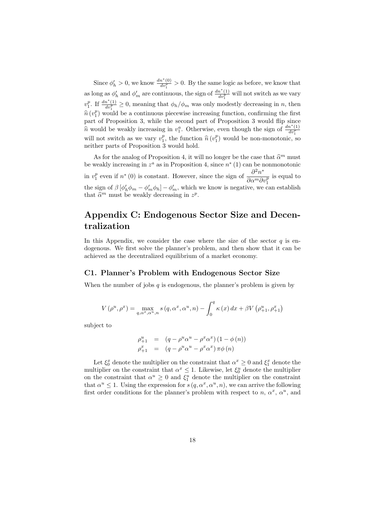Since  $\phi'_h > 0$ , we know  $\frac{dn^*(0)}{dv_1^p} > 0$ . By the same logic as before, we know that as long as  $\phi'_h$  and  $\phi'_m$  are continuous, the sign of  $\frac{dn^*(1)}{dv_1^p}$  will not switch as we vary  $v_1^p$ . If  $\frac{dn^*(1)}{dv_1^p} \ge 0$ , meaning that  $\phi_h/\phi_m$  was only modestly decreasing in n, then  $\hat{n}(v_1^p)$  would be a continuous piecewise increasing function, confirming the first<br>part of Proposition 3, while the second part of Proposition 3 would flip since part of Proposition 3, while the second part of Proposition 3 would flip since nould be weakly increasing in  $v_1^a$ . Otherwise, even though the sign of  $\frac{dn^*(1)}{dv_1^p}$ will not switch as we vary  $v_1^p$ , the function  $\hat{n}(v_1^p)$  would be non-monotonic, so noither parts of Proposition 3 would hold neither parts of Proposition 3 would hold.

As for the analog of Proposition 4, it will no longer be the case that  $\hat{\alpha}^m$  must<br>mostly increasing in  $z^a$  as in Proposition 4, since  $x^*(1)$  as has permeastering be weakly increasing in  $z^a$  as in Proposition 4, since  $n^*(1)$  can be nonmonotonic in  $v_1^p$  even if  $n^*(0)$  is constant. However, since the sign of  $\frac{\partial^2 n^*}{\partial \alpha^m \partial \beta^m}$  $\overline{\partial \alpha^m \partial v_1^p}$ is equal to the sign of  $\beta [\phi'_h \phi_m - \phi'_m \phi_h] - \phi'_m$ , which we know is negative, we can establish that  $\widehat{\alpha}^m$  must be weakly decreasing in  $z^p$ .

## Appendix C: Endogenous Sector Size and Decentralization

In this Appendix, we consider the case where the size of the sector  $q$  is endogenous. We first solve the planner's problem, and then show that it can be achieved as the decentralized equilibrium of a market economy.

#### C1. Planner's Problem with Endogenous Sector Size

When the number of jobs  $q$  is endogenous, the planner's problem is given by

$$
V(\rho^u, \rho^x) = \max_{q, \alpha^x, \alpha^u, n} s(q, \alpha^x, \alpha^u, n) - \int_0^q \kappa(x) dx + \beta V(\rho^u_{+1}, \rho^x_{+1})
$$

subject to

$$
\begin{array}{rcl}\n\rho_{+1}^u & = & (q - \rho^u \alpha^u - \rho^x \alpha^x) (1 - \phi(n)) \\
\rho_{+1}^x & = & (q - \rho^u \alpha^u - \rho^x \alpha^x) \pi \phi(n)\n\end{array}
$$

Let  $\xi_0^x$  denote the multiplier on the constraint that  $\alpha^x \geq 0$  and  $\xi_1^x$  denote the multiplier on the constraint that  $\alpha^x \leq 1$ . Likewise, let  $\xi_0^u$  denote the multiplier on the constraint that  $\alpha^u \geq 0$  and  $\xi_1^u$  denote the multiplier on the constraint that  $\alpha^u \leq 1$ . Using the expression for  $s(q, \alpha^x, \alpha^u, n)$ , we can arrive the following first order conditions for the planner's problem with respect to n,  $\alpha^x$ ,  $\alpha^u$ , and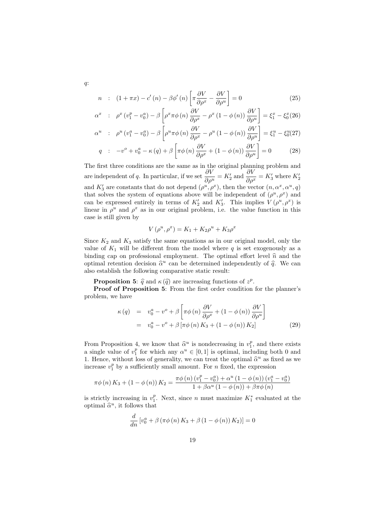$$
n : (1 + \pi x) - c'(n) - \beta \phi'(n) \left[ \pi \frac{\partial V}{\partial \rho^x} - \frac{\partial V}{\partial \rho^u} \right] = 0
$$
 (25)

$$
\alpha^x : \rho^x (v_1^p - v_0^a) - \beta \left[ \rho^x \pi \phi(n) \frac{\partial V}{\partial \rho^x} - \rho^x (1 - \phi(n)) \frac{\partial V}{\partial \rho^u} \right] = \xi_1^x - \xi_0^x (26)
$$

$$
\alpha^u : \rho^u (v_1^a - v_0^a) - \beta \left[ \rho^u \pi \phi (n) \frac{\partial V}{\partial \rho^x} - \rho^u (1 - \phi (n)) \frac{\partial V}{\partial \rho^u} \right] = \xi_1^u - \xi_0^u (27)
$$

$$
q : -v^o + v_0^a - \kappa (q) + \beta \left[ \pi \phi (n) \frac{\partial V}{\partial \rho^x} + (1 - \phi (n)) \frac{\partial V}{\partial \rho^u} \right] = 0 \tag{28}
$$

The first three conditions are the same as in the original planning problem and are independent of q. In particular, if we set  $\frac{\partial V}{\partial \rho^u} = K_2'$  and  $\frac{\partial V}{\partial \rho^x} = K_3'$  where  $K_2'$ and  $K'_3$  are constants that do not depend  $(\rho^u, \rho^x)$ , then the vector  $(n, \alpha^x, \alpha^u, q)$ that solves the system of equations above will be independent of  $(\rho^u, \rho^x)$  and can be expressed entirely in terms of  $K_2'$  and  $K_3'$ . This implies  $V(\rho^u, \rho^x)$  is linear in  $\rho^u$  and  $\rho^x$  as in our original problem, i.e. the value function in this case is still given by

$$
V(\rho^{u}, \rho^{x}) = K_1 + K_2 \rho^{u} + K_3 \rho^{x}
$$

Since  $K_2$  and  $K_3$  satisfy the same equations as in our original model, only the value of  $K_1$  will be different from the model where q is set exogenously as a binding cap on professional employment. The optimal effort level  $\hat{n}$  and the optimal retention decision  $\hat{\alpha}^u$  can be determined independently of  $\hat{q}$ . We can<br>also establish the following comparative static result: also establish the following comparative static result:

**Proposition 5:**  $\hat{q}$  and  $\kappa(\hat{q})$  are increasing functions of  $z^p$ .<br>**Proof of Proposition 5:** From the first order condition

Proof of Proposition 5: From the first order condition for the planner's problem, we have

$$
\kappa(q) = v_0^a - v^o + \beta \left[ \pi \phi(n) \frac{\partial V}{\partial \rho^x} + (1 - \phi(n)) \frac{\partial V}{\partial \rho^u} \right]
$$
  
=  $v_0^a - v^o + \beta \left[ \pi \phi(n) K_3 + (1 - \phi(n)) K_2 \right]$  (29)

From Proposition 4, we know that  $\hat{\alpha}^u$  is nondecreasing in  $v_1^p$ , and there exists a single value of  $v_1^p$  for which any  $\alpha^u \in [0,1]$  is optimal, including both 0 and 1. Hence, without loss of generality, we can treat the optimal  $\hat{\alpha}^u$  as fixed as we<br>increase  $x^p$  by a sufficiently small amount. For a fixed, the expression increase  $v_1^p$  by a sufficiently small amount. For n fixed, the expression

$$
\pi\phi\left(n\right)K_3 + \left(1 - \phi\left(n\right)\right)K_2 = \frac{\pi\phi\left(n\right)\left(v_1^p - v_0^a\right) + \alpha^u\left(1 - \phi\left(n\right)\right)\left(v_1^a - v_0^a\right)}{1 + \beta\alpha^u\left(1 - \phi\left(n\right)\right) + \beta\pi\phi\left(n\right)}
$$

is strictly increasing in  $v_1^p$ . Next, since n must maximize  $K_1^*$  evaluated at the optimal  $\hat{\alpha}^u$ , it follows that

$$
\frac{d}{dn} [v_0^a + \beta (\pi \phi (n) K_3 + \beta (1 - \phi (n)) K_2)] = 0
$$

q: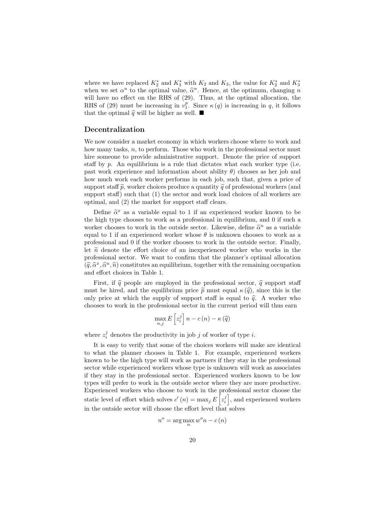where we have replaced  $K_2^*$  and  $K_3^*$  with  $K_2$  and  $K_3$ , the value for  $K_2^*$  and  $K_3^*$ when we set  $\alpha^u$  to the optimal value,  $\hat{\alpha}^u$ . Hence, at the optimum, changing n<br>will have no effect on the BHS of (20). Thus, at the optimal allocation, the will have no effect on the RHS of (29). Thus, at the optimal allocation, the RHS of (29) must be increasing in  $v_1^p$ . Since  $\kappa(q)$  is increasing in q, it follows that the optimal  $\hat{q}$  will be higher as well.  $\blacksquare$ 

#### Decentralization

We now consider a market economy in which workers choose where to work and how many tasks,  $n$ , to perform. Those who work in the professional sector must hire someone to provide administrative support. Denote the price of support staff by  $p$ . An equilibrium is a rule that dictates what each worker type (i.e. past work experience and information about ability  $\theta$ ) chooses as her job and how much work each worker performs in each job, such that, given a price of support staff  $\tilde{p}$ , worker choices produce a quantity  $\tilde{q}$  of professional workers (and support staff) such that  $(1)$  the sector and work load choices of all workers are optimal, and (2) the market for support staff clears.

Define  $\tilde{\alpha}^x$  as a variable equal to 1 if an experienced worker known to be<br>high type chooses to work as a professional in equilibrium and 0 if such a the high type chooses to work as a professional in equilibrium, and 0 if such a worker chooses to work in the outside sector. Likewise, define  $\tilde{\alpha}^u$  as a variable<br>council to 1 if an experienced worker whose  $\theta$  is unknown chooses to work as a equal to 1 if an experienced worker whose  $\theta$  is unknown chooses to work as a professional and 0 if the worker chooses to work in the outside sector. Finally, let  $\tilde{n}$  denote the effort choice of an inexperienced worker who works in the professional sector. We want to confirm that the planner's optimal allocation  $(\widehat{q}, \widehat{\alpha}^x, \widehat{\alpha}^u, \widehat{n})$  constitutes an equilibrium, together with the remaining occupation<br>and effort shelges in Table 1. and effort choices in Table 1.

First, if  $\hat{q}$  people are employed in the professional sector,  $\hat{q}$  support staff must be hired, and the equilibrium price  $\tilde{p}$  must equal  $\kappa(\hat{q})$ , since this is the only price at which the supply of support staff is equal to  $\hat{q}$ . A worker who chooses to work in the professional sector in the current period will thus earn

$$
\max_{n,j} E\left[z_i^j\right] n - c\left(n\right) - \kappa\left(\widehat{q}\right)
$$

where  $z_i^j$  denotes the productivity in job j of worker of type i.

n

It is easy to verify that some of the choices workers will make are identical to what the planner chooses in Table 1. For example, experienced workers known to be the high type will work as partners if they stay in the professional sector while experienced workers whose type is unknown will work as associates if they stay in the professional sector. Experienced workers known to be low types will prefer to work in the outside sector where they are more productive. Experienced workers who choose to work in the professional sector choose the static level of effort which solves  $c'(n) = \max_j E\left[z_i^j\right]$ , and experienced workers in the outside sector will choose the effort level that solves

$$
u^o = \arg\max_n w^o n - c(n)
$$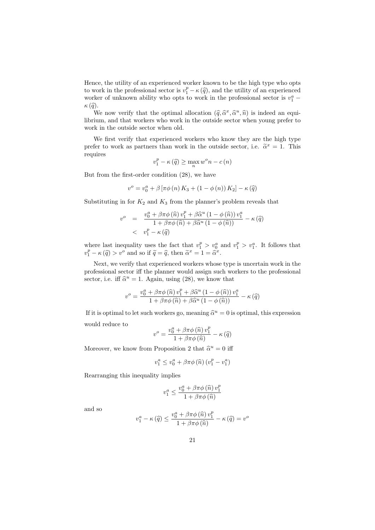Hence, the utility of an experienced worker known to be the high type who opts to work in the professional sector is  $v_1^p - \kappa(\hat{q})$ , and the utility of an experienced<br>worker of unknown shilty who onts to work in the professional sector is  $v_1^a$ . worker of unknown ability who opts to work in the professional sector is  $v_1^a$  –  $\kappa(\widehat{q}).$ 

We now verify that the optimal allocation  $(\hat{q}, \hat{\alpha}^x, \hat{\alpha}^u, \hat{n})$  is indeed an equi-<br>ium, and that workers who work in the outside sector whon young prefer to librium, and that workers who work in the outside sector when young prefer to work in the outside sector when old.

We first verify that experienced workers who know they are the high type prefer to work as partners than work in the outside sector, i.e.  $\tilde{\alpha}^x = 1$ . This requires

$$
v_1^p - \kappa(\widehat{q}) \ge \max_n w^o n - c(n)
$$

But from the first-order condition (28), we have

$$
v^{o} = v_{0}^{a} + \beta [\pi \phi (n) K_{3} + (1 - \phi (n)) K_{2}] - \kappa (\widehat{q})
$$

Substituting in for  $K_2$  and  $K_3$  from the planner's problem reveals that

$$
v^o = \frac{v_0^a + \beta \pi \phi(\hat{n}) v_1^p + \beta \hat{\alpha}^u (1 - \phi(\hat{n})) v_1^a}{1 + \beta \pi \phi(\hat{n}) + \beta \hat{\alpha}^u (1 - \phi(\hat{n}))} - \kappa(\hat{q})
$$
  

$$
\langle v_1^p - \kappa(\hat{q})
$$

where last inequality uses the fact that  $v_1^p > v_0^a$  and  $v_1^p > v_1^a$ . It follows that  $v_1^p - \kappa(\hat{q}) > v^o$  and so if  $\tilde{q} = \hat{q}$ , then  $\tilde{\alpha}^x = 1 = \tilde{\alpha}^x$ .

Next, we verify that experienced workers whose type is uncertain work in the professional sector iff the planner would assign such workers to the professional sector, i.e. iff  $\hat{\alpha}^u = 1$ . Again, using (28), we know that

$$
v^o = \frac{v_0^a + \beta \pi \phi(\widehat{n}) v_1^p + \beta \widehat{\alpha}^u (1 - \phi(\widehat{n})) v_1^a}{1 + \beta \pi \phi(\widehat{n}) + \beta \widehat{\alpha}^u (1 - \phi(\widehat{n}))} - \kappa(\widehat{q})
$$

If it is optimal to let such workers go, meaning  $\hat{\alpha}^u = 0$  is optimal, this expression would reduce to

$$
v^{o} = \frac{v_{0}^{a} + \beta \pi \phi(\widehat{n}) v_{1}^{p}}{1 + \beta \pi \phi(\widehat{n})} - \kappa(\widehat{q})
$$

Moreover, we know from Proposition 2 that  $\hat{\alpha}^u = 0$  iff

$$
v_1^a \le v_0^a + \beta \pi \phi \left(\widehat{n}\right) \left(v_1^p - v_1^a\right)
$$

Rearranging this inequality implies

$$
v_{1}^{a} \leq \frac{v_{0}^{a} + \beta \pi \phi\left(\widehat{n}\right) v_{1}^{p}}{1 + \beta \pi \phi\left(\widehat{n}\right)}
$$

and so

$$
v_1^a - \kappa(\widehat{q}) \le \frac{v_0^a + \beta \pi \phi(\widehat{n}) v_1^p}{1 + \beta \pi \phi(\widehat{n})} - \kappa(\widehat{q}) = v^o
$$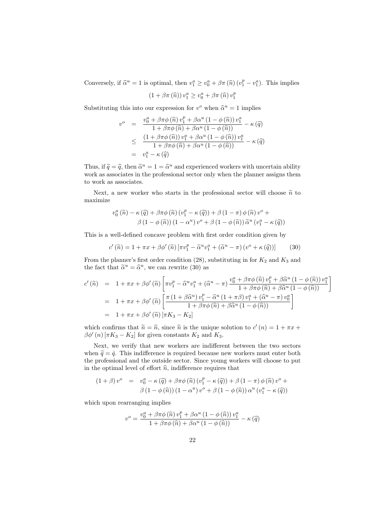Conversely, if  $\hat{\alpha}^u = 1$  is optimal, then  $v_1^a \ge v_0^a + \beta \pi (\hat{n}) (v_1^p - v_1^a)$ . This implies

$$
(1 + \beta \pi \left( \widehat{n} \right)) v_1^a \geq v_0^a + \beta \pi \left( \widehat{n} \right) v_1^p
$$

Substituting this into our expression for  $v^o$  when  $\hat{\alpha}^u = 1$  implies

$$
v^o = \frac{v_0^a + \beta \pi \phi(\hat{n}) v_1^p + \beta \alpha^u (1 - \phi(\hat{n})) v_1^a}{1 + \beta \pi \phi(\hat{n}) + \beta \alpha^u (1 - \phi(\hat{n}))} - \kappa(\hat{q})
$$
  

$$
\leq \frac{(1 + \beta \pi \phi(\hat{n})) v_1^a + \beta \alpha^u (1 - \phi(\hat{n})) v_1^a}{1 + \beta \pi \phi(\hat{n}) + \beta \alpha^u (1 - \phi(\hat{n}))} - \kappa(\hat{q})
$$
  

$$
= v_1^a - \kappa(\hat{q})
$$

Thus, if  $\tilde{q} = \hat{q}$ , then  $\tilde{\alpha}^u = 1 = \hat{\alpha}^u$  and experienced workers with uncertain ability<br>work as associates in the professional sector only when the planner assigns them work as associates in the professional sector only when the planner assigns them to work as associates.

Next, a new worker who starts in the professional sector will choose  $\tilde{n}$  to maximize

$$
v_0^a(\tilde{n}) - \kappa(\hat{q}) + \beta \pi \phi(\tilde{n}) (v_1^p - \kappa(\hat{q})) + \beta (1 - \pi) \phi(\tilde{n}) v^o + \beta (1 - \phi(\tilde{n})) (1 - \alpha^u) v^o + \beta (1 - \phi(\tilde{n})) \tilde{\alpha}^u (v_1^a - \kappa(\hat{q}))
$$

This is a well-defined concave problem with first order condition given by

$$
c'(\widetilde{n}) = 1 + \pi x + \beta \phi'(\widetilde{n}) \left[ \pi v_1^p - \widetilde{\alpha}^u v_1^a + (\widetilde{\alpha}^u - \pi) \left( v^o + \kappa(\widehat{q}) \right) \right]
$$
(30)

From the planner's first order condition  $(28)$ , substituting in for  $K_2$  and  $K_3$  and the fact that  $\tilde{\alpha}^u = \hat{\alpha}^u$ , we can rewrite (30) as

$$
c'(\widetilde{n}) = 1 + \pi x + \beta \phi'(\widetilde{n}) \left[ \pi v_1^p - \widehat{\alpha}^u v_1^a + (\widehat{\alpha}^u - \pi) \frac{v_0^a + \beta \pi \phi(\widehat{n}) v_1^p + \beta \widehat{\alpha}^u (1 - \phi(\widehat{n})) v_1^a}{1 + \beta \pi \phi(\widehat{n}) + \beta \widehat{\alpha}^u (1 - \phi(\widehat{n}))} \right]
$$
  
=  $1 + \pi x + \beta \phi'(\widetilde{n}) \left[ \frac{\pi (1 + \beta \widehat{\alpha}^u) v_1^p - \widehat{\alpha}^u (1 + \pi \beta) v_1^a + (\widehat{\alpha}^u - \pi) v_0^a}{1 + \beta \pi \phi(\widehat{n}) + \beta \widehat{\alpha}^u (1 - \phi(\widehat{n}))} \right]$   
=  $1 + \pi x + \beta \phi'(\widetilde{n}) [\pi K_3 - K_2]$ 

which confirms that  $\tilde{n} = \hat{n}$ , since  $\hat{n}$  is the unique solution to  $c'(n) = 1 + \pi x +$ <br> $\beta c'(n)$   $\pi K$ .  $K_1$  for given constants  $K_2$  and  $K_3$ .  $\beta\phi'(n) [\pi K_3 - K_2]$  for given constants  $K_2$  and  $K_3$ .

Next, we verify that new workers are indifferent between the two sectors when  $\tilde{q} = \hat{q}$ . This indifference is required because new workers must enter both the professional and the outside sector. Since young workers will choose to put in the optimal level of effort  $\hat{n}$ , indifference requires that

$$
(1+\beta)v^o = v_0^a - \kappa(\widehat{q}) + \beta\pi\phi(\widehat{n}) (v_1^p - \kappa(\widehat{q})) + \beta(1-\pi)\phi(\widehat{n})v^o + \beta(1-\phi(\widehat{n})) (1-\alpha^u) v^o + \beta(1-\phi(\widehat{n})) \alpha^u (v_1^a - \kappa(\widehat{q}))
$$

which upon rearranging implies

$$
v^o = \frac{v_0^a + \beta \pi \phi(\widehat{n}) v_1^p + \beta \alpha^u (1 - \phi(\widehat{n})) v_1^a}{1 + \beta \pi \phi(\widehat{n}) + \beta \alpha^u (1 - \phi(\widehat{n}))} - \kappa(\widehat{q})
$$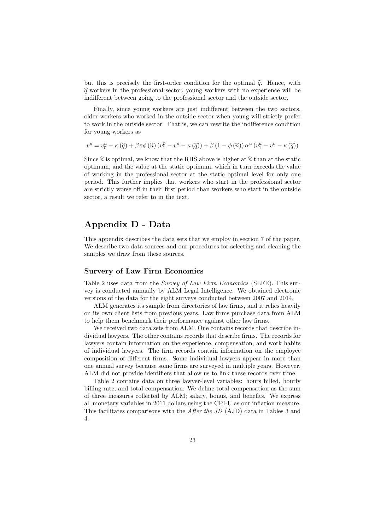but this is precisely the first-order condition for the optimal  $\hat{q}$ . Hence, with  $\hat{q}$  workers in the professional sector, young workers with no experience will be indifferent between going to the professional sector and the outside sector.

Finally, since young workers are just indifferent between the two sectors, older workers who worked in the outside sector when young will strictly prefer to work in the outside sector. That is, we can rewrite the indifference condition for young workers as

$$
v^{o} = v_{0}^{a} - \kappa (\widehat{q}) + \beta \pi \phi (\widehat{n}) (v_{1}^{p} - v^{o} - \kappa (\widehat{q})) + \beta (1 - \phi (\widehat{n})) \alpha^{u} (v_{1}^{a} - v^{o} - \kappa (\widehat{q}))
$$

Since  $\hat{n}$  is optimal, we know that the RHS above is higher at  $\hat{n}$  than at the static optimum, and the value at the static optimum, which in turn exceeds the value of working in the professional sector at the static optimal level for only one period. This further implies that workers who start in the professional sector are strictly worse off in their first period than workers who start in the outside sector, a result we refer to in the text.

## Appendix D - Data

This appendix describes the data sets that we employ in section 7 of the paper. We describe two data sources and our procedures for selecting and cleaning the samples we draw from these sources.

#### Survery of Law Firm Economics

Table 2 uses data from the Survey of Law Firm Economics (SLFE). This survey is conducted annually by ALM Legal Intelligence. We obtained electronic versions of the data for the eight surveys conducted between 2007 and 2014.

ALM generates its sample from directories of law firms, and it relies heavily on its own client lists from previous years. Law firms purchase data from ALM to help them benchmark their performance against other law firms.

We received two data sets from ALM. One contains records that describe individual lawyers. The other contains records that describe firms. The records for lawyers contain information on the experience, compensation, and work habits of individual lawyers. The firm records contain information on the employee composition of different firms. Some individual lawyers appear in more than one annual survey because some firms are surveyed in multiple years. However, ALM did not provide identifiers that allow us to link these records over time.

Table 2 contains data on three lawyer-level variables: hours billed, hourly billing rate, and total compensation. We define total compensation as the sum of three measures collected by ALM; salary, bonus, and benefits. We express all monetary variables in 2011 dollars using the CPI-U as our inflation measure. This facilitates comparisons with the After the JD (AJD) data in Tables 3 and 4.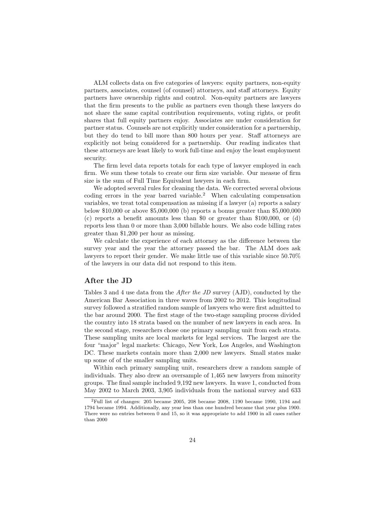ALM collects data on five categories of lawyers: equity partners, non-equity partners, associates, counsel (of counsel) attorneys, and staff attorneys. Equity partners have ownership rights and control. Non-equity partners are lawyers that the firm presents to the public as partners even though these lawyers do not share the same capital contribution requirements, voting rights, or profit shares that full equity partners enjoy. Associates are under consideration for partner status. Counsels are not explicitly under consideration for a partnership, but they do tend to bill more than 800 hours per year. Staff attorneys are explicitly not being considered for a partnership. Our reading indicates that these attorneys are least likely to work full-time and enjoy the least employment security.

The firm level data reports totals for each type of lawyer employed in each firm. We sum these totals to create our firm size variable. Our measue of firm size is the sum of Full Time Equivalent lawyers in each firm.

We adopted several rules for cleaning the data. We corrected several obvious coding errors in the year barred variable.<sup>2</sup> When calculating compensation variables, we treat total compensation as missing if a lawyer (a) reports a salary below \$10,000 or above \$5,000,000 (b) reports a bonus greater than \$5,000,000 (c) reports a benefit amounts less than \$0 or greater than \$100,000, or (d) reports less than 0 or more than 3,000 billable hours. We also code billing rates greater than \$1,200 per hour as missing.

We calculate the experience of each attorney as the difference between the survey year and the year the attorney passed the bar. The ALM does ask lawyers to report their gender. We make little use of this variable since 50.70% of the lawyers in our data did not respond to this item.

#### After the JD

Tables 3 and 4 use data from the After the JD survey (AJD), conducted by the American Bar Association in three waves from 2002 to 2012. This longitudinal survey followed a stratified random sample of lawyers who were first admitted to the bar around 2000. The first stage of the two-stage sampling process divided the country into 18 strata based on the number of new lawyers in each area. In the second stage, researchers chose one primary sampling unit from each strata. These sampling units are local markets for legal services. The largest are the four "major" legal markets: Chicago, New York, Los Angeles, and Washington DC. These markets contain more than 2,000 new lawyers. Small states make up some of of the smaller sampling units.

Within each primary sampling unit, researchers drew a random sample of individuals. They also drew an oversample of 1,465 new lawyers from minority groups. The final sample included 9,192 new lawyers. In wave 1, conducted from May 2002 to March 2003, 3,905 individuals from the national survey and 633

<sup>&</sup>lt;sup>2</sup>Full list of changes: 205 became 2005, 208 became 2008, 1190 became 1990, 1194 and 1794 became 1994. Additionally, any year less than one hundred became that year plus 1900. There were no entries between 0 and 15, so it was appropriate to add 1900 in all cases rather than 2000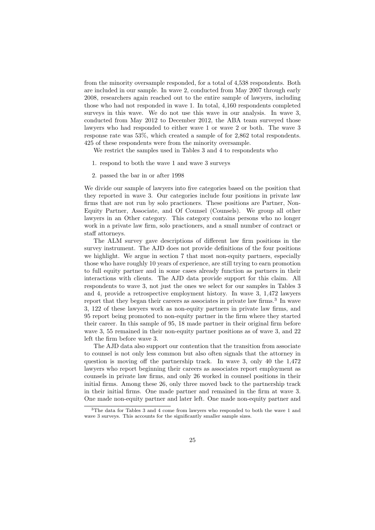from the minority oversample responded, for a total of 4,538 respondents. Both are included in our sample. In wave 2, conducted from May 2007 through early 2008, researchers again reached out to the entire sample of lawyers, including those who had not responded in wave 1. In total, 4,160 respondents completed surveys in this wave. We do not use this wave in our analysis. In wave 3, conducted from May 2012 to December 2012, the ABA team surveyed those lawyers who had responded to either wave 1 or wave 2 or both. The wave 3 response rate was 53%, which created a sample of for 2,862 total respondents. 425 of these respondents were from the minority oversample.

We restrict the samples used in Tables 3 and 4 to respondents who

- 1. respond to both the wave 1 and wave 3 surveys
- 2. passed the bar in or after 1998

We divide our sample of lawyers into five categories based on the position that they reported in wave 3. Our categories include four positions in private law firms that are not run by solo practioners. These positions are Partner, Non-Equity Partner, Associate, and Of Counsel (Counsels). We group all other lawyers in an Other category. This category contains persons who no longer work in a private law firm, solo practioners, and a small number of contract or staff attorneys.

The ALM survey gave descriptions of different law firm positions in the survey instrument. The AJD does not provide definitions of the four positions we highlight. We argue in section 7 that most non-equity partners, especially those who have roughly 10 years of experience, are still trying to earn promotion to full equity partner and in some cases already function as partners in their interactions with clients. The AJD data provide support for this claim. All respondents to wave 3, not just the ones we select for our samples in Tables 3 and 4, provide a retrospective employment history. In wave 3, 1,472 lawyers report that they began their careers as associates in private law firms.<sup>3</sup> In wave 3, 122 of these lawyers work as non-equity partners in private law firms, and 95 report being promoted to non-equity partner in the firm where they started their career. In this sample of 95, 18 made partner in their original firm before wave 3, 55 remained in their non-equity partner positions as of wave 3, and 22 left the firm before wave 3.

The AJD data also support our contention that the transition from associate to counsel is not only less common but also often signals that the attorney in question is moving off the partnership track. In wave 3, only 40 the 1,472 lawyers who report beginning their careers as associates report employment as counsels in private law firms, and only 26 worked in counsel positions in their initial firms. Among these 26, only three moved back to the partnership track in their initial firms. One made partner and remained in the firm at wave 3. One made non-equity partner and later left. One made non-equity partner and

<sup>3</sup>The data for Tables 3 and 4 come from lawyers who responded to both the wave 1 and wave 3 surveys. This accounts for the significantly smaller sample sizes.